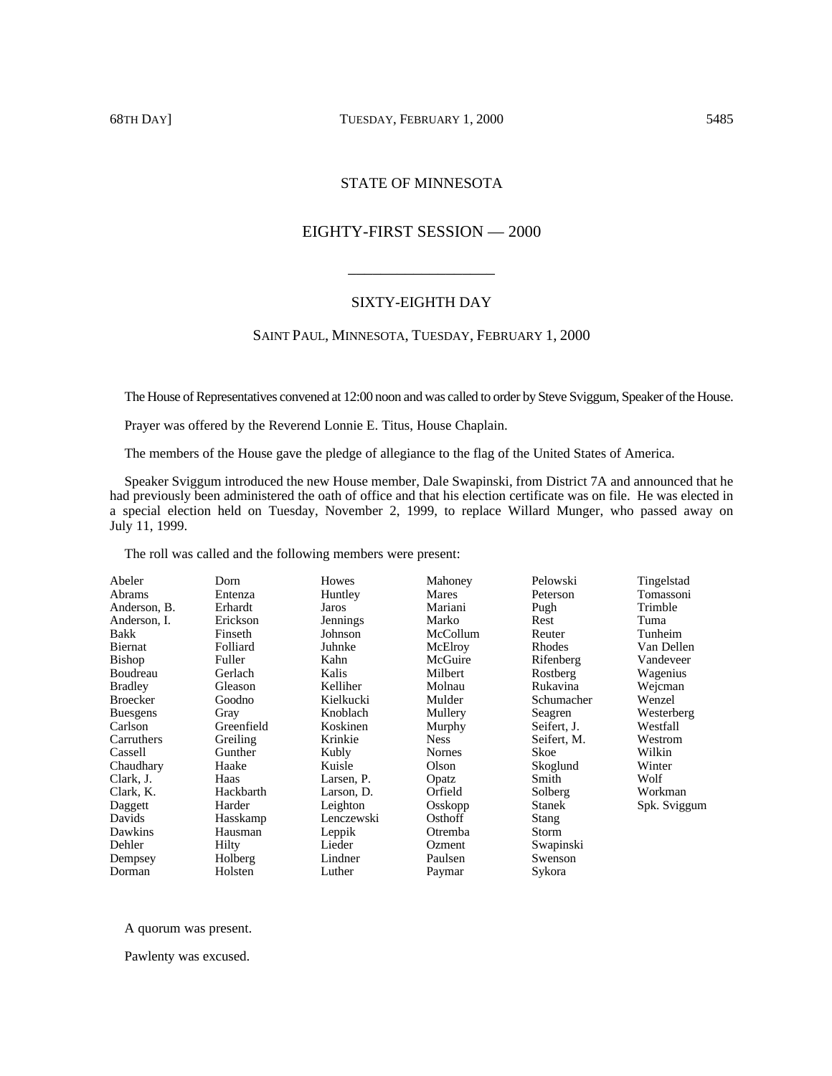# 68TH DAY] TUESDAY, FEBRUARY 1, 2000 5485

# STATE OF MINNESOTA

# EIGHTY-FIRST SESSION — 2000

# SIXTY-EIGHTH DAY

\_\_\_\_\_\_\_\_\_\_\_\_\_\_\_\_\_\_

# SAINT PAUL, MINNESOTA, TUESDAY, FEBRUARY 1, 2000

The House of Representatives convened at 12:00 noon and was called to order by Steve Sviggum, Speaker of the House.

Prayer was offered by the Reverend Lonnie E. Titus, House Chaplain.

The members of the House gave the pledge of allegiance to the flag of the United States of America.

Speaker Sviggum introduced the new House member, Dale Swapinski, from District 7A and announced that he had previously been administered the oath of office and that his election certificate was on file. He was elected in a special election held on Tuesday, November 2, 1999, to replace Willard Munger, who passed away on July 11, 1999.

The roll was called and the following members were present:

| Abeler          | Dorn       | Howes      | Mahoney       | Pelowski    | Tingelstad   |
|-----------------|------------|------------|---------------|-------------|--------------|
| Abrams          | Entenza    | Huntley    | Mares         | Peterson    | Tomassoni    |
| Anderson, B.    | Erhardt    | Jaros      | Mariani       | Pugh        | Trimble      |
| Anderson, I.    | Erickson   | Jennings   | Marko         | Rest        | Tuma         |
| <b>Bakk</b>     | Finseth    | Johnson    | McCollum      | Reuter      | Tunheim      |
| Biernat         | Folliard   | Juhnke     | McElroy       | Rhodes      | Van Dellen   |
| <b>Bishop</b>   | Fuller     | Kahn       | McGuire       | Rifenberg   | Vandeveer    |
| Boudreau        | Gerlach    | Kalis      | Milbert       | Rostberg    | Wagenius     |
| <b>Bradley</b>  | Gleason    | Kelliher   | Molnau        | Rukavina    | Weicman      |
| <b>Broecker</b> | Goodno     | Kielkucki  | Mulder        | Schumacher  | Wenzel       |
| <b>Buesgens</b> | Gray       | Knoblach   | Mullery       | Seagren     | Westerberg   |
| Carlson         | Greenfield | Koskinen   | Murphy        | Seifert, J. | Westfall     |
| Carruthers      | Greiling   | Krinkie    | <b>Ness</b>   | Seifert, M. | Westrom      |
| Cassell         | Gunther    | Kubly      | <b>Nornes</b> | Skoe        | Wilkin       |
| Chaudhary       | Haake      | Kuisle     | Olson         | Skoglund    | Winter       |
| Clark, J.       | Haas       | Larsen, P. | Opatz         | Smith       | Wolf         |
| Clark, K.       | Hackbarth  | Larson, D. | Orfield       | Solberg     | Workman      |
| Daggett         | Harder     | Leighton   | Osskopp       | Stanek      | Spk. Sviggum |
| Davids          | Hasskamp   | Lenczewski | Osthoff       | Stang       |              |
| Dawkins         | Hausman    | Leppik     | Otremba       | Storm       |              |
| Dehler          | Hilty      | Lieder     | Ozment        | Swapinski   |              |
| Dempsey         | Holberg    | Lindner    | Paulsen       | Swenson     |              |
| Dorman          | Holsten    | Luther     | Paymar        | Sykora      |              |

## A quorum was present.

Pawlenty was excused.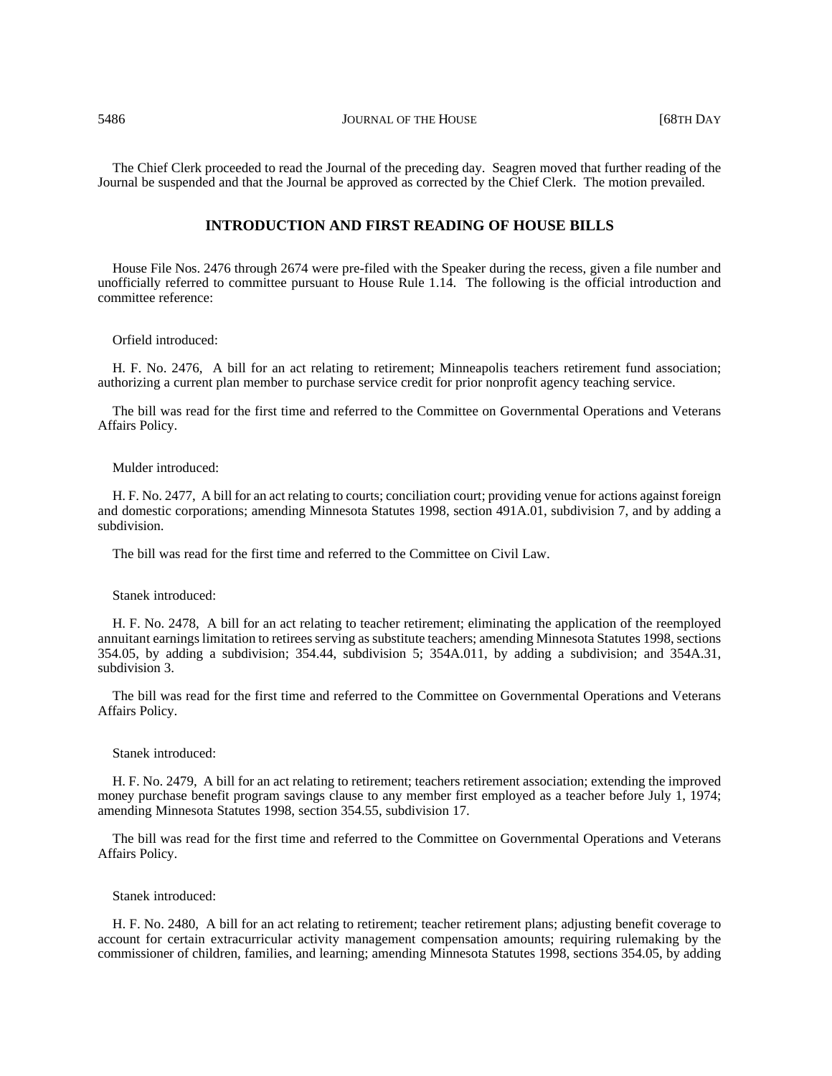5486 JOURNAL OF THE HOUSE [68TH DAY

The Chief Clerk proceeded to read the Journal of the preceding day. Seagren moved that further reading of the Journal be suspended and that the Journal be approved as corrected by the Chief Clerk. The motion prevailed.

# **INTRODUCTION AND FIRST READING OF HOUSE BILLS**

House File Nos. 2476 through 2674 were pre-filed with the Speaker during the recess, given a file number and unofficially referred to committee pursuant to House Rule 1.14. The following is the official introduction and committee reference:

#### Orfield introduced:

H. F. No. 2476, A bill for an act relating to retirement; Minneapolis teachers retirement fund association; authorizing a current plan member to purchase service credit for prior nonprofit agency teaching service.

The bill was read for the first time and referred to the Committee on Governmental Operations and Veterans Affairs Policy.

#### Mulder introduced:

H. F. No. 2477, A bill for an act relating to courts; conciliation court; providing venue for actions against foreign and domestic corporations; amending Minnesota Statutes 1998, section 491A.01, subdivision 7, and by adding a subdivision.

The bill was read for the first time and referred to the Committee on Civil Law.

## Stanek introduced:

H. F. No. 2478, A bill for an act relating to teacher retirement; eliminating the application of the reemployed annuitant earnings limitation to retirees serving as substitute teachers; amending Minnesota Statutes 1998, sections 354.05, by adding a subdivision; 354.44, subdivision 5; 354A.011, by adding a subdivision; and 354A.31, subdivision 3.

The bill was read for the first time and referred to the Committee on Governmental Operations and Veterans Affairs Policy.

## Stanek introduced:

H. F. No. 2479, A bill for an act relating to retirement; teachers retirement association; extending the improved money purchase benefit program savings clause to any member first employed as a teacher before July 1, 1974; amending Minnesota Statutes 1998, section 354.55, subdivision 17.

The bill was read for the first time and referred to the Committee on Governmental Operations and Veterans Affairs Policy.

### Stanek introduced:

H. F. No. 2480, A bill for an act relating to retirement; teacher retirement plans; adjusting benefit coverage to account for certain extracurricular activity management compensation amounts; requiring rulemaking by the commissioner of children, families, and learning; amending Minnesota Statutes 1998, sections 354.05, by adding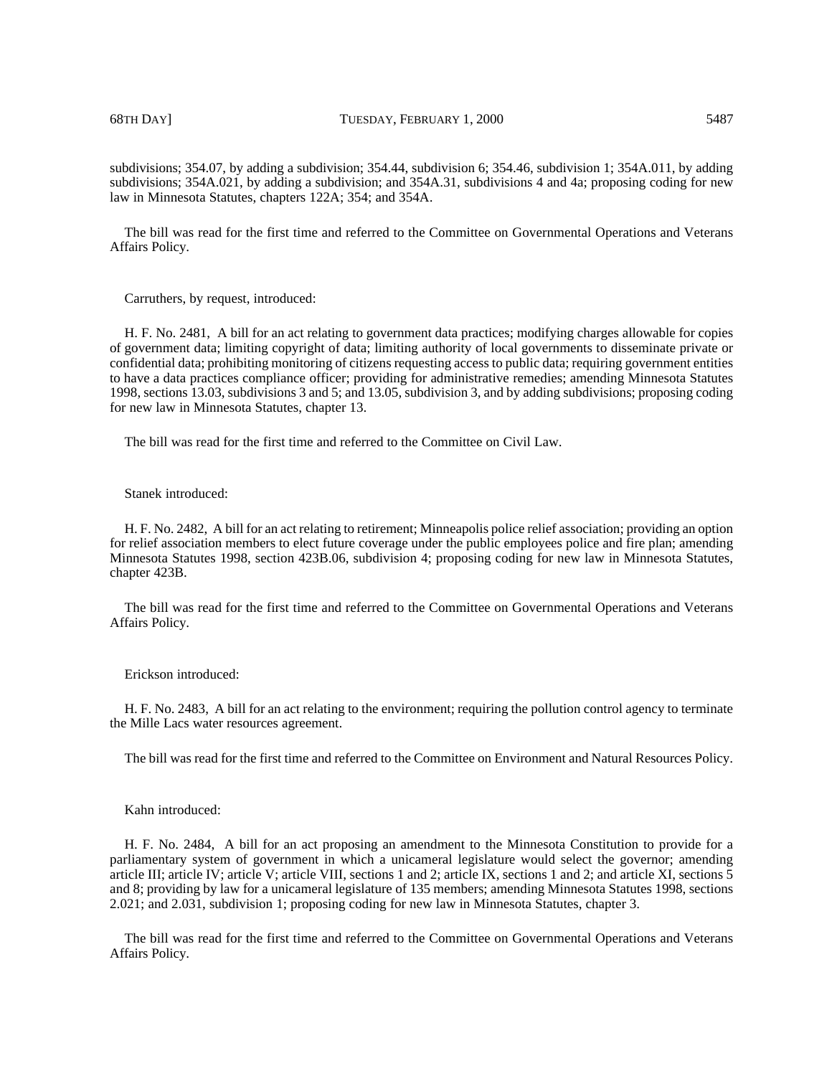68TH DAY] TUESDAY, FEBRUARY 1, 2000 5487

subdivisions; 354.07, by adding a subdivision; 354.44, subdivision 6; 354.46, subdivision 1; 354A.011, by adding subdivisions; 354A.021, by adding a subdivision; and 354A.31, subdivisions 4 and 4a; proposing coding for new law in Minnesota Statutes, chapters 122A; 354; and 354A.

The bill was read for the first time and referred to the Committee on Governmental Operations and Veterans Affairs Policy.

Carruthers, by request, introduced:

H. F. No. 2481, A bill for an act relating to government data practices; modifying charges allowable for copies of government data; limiting copyright of data; limiting authority of local governments to disseminate private or confidential data; prohibiting monitoring of citizens requesting access to public data; requiring government entities to have a data practices compliance officer; providing for administrative remedies; amending Minnesota Statutes 1998, sections 13.03, subdivisions 3 and 5; and 13.05, subdivision 3, and by adding subdivisions; proposing coding for new law in Minnesota Statutes, chapter 13.

The bill was read for the first time and referred to the Committee on Civil Law.

## Stanek introduced:

H. F. No. 2482, A bill for an act relating to retirement; Minneapolis police relief association; providing an option for relief association members to elect future coverage under the public employees police and fire plan; amending Minnesota Statutes 1998, section 423B.06, subdivision 4; proposing coding for new law in Minnesota Statutes, chapter 423B.

The bill was read for the first time and referred to the Committee on Governmental Operations and Veterans Affairs Policy.

Erickson introduced:

H. F. No. 2483, A bill for an act relating to the environment; requiring the pollution control agency to terminate the Mille Lacs water resources agreement.

The bill was read for the first time and referred to the Committee on Environment and Natural Resources Policy.

#### Kahn introduced:

H. F. No. 2484, A bill for an act proposing an amendment to the Minnesota Constitution to provide for a parliamentary system of government in which a unicameral legislature would select the governor; amending article III; article IV; article V; article VIII, sections 1 and 2; article IX, sections 1 and 2; and article XI, sections 5 and 8; providing by law for a unicameral legislature of 135 members; amending Minnesota Statutes 1998, sections 2.021; and 2.031, subdivision 1; proposing coding for new law in Minnesota Statutes, chapter 3.

The bill was read for the first time and referred to the Committee on Governmental Operations and Veterans Affairs Policy.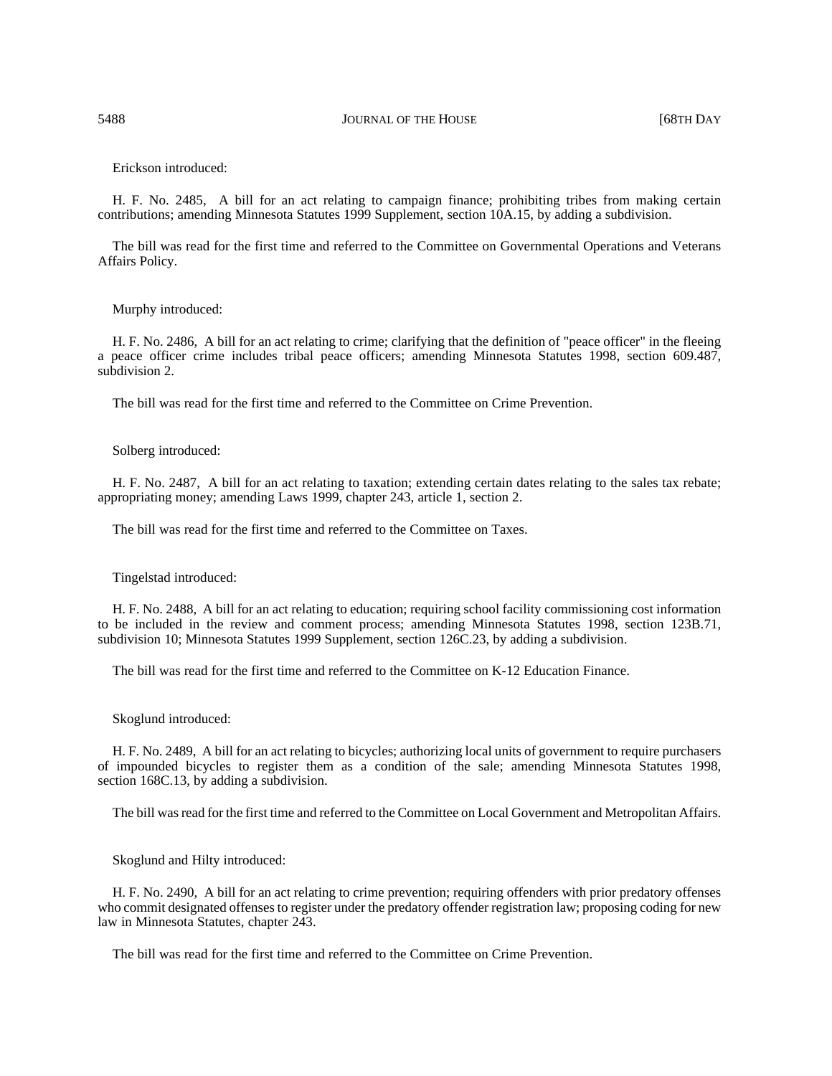### Erickson introduced:

H. F. No. 2485, A bill for an act relating to campaign finance; prohibiting tribes from making certain contributions; amending Minnesota Statutes 1999 Supplement, section 10A.15, by adding a subdivision.

The bill was read for the first time and referred to the Committee on Governmental Operations and Veterans Affairs Policy.

## Murphy introduced:

H. F. No. 2486, A bill for an act relating to crime; clarifying that the definition of "peace officer" in the fleeing a peace officer crime includes tribal peace officers; amending Minnesota Statutes 1998, section 609.487, subdivision 2.

The bill was read for the first time and referred to the Committee on Crime Prevention.

# Solberg introduced:

H. F. No. 2487, A bill for an act relating to taxation; extending certain dates relating to the sales tax rebate; appropriating money; amending Laws 1999, chapter 243, article 1, section 2.

The bill was read for the first time and referred to the Committee on Taxes.

Tingelstad introduced:

H. F. No. 2488, A bill for an act relating to education; requiring school facility commissioning cost information to be included in the review and comment process; amending Minnesota Statutes 1998, section 123B.71, subdivision 10; Minnesota Statutes 1999 Supplement, section 126C.23, by adding a subdivision.

The bill was read for the first time and referred to the Committee on K-12 Education Finance.

Skoglund introduced:

H. F. No. 2489, A bill for an act relating to bicycles; authorizing local units of government to require purchasers of impounded bicycles to register them as a condition of the sale; amending Minnesota Statutes 1998, section 168C.13, by adding a subdivision.

The bill was read for the first time and referred to the Committee on Local Government and Metropolitan Affairs.

Skoglund and Hilty introduced:

H. F. No. 2490, A bill for an act relating to crime prevention; requiring offenders with prior predatory offenses who commit designated offenses to register under the predatory offender registration law; proposing coding for new law in Minnesota Statutes, chapter 243.

The bill was read for the first time and referred to the Committee on Crime Prevention.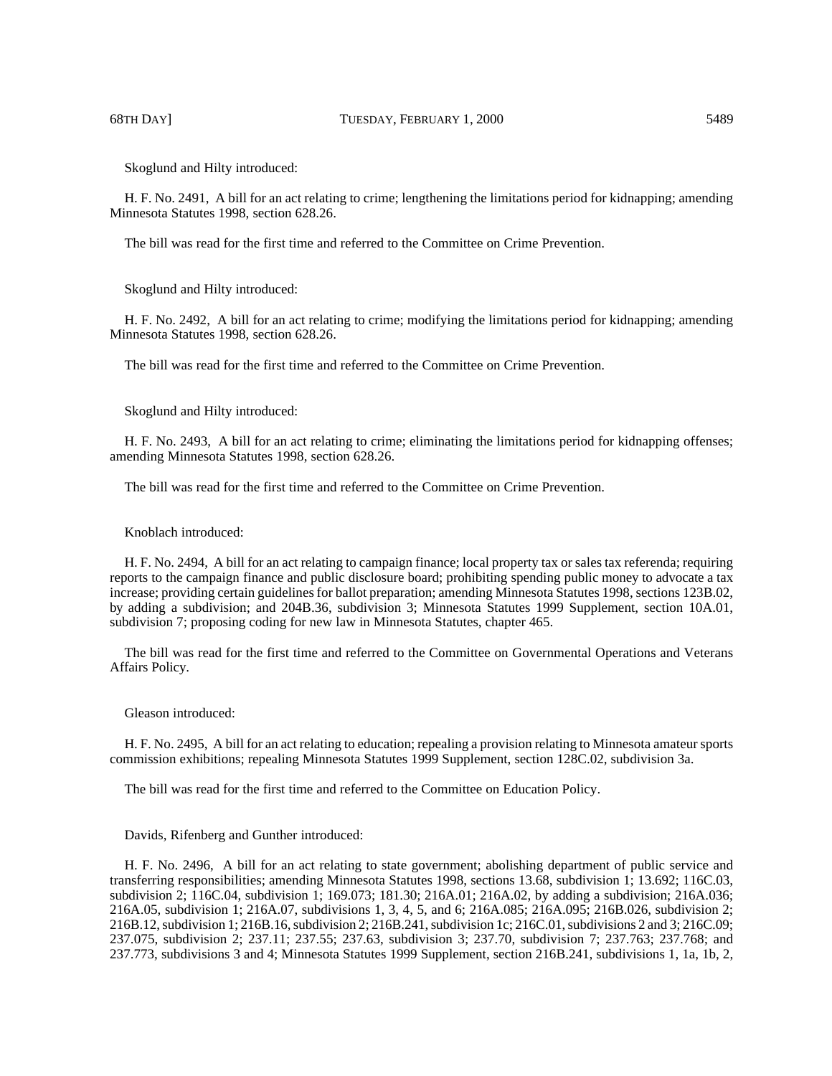Skoglund and Hilty introduced:

H. F. No. 2491, A bill for an act relating to crime; lengthening the limitations period for kidnapping; amending Minnesota Statutes 1998, section 628.26.

The bill was read for the first time and referred to the Committee on Crime Prevention.

Skoglund and Hilty introduced:

H. F. No. 2492, A bill for an act relating to crime; modifying the limitations period for kidnapping; amending Minnesota Statutes 1998, section 628.26.

The bill was read for the first time and referred to the Committee on Crime Prevention.

Skoglund and Hilty introduced:

H. F. No. 2493, A bill for an act relating to crime; eliminating the limitations period for kidnapping offenses; amending Minnesota Statutes 1998, section 628.26.

The bill was read for the first time and referred to the Committee on Crime Prevention.

Knoblach introduced:

H. F. No. 2494, A bill for an act relating to campaign finance; local property tax or sales tax referenda; requiring reports to the campaign finance and public disclosure board; prohibiting spending public money to advocate a tax increase; providing certain guidelines for ballot preparation; amending Minnesota Statutes 1998, sections 123B.02, by adding a subdivision; and 204B.36, subdivision 3; Minnesota Statutes 1999 Supplement, section 10A.01, subdivision 7; proposing coding for new law in Minnesota Statutes, chapter 465.

The bill was read for the first time and referred to the Committee on Governmental Operations and Veterans Affairs Policy.

Gleason introduced:

H. F. No. 2495, A bill for an act relating to education; repealing a provision relating to Minnesota amateur sports commission exhibitions; repealing Minnesota Statutes 1999 Supplement, section 128C.02, subdivision 3a.

The bill was read for the first time and referred to the Committee on Education Policy.

Davids, Rifenberg and Gunther introduced:

H. F. No. 2496, A bill for an act relating to state government; abolishing department of public service and transferring responsibilities; amending Minnesota Statutes 1998, sections 13.68, subdivision 1; 13.692; 116C.03, subdivision 2; 116C.04, subdivision 1; 169.073; 181.30; 216A.01; 216A.02, by adding a subdivision; 216A.036; 216A.05, subdivision 1; 216A.07, subdivisions 1, 3, 4, 5, and 6; 216A.085; 216A.095; 216B.026, subdivision 2; 216B.12, subdivision 1; 216B.16, subdivision 2; 216B.241, subdivision 1c; 216C.01, subdivisions 2 and 3; 216C.09; 237.075, subdivision 2; 237.11; 237.55; 237.63, subdivision 3; 237.70, subdivision 7; 237.763; 237.768; and 237.773, subdivisions 3 and 4; Minnesota Statutes 1999 Supplement, section 216B.241, subdivisions 1, 1a, 1b, 2,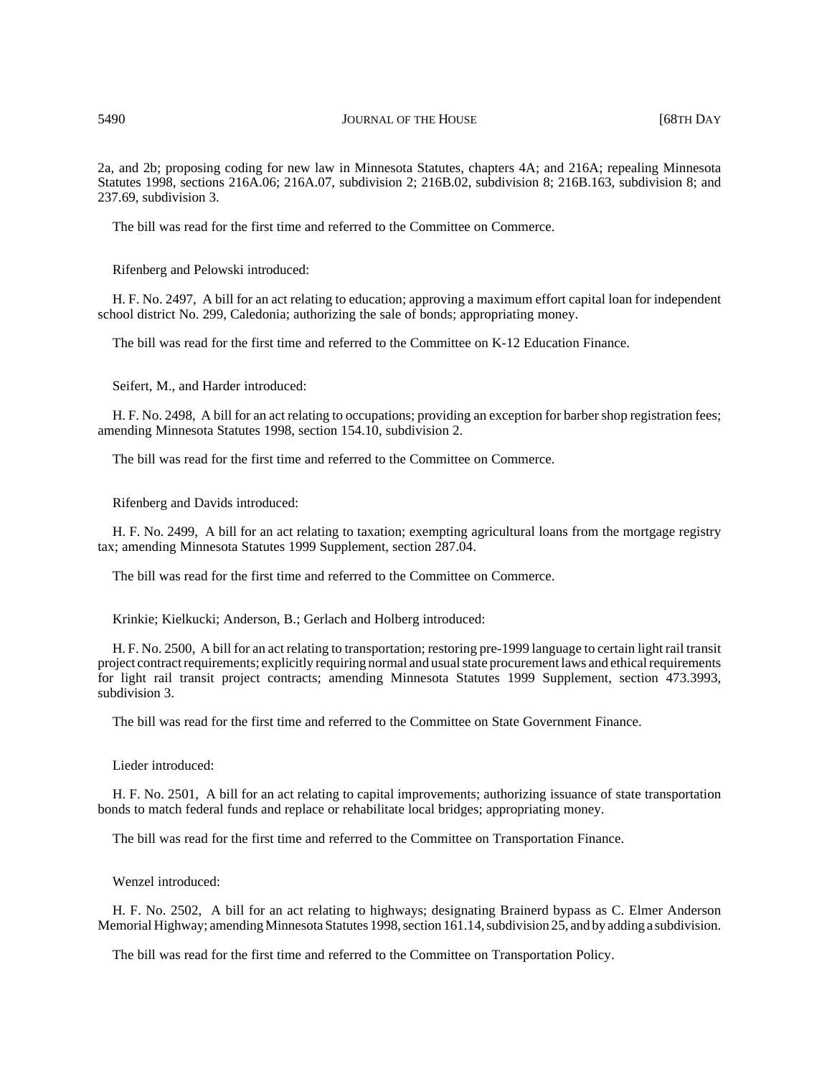2a, and 2b; proposing coding for new law in Minnesota Statutes, chapters 4A; and 216A; repealing Minnesota Statutes 1998, sections 216A.06; 216A.07, subdivision 2; 216B.02, subdivision 8; 216B.163, subdivision 8; and 237.69, subdivision 3.

The bill was read for the first time and referred to the Committee on Commerce.

Rifenberg and Pelowski introduced:

H. F. No. 2497, A bill for an act relating to education; approving a maximum effort capital loan for independent school district No. 299, Caledonia; authorizing the sale of bonds; appropriating money.

The bill was read for the first time and referred to the Committee on K-12 Education Finance.

Seifert, M., and Harder introduced:

H. F. No. 2498, A bill for an act relating to occupations; providing an exception for barber shop registration fees; amending Minnesota Statutes 1998, section 154.10, subdivision 2.

The bill was read for the first time and referred to the Committee on Commerce.

Rifenberg and Davids introduced:

H. F. No. 2499, A bill for an act relating to taxation; exempting agricultural loans from the mortgage registry tax; amending Minnesota Statutes 1999 Supplement, section 287.04.

The bill was read for the first time and referred to the Committee on Commerce.

Krinkie; Kielkucki; Anderson, B.; Gerlach and Holberg introduced:

H. F. No. 2500, A bill for an act relating to transportation; restoring pre-1999 language to certain light rail transit project contract requirements; explicitly requiring normal and usual state procurement laws and ethical requirements for light rail transit project contracts; amending Minnesota Statutes 1999 Supplement, section 473.3993, subdivision 3.

The bill was read for the first time and referred to the Committee on State Government Finance.

Lieder introduced:

H. F. No. 2501, A bill for an act relating to capital improvements; authorizing issuance of state transportation bonds to match federal funds and replace or rehabilitate local bridges; appropriating money.

The bill was read for the first time and referred to the Committee on Transportation Finance.

Wenzel introduced:

H. F. No. 2502, A bill for an act relating to highways; designating Brainerd bypass as C. Elmer Anderson Memorial Highway; amending Minnesota Statutes 1998, section 161.14, subdivision 25, and by adding a subdivision.

The bill was read for the first time and referred to the Committee on Transportation Policy.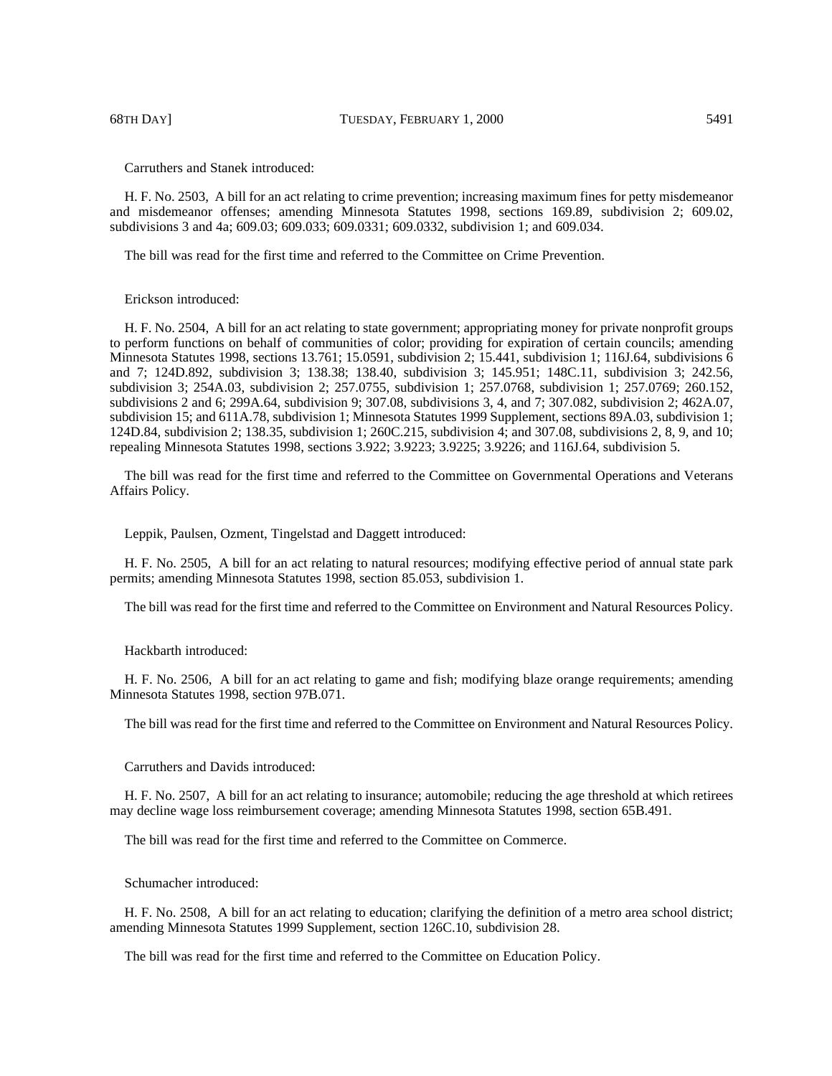68TH DAY] TUESDAY, FEBRUARY 1, 2000 5491

Carruthers and Stanek introduced:

H. F. No. 2503, A bill for an act relating to crime prevention; increasing maximum fines for petty misdemeanor and misdemeanor offenses; amending Minnesota Statutes 1998, sections 169.89, subdivision 2; 609.02, subdivisions 3 and 4a; 609.03; 609.033; 609.0331; 609.0332, subdivision 1; and 609.034.

The bill was read for the first time and referred to the Committee on Crime Prevention.

# Erickson introduced:

H. F. No. 2504, A bill for an act relating to state government; appropriating money for private nonprofit groups to perform functions on behalf of communities of color; providing for expiration of certain councils; amending Minnesota Statutes 1998, sections 13.761; 15.0591, subdivision 2; 15.441, subdivision 1; 116J.64, subdivisions 6 and 7; 124D.892, subdivision 3; 138.38; 138.40, subdivision 3; 145.951; 148C.11, subdivision 3; 242.56, subdivision 3; 254A.03, subdivision 2; 257.0755, subdivision 1; 257.0768, subdivision 1; 257.0769; 260.152, subdivisions 2 and 6; 299A.64, subdivision 9; 307.08, subdivisions 3, 4, and 7; 307.082, subdivision 2; 462A.07, subdivision 15; and 611A.78, subdivision 1; Minnesota Statutes 1999 Supplement, sections 89A.03, subdivision 1; 124D.84, subdivision 2; 138.35, subdivision 1; 260C.215, subdivision 4; and 307.08, subdivisions 2, 8, 9, and 10; repealing Minnesota Statutes 1998, sections 3.922; 3.9223; 3.9225; 3.9226; and 116J.64, subdivision 5.

The bill was read for the first time and referred to the Committee on Governmental Operations and Veterans Affairs Policy.

Leppik, Paulsen, Ozment, Tingelstad and Daggett introduced:

H. F. No. 2505, A bill for an act relating to natural resources; modifying effective period of annual state park permits; amending Minnesota Statutes 1998, section 85.053, subdivision 1.

The bill was read for the first time and referred to the Committee on Environment and Natural Resources Policy.

Hackbarth introduced:

H. F. No. 2506, A bill for an act relating to game and fish; modifying blaze orange requirements; amending Minnesota Statutes 1998, section 97B.071.

The bill was read for the first time and referred to the Committee on Environment and Natural Resources Policy.

Carruthers and Davids introduced:

H. F. No. 2507, A bill for an act relating to insurance; automobile; reducing the age threshold at which retirees may decline wage loss reimbursement coverage; amending Minnesota Statutes 1998, section 65B.491.

The bill was read for the first time and referred to the Committee on Commerce.

Schumacher introduced:

H. F. No. 2508, A bill for an act relating to education; clarifying the definition of a metro area school district; amending Minnesota Statutes 1999 Supplement, section 126C.10, subdivision 28.

The bill was read for the first time and referred to the Committee on Education Policy.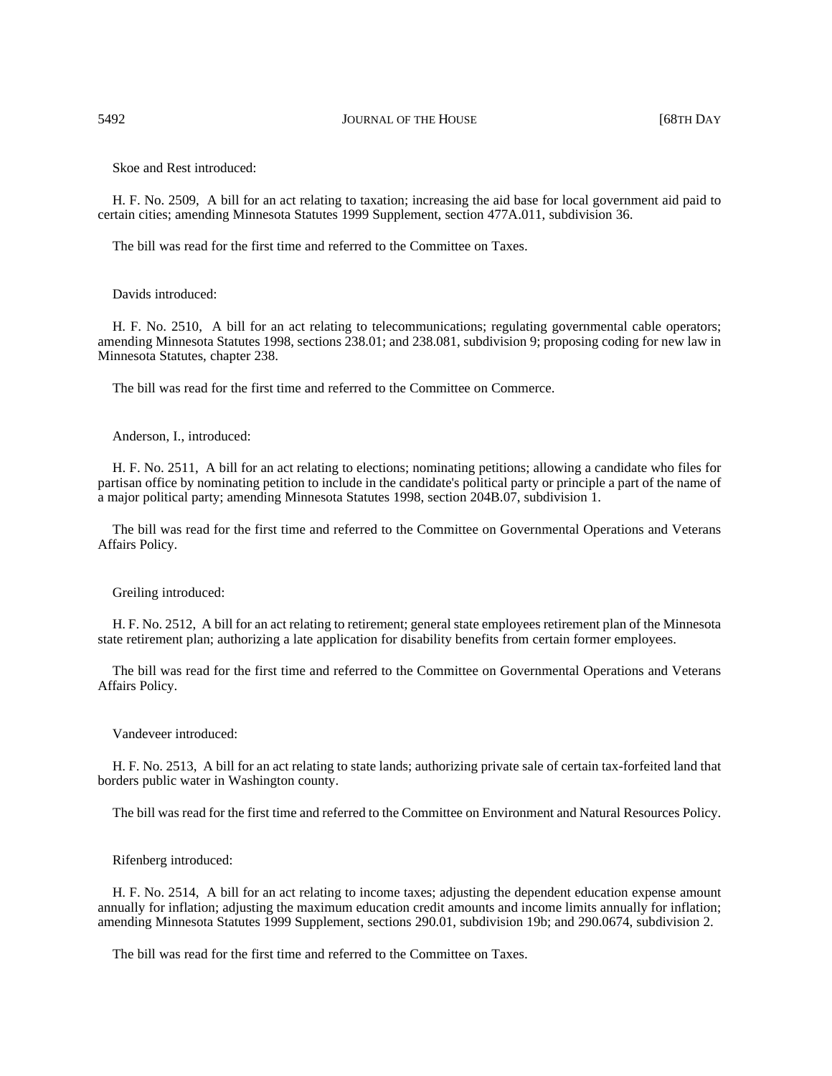Skoe and Rest introduced:

H. F. No. 2509, A bill for an act relating to taxation; increasing the aid base for local government aid paid to certain cities; amending Minnesota Statutes 1999 Supplement, section 477A.011, subdivision 36.

The bill was read for the first time and referred to the Committee on Taxes.

## Davids introduced:

H. F. No. 2510, A bill for an act relating to telecommunications; regulating governmental cable operators; amending Minnesota Statutes 1998, sections 238.01; and 238.081, subdivision 9; proposing coding for new law in Minnesota Statutes, chapter 238.

The bill was read for the first time and referred to the Committee on Commerce.

Anderson, I., introduced:

H. F. No. 2511, A bill for an act relating to elections; nominating petitions; allowing a candidate who files for partisan office by nominating petition to include in the candidate's political party or principle a part of the name of a major political party; amending Minnesota Statutes 1998, section 204B.07, subdivision 1.

The bill was read for the first time and referred to the Committee on Governmental Operations and Veterans Affairs Policy.

Greiling introduced:

H. F. No. 2512, A bill for an act relating to retirement; general state employees retirement plan of the Minnesota state retirement plan; authorizing a late application for disability benefits from certain former employees.

The bill was read for the first time and referred to the Committee on Governmental Operations and Veterans Affairs Policy.

## Vandeveer introduced:

H. F. No. 2513, A bill for an act relating to state lands; authorizing private sale of certain tax-forfeited land that borders public water in Washington county.

The bill was read for the first time and referred to the Committee on Environment and Natural Resources Policy.

Rifenberg introduced:

H. F. No. 2514, A bill for an act relating to income taxes; adjusting the dependent education expense amount annually for inflation; adjusting the maximum education credit amounts and income limits annually for inflation; amending Minnesota Statutes 1999 Supplement, sections 290.01, subdivision 19b; and 290.0674, subdivision 2.

The bill was read for the first time and referred to the Committee on Taxes.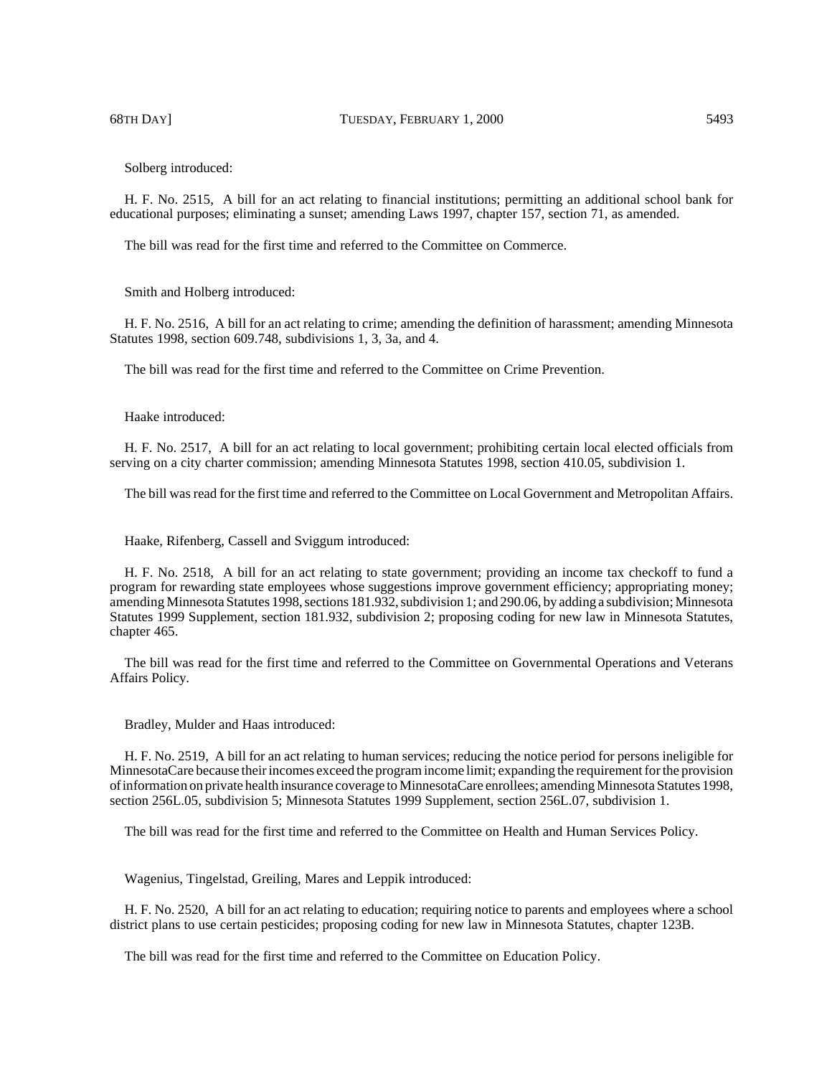Solberg introduced:

H. F. No. 2515, A bill for an act relating to financial institutions; permitting an additional school bank for educational purposes; eliminating a sunset; amending Laws 1997, chapter 157, section 71, as amended.

The bill was read for the first time and referred to the Committee on Commerce.

Smith and Holberg introduced:

H. F. No. 2516, A bill for an act relating to crime; amending the definition of harassment; amending Minnesota Statutes 1998, section 609.748, subdivisions 1, 3, 3a, and 4.

The bill was read for the first time and referred to the Committee on Crime Prevention.

Haake introduced:

H. F. No. 2517, A bill for an act relating to local government; prohibiting certain local elected officials from serving on a city charter commission; amending Minnesota Statutes 1998, section 410.05, subdivision 1.

The bill was read for the first time and referred to the Committee on Local Government and Metropolitan Affairs.

Haake, Rifenberg, Cassell and Sviggum introduced:

H. F. No. 2518, A bill for an act relating to state government; providing an income tax checkoff to fund a program for rewarding state employees whose suggestions improve government efficiency; appropriating money; amending Minnesota Statutes 1998, sections 181.932, subdivision 1; and 290.06, by adding a subdivision; Minnesota Statutes 1999 Supplement, section 181.932, subdivision 2; proposing coding for new law in Minnesota Statutes, chapter 465.

The bill was read for the first time and referred to the Committee on Governmental Operations and Veterans Affairs Policy.

Bradley, Mulder and Haas introduced:

H. F. No. 2519, A bill for an act relating to human services; reducing the notice period for persons ineligible for MinnesotaCare because their incomes exceed the program income limit; expanding the requirement for the provision of information on private health insurance coverage to MinnesotaCare enrollees; amending Minnesota Statutes 1998, section 256L.05, subdivision 5; Minnesota Statutes 1999 Supplement, section 256L.07, subdivision 1.

The bill was read for the first time and referred to the Committee on Health and Human Services Policy.

Wagenius, Tingelstad, Greiling, Mares and Leppik introduced:

H. F. No. 2520, A bill for an act relating to education; requiring notice to parents and employees where a school district plans to use certain pesticides; proposing coding for new law in Minnesota Statutes, chapter 123B.

The bill was read for the first time and referred to the Committee on Education Policy.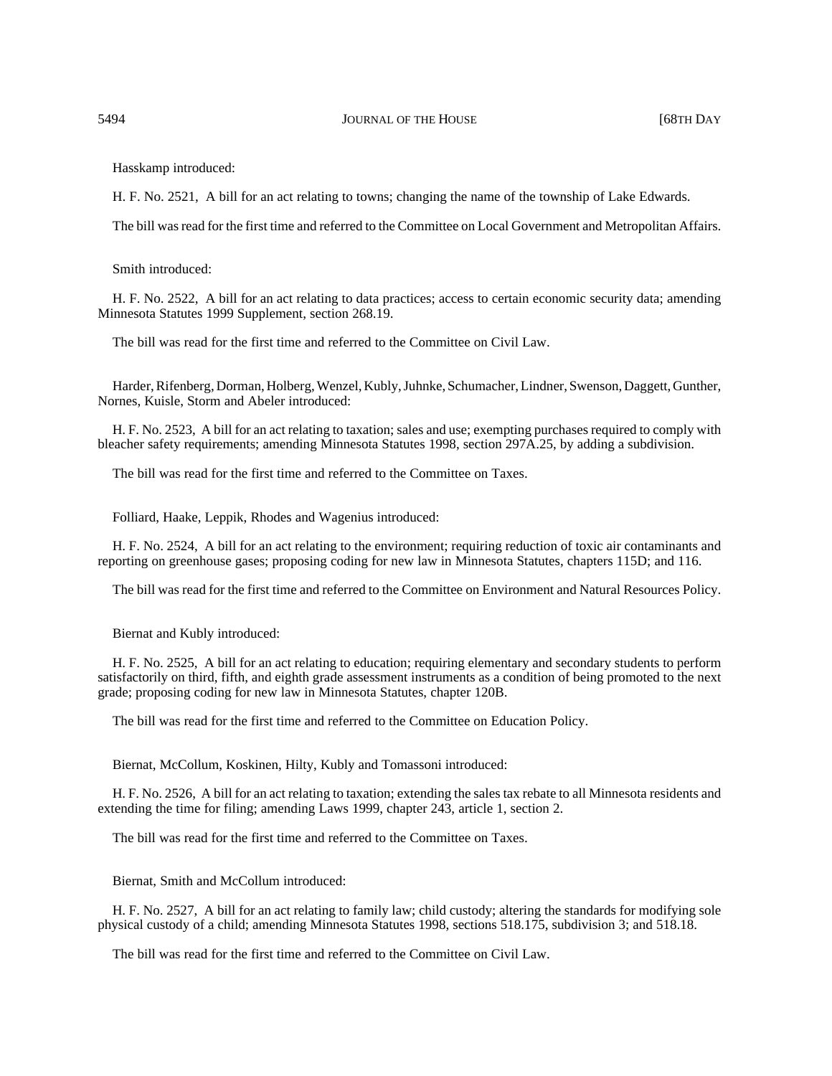## 5494 **JOURNAL OF THE HOUSE** 668TH DAY

Hasskamp introduced:

H. F. No. 2521, A bill for an act relating to towns; changing the name of the township of Lake Edwards.

The bill was read for the first time and referred to the Committee on Local Government and Metropolitan Affairs.

Smith introduced:

H. F. No. 2522, A bill for an act relating to data practices; access to certain economic security data; amending Minnesota Statutes 1999 Supplement, section 268.19.

The bill was read for the first time and referred to the Committee on Civil Law.

Harder, Rifenberg, Dorman, Holberg, Wenzel, Kubly, Juhnke, Schumacher, Lindner, Swenson, Daggett, Gunther, Nornes, Kuisle, Storm and Abeler introduced:

H. F. No. 2523, A bill for an act relating to taxation; sales and use; exempting purchases required to comply with bleacher safety requirements; amending Minnesota Statutes 1998, section 297A.25, by adding a subdivision.

The bill was read for the first time and referred to the Committee on Taxes.

Folliard, Haake, Leppik, Rhodes and Wagenius introduced:

H. F. No. 2524, A bill for an act relating to the environment; requiring reduction of toxic air contaminants and reporting on greenhouse gases; proposing coding for new law in Minnesota Statutes, chapters 115D; and 116.

The bill was read for the first time and referred to the Committee on Environment and Natural Resources Policy.

Biernat and Kubly introduced:

H. F. No. 2525, A bill for an act relating to education; requiring elementary and secondary students to perform satisfactorily on third, fifth, and eighth grade assessment instruments as a condition of being promoted to the next grade; proposing coding for new law in Minnesota Statutes, chapter 120B.

The bill was read for the first time and referred to the Committee on Education Policy.

Biernat, McCollum, Koskinen, Hilty, Kubly and Tomassoni introduced:

H. F. No. 2526, A bill for an act relating to taxation; extending the sales tax rebate to all Minnesota residents and extending the time for filing; amending Laws 1999, chapter 243, article 1, section 2.

The bill was read for the first time and referred to the Committee on Taxes.

Biernat, Smith and McCollum introduced:

H. F. No. 2527, A bill for an act relating to family law; child custody; altering the standards for modifying sole physical custody of a child; amending Minnesota Statutes 1998, sections 518.175, subdivision 3; and 518.18.

The bill was read for the first time and referred to the Committee on Civil Law.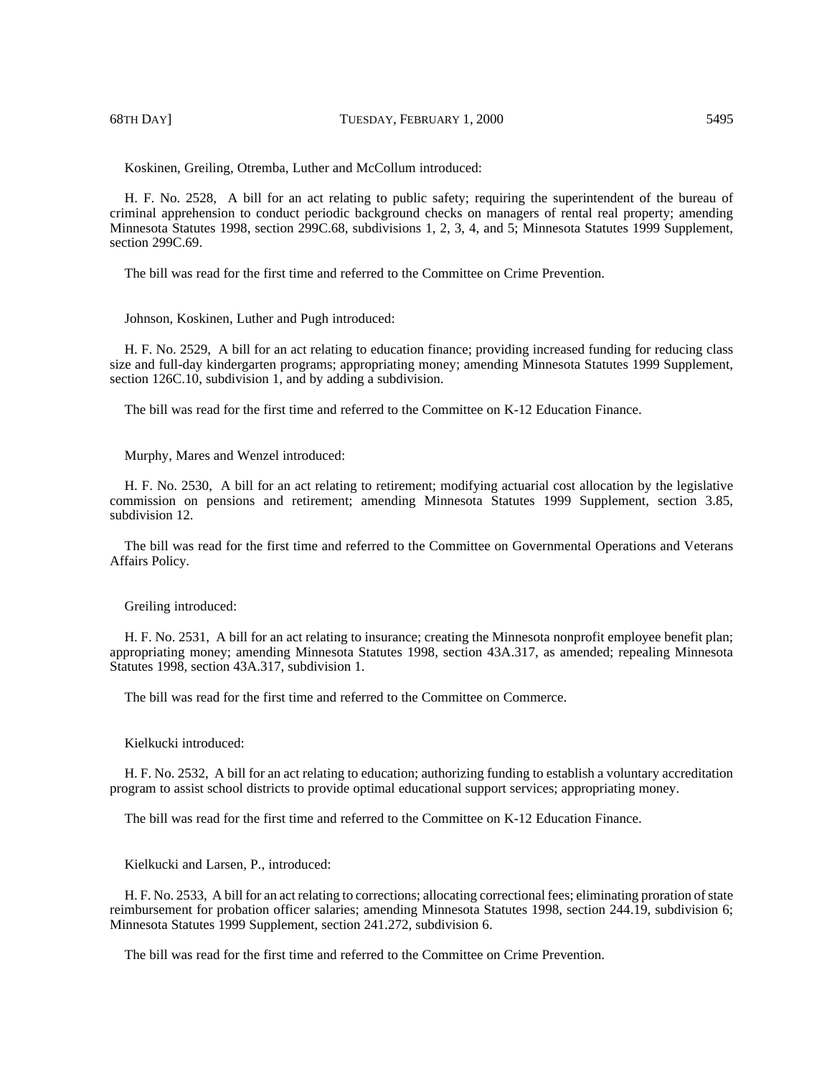Koskinen, Greiling, Otremba, Luther and McCollum introduced:

H. F. No. 2528, A bill for an act relating to public safety; requiring the superintendent of the bureau of criminal apprehension to conduct periodic background checks on managers of rental real property; amending Minnesota Statutes 1998, section 299C.68, subdivisions 1, 2, 3, 4, and 5; Minnesota Statutes 1999 Supplement, section 299C.69.

The bill was read for the first time and referred to the Committee on Crime Prevention.

Johnson, Koskinen, Luther and Pugh introduced:

H. F. No. 2529, A bill for an act relating to education finance; providing increased funding for reducing class size and full-day kindergarten programs; appropriating money; amending Minnesota Statutes 1999 Supplement, section 126C.10, subdivision 1, and by adding a subdivision.

The bill was read for the first time and referred to the Committee on K-12 Education Finance.

Murphy, Mares and Wenzel introduced:

H. F. No. 2530, A bill for an act relating to retirement; modifying actuarial cost allocation by the legislative commission on pensions and retirement; amending Minnesota Statutes 1999 Supplement, section 3.85, subdivision 12.

The bill was read for the first time and referred to the Committee on Governmental Operations and Veterans Affairs Policy.

#### Greiling introduced:

H. F. No. 2531, A bill for an act relating to insurance; creating the Minnesota nonprofit employee benefit plan; appropriating money; amending Minnesota Statutes 1998, section 43A.317, as amended; repealing Minnesota Statutes 1998, section 43A.317, subdivision 1.

The bill was read for the first time and referred to the Committee on Commerce.

Kielkucki introduced:

H. F. No. 2532, A bill for an act relating to education; authorizing funding to establish a voluntary accreditation program to assist school districts to provide optimal educational support services; appropriating money.

The bill was read for the first time and referred to the Committee on K-12 Education Finance.

Kielkucki and Larsen, P., introduced:

H. F. No. 2533, A bill for an act relating to corrections; allocating correctional fees; eliminating proration of state reimbursement for probation officer salaries; amending Minnesota Statutes 1998, section 244.19, subdivision 6; Minnesota Statutes 1999 Supplement, section 241.272, subdivision 6.

The bill was read for the first time and referred to the Committee on Crime Prevention.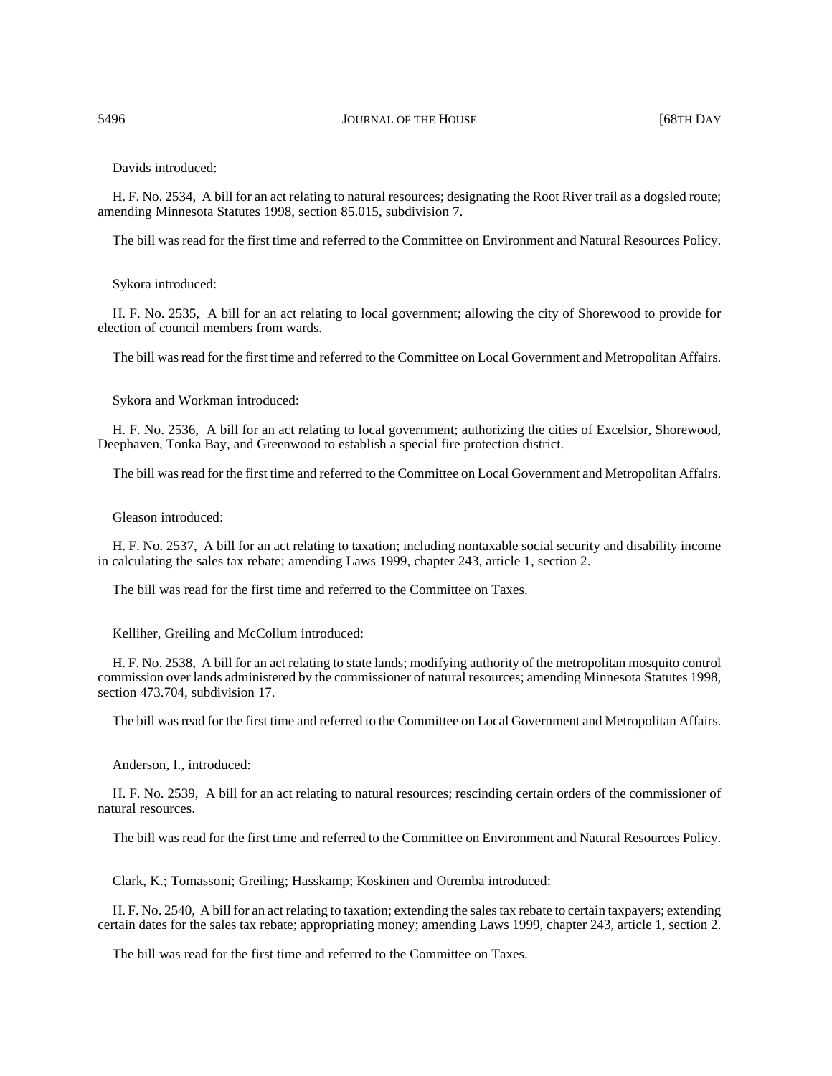Davids introduced:

H. F. No. 2534, A bill for an act relating to natural resources; designating the Root River trail as a dogsled route; amending Minnesota Statutes 1998, section 85.015, subdivision 7.

The bill was read for the first time and referred to the Committee on Environment and Natural Resources Policy.

Sykora introduced:

H. F. No. 2535, A bill for an act relating to local government; allowing the city of Shorewood to provide for election of council members from wards.

The bill was read for the first time and referred to the Committee on Local Government and Metropolitan Affairs.

Sykora and Workman introduced:

H. F. No. 2536, A bill for an act relating to local government; authorizing the cities of Excelsior, Shorewood, Deephaven, Tonka Bay, and Greenwood to establish a special fire protection district.

The bill was read for the first time and referred to the Committee on Local Government and Metropolitan Affairs.

Gleason introduced:

H. F. No. 2537, A bill for an act relating to taxation; including nontaxable social security and disability income in calculating the sales tax rebate; amending Laws 1999, chapter 243, article 1, section 2.

The bill was read for the first time and referred to the Committee on Taxes.

Kelliher, Greiling and McCollum introduced:

H. F. No. 2538, A bill for an act relating to state lands; modifying authority of the metropolitan mosquito control commission over lands administered by the commissioner of natural resources; amending Minnesota Statutes 1998, section 473.704, subdivision 17.

The bill was read for the first time and referred to the Committee on Local Government and Metropolitan Affairs.

Anderson, I., introduced:

H. F. No. 2539, A bill for an act relating to natural resources; rescinding certain orders of the commissioner of natural resources.

The bill was read for the first time and referred to the Committee on Environment and Natural Resources Policy.

Clark, K.; Tomassoni; Greiling; Hasskamp; Koskinen and Otremba introduced:

H. F. No. 2540, A bill for an act relating to taxation; extending the sales tax rebate to certain taxpayers; extending certain dates for the sales tax rebate; appropriating money; amending Laws 1999, chapter 243, article 1, section 2.

The bill was read for the first time and referred to the Committee on Taxes.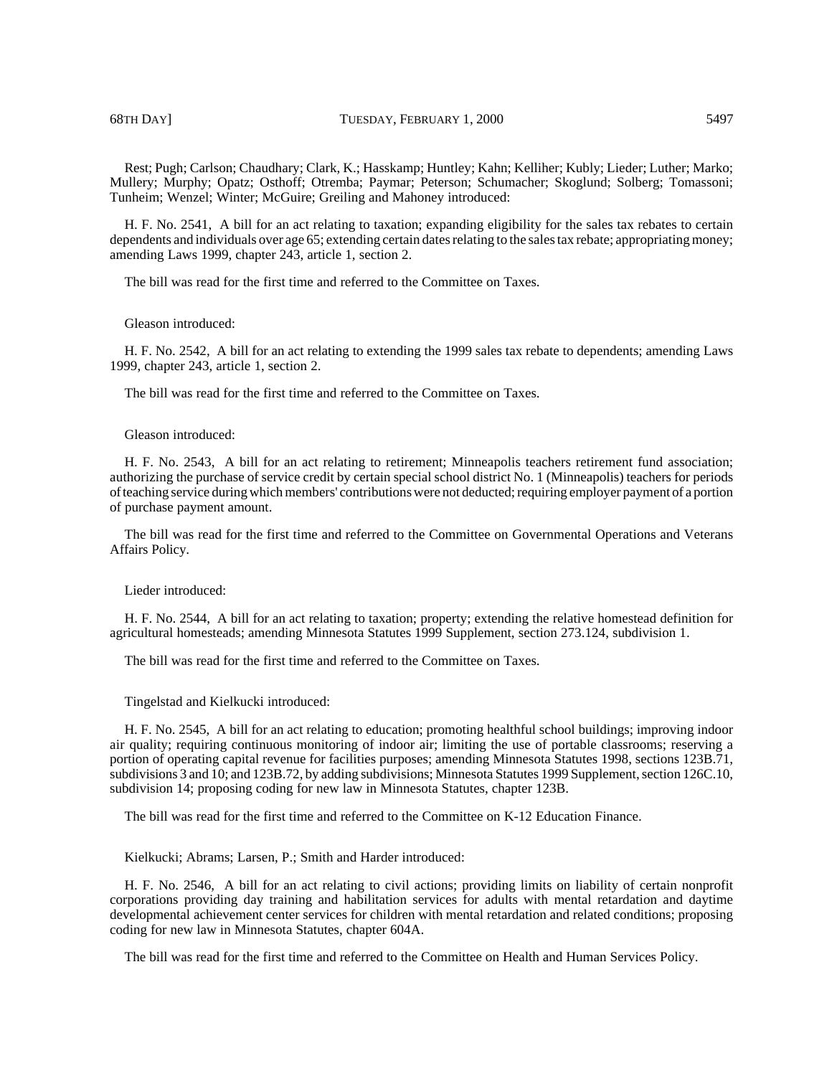Rest; Pugh; Carlson; Chaudhary; Clark, K.; Hasskamp; Huntley; Kahn; Kelliher; Kubly; Lieder; Luther; Marko; Mullery; Murphy; Opatz; Osthoff; Otremba; Paymar; Peterson; Schumacher; Skoglund; Solberg; Tomassoni; Tunheim; Wenzel; Winter; McGuire; Greiling and Mahoney introduced:

H. F. No. 2541, A bill for an act relating to taxation; expanding eligibility for the sales tax rebates to certain dependents and individuals over age 65; extending certain dates relating to the sales tax rebate; appropriating money; amending Laws 1999, chapter 243, article 1, section 2.

The bill was read for the first time and referred to the Committee on Taxes.

Gleason introduced:

H. F. No. 2542, A bill for an act relating to extending the 1999 sales tax rebate to dependents; amending Laws 1999, chapter 243, article 1, section 2.

The bill was read for the first time and referred to the Committee on Taxes.

## Gleason introduced:

H. F. No. 2543, A bill for an act relating to retirement; Minneapolis teachers retirement fund association; authorizing the purchase of service credit by certain special school district No. 1 (Minneapolis) teachers for periods of teaching service during which members' contributions were not deducted; requiring employer payment of a portion of purchase payment amount.

The bill was read for the first time and referred to the Committee on Governmental Operations and Veterans Affairs Policy.

Lieder introduced:

H. F. No. 2544, A bill for an act relating to taxation; property; extending the relative homestead definition for agricultural homesteads; amending Minnesota Statutes 1999 Supplement, section 273.124, subdivision 1.

The bill was read for the first time and referred to the Committee on Taxes.

Tingelstad and Kielkucki introduced:

H. F. No. 2545, A bill for an act relating to education; promoting healthful school buildings; improving indoor air quality; requiring continuous monitoring of indoor air; limiting the use of portable classrooms; reserving a portion of operating capital revenue for facilities purposes; amending Minnesota Statutes 1998, sections 123B.71, subdivisions 3 and 10; and 123B.72, by adding subdivisions; Minnesota Statutes 1999 Supplement, section 126C.10, subdivision 14; proposing coding for new law in Minnesota Statutes, chapter 123B.

The bill was read for the first time and referred to the Committee on K-12 Education Finance.

Kielkucki; Abrams; Larsen, P.; Smith and Harder introduced:

H. F. No. 2546, A bill for an act relating to civil actions; providing limits on liability of certain nonprofit corporations providing day training and habilitation services for adults with mental retardation and daytime developmental achievement center services for children with mental retardation and related conditions; proposing coding for new law in Minnesota Statutes, chapter 604A.

The bill was read for the first time and referred to the Committee on Health and Human Services Policy.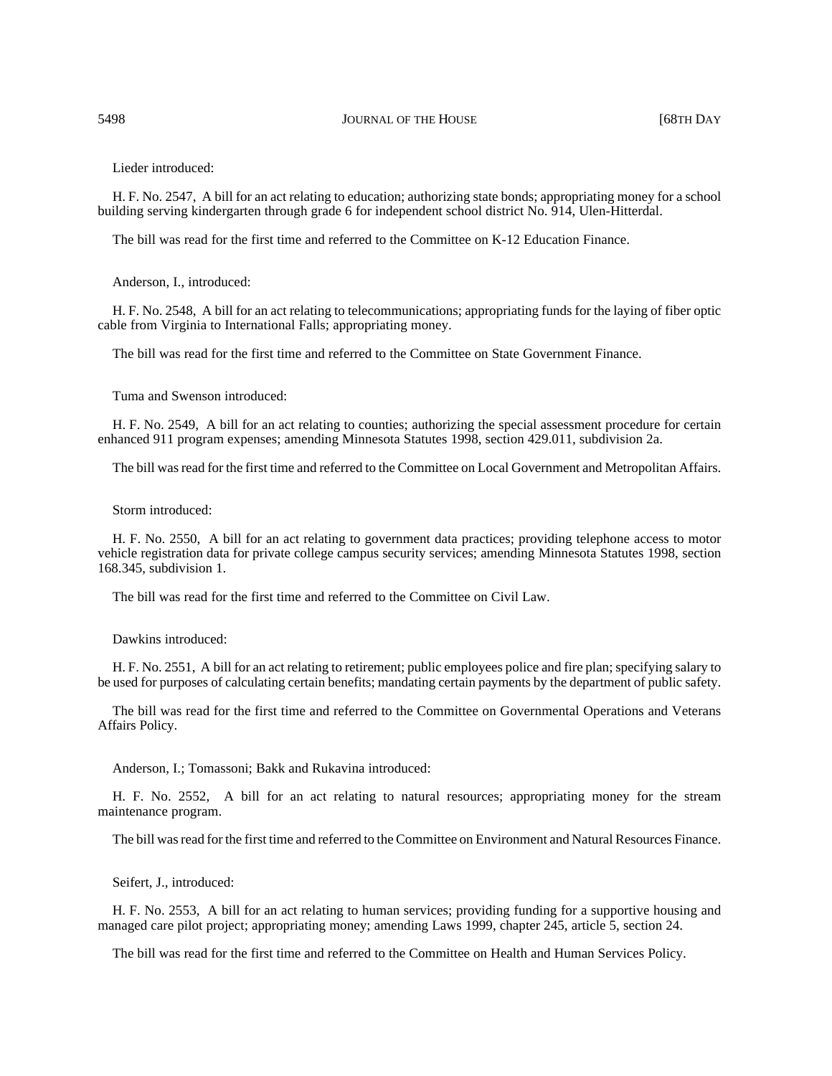Lieder introduced:

H. F. No. 2547, A bill for an act relating to education; authorizing state bonds; appropriating money for a school building serving kindergarten through grade 6 for independent school district No. 914, Ulen-Hitterdal.

The bill was read for the first time and referred to the Committee on K-12 Education Finance.

Anderson, I., introduced:

H. F. No. 2548, A bill for an act relating to telecommunications; appropriating funds for the laying of fiber optic cable from Virginia to International Falls; appropriating money.

The bill was read for the first time and referred to the Committee on State Government Finance.

Tuma and Swenson introduced:

H. F. No. 2549, A bill for an act relating to counties; authorizing the special assessment procedure for certain enhanced 911 program expenses; amending Minnesota Statutes 1998, section 429.011, subdivision 2a.

The bill was read for the first time and referred to the Committee on Local Government and Metropolitan Affairs.

Storm introduced:

H. F. No. 2550, A bill for an act relating to government data practices; providing telephone access to motor vehicle registration data for private college campus security services; amending Minnesota Statutes 1998, section 168.345, subdivision 1.

The bill was read for the first time and referred to the Committee on Civil Law.

Dawkins introduced:

H. F. No. 2551, A bill for an act relating to retirement; public employees police and fire plan; specifying salary to be used for purposes of calculating certain benefits; mandating certain payments by the department of public safety.

The bill was read for the first time and referred to the Committee on Governmental Operations and Veterans Affairs Policy.

Anderson, I.; Tomassoni; Bakk and Rukavina introduced:

H. F. No. 2552, A bill for an act relating to natural resources; appropriating money for the stream maintenance program.

The bill was read for the first time and referred to the Committee on Environment and Natural Resources Finance.

Seifert, J., introduced:

H. F. No. 2553, A bill for an act relating to human services; providing funding for a supportive housing and managed care pilot project; appropriating money; amending Laws 1999, chapter 245, article 5, section 24.

The bill was read for the first time and referred to the Committee on Health and Human Services Policy.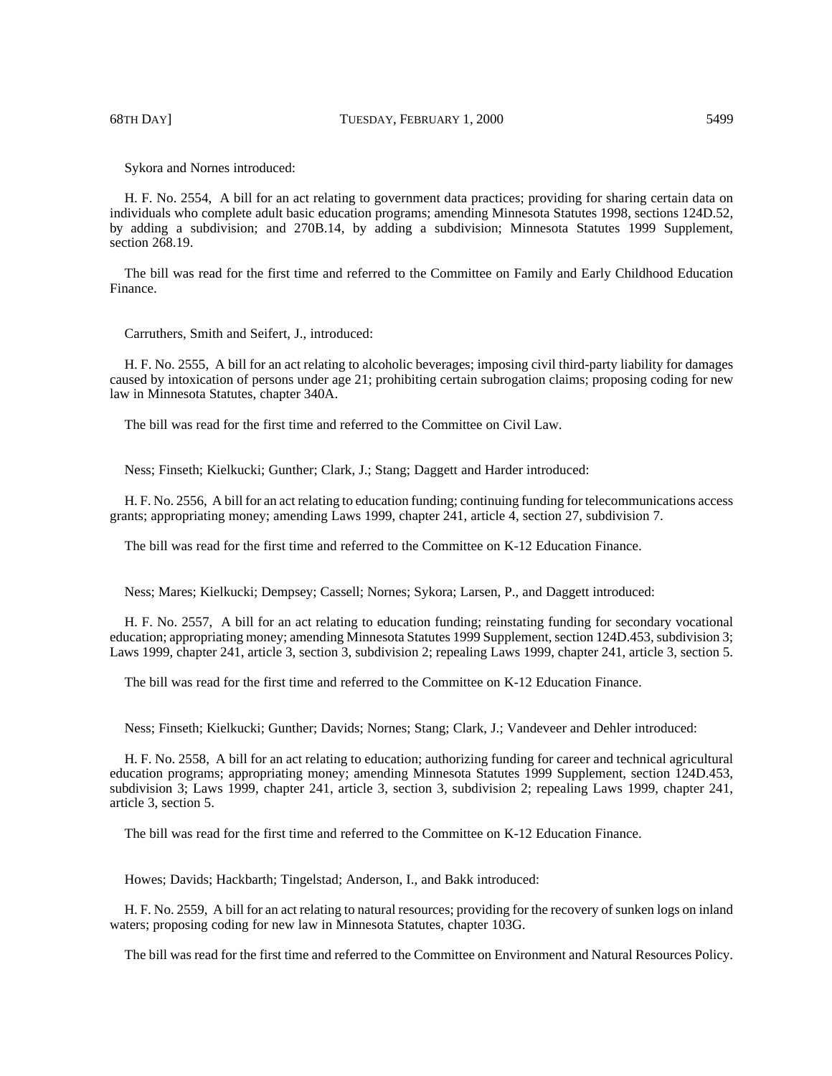Sykora and Nornes introduced:

H. F. No. 2554, A bill for an act relating to government data practices; providing for sharing certain data on individuals who complete adult basic education programs; amending Minnesota Statutes 1998, sections 124D.52, by adding a subdivision; and 270B.14, by adding a subdivision; Minnesota Statutes 1999 Supplement, section 268.19.

The bill was read for the first time and referred to the Committee on Family and Early Childhood Education Finance.

Carruthers, Smith and Seifert, J., introduced:

H. F. No. 2555, A bill for an act relating to alcoholic beverages; imposing civil third-party liability for damages caused by intoxication of persons under age 21; prohibiting certain subrogation claims; proposing coding for new law in Minnesota Statutes, chapter 340A.

The bill was read for the first time and referred to the Committee on Civil Law.

Ness; Finseth; Kielkucki; Gunther; Clark, J.; Stang; Daggett and Harder introduced:

H. F. No. 2556, A bill for an act relating to education funding; continuing funding for telecommunications access grants; appropriating money; amending Laws 1999, chapter 241, article 4, section 27, subdivision 7.

The bill was read for the first time and referred to the Committee on K-12 Education Finance.

Ness; Mares; Kielkucki; Dempsey; Cassell; Nornes; Sykora; Larsen, P., and Daggett introduced:

H. F. No. 2557, A bill for an act relating to education funding; reinstating funding for secondary vocational education; appropriating money; amending Minnesota Statutes 1999 Supplement, section 124D.453, subdivision 3; Laws 1999, chapter 241, article 3, section 3, subdivision 2; repealing Laws 1999, chapter 241, article 3, section 5.

The bill was read for the first time and referred to the Committee on K-12 Education Finance.

Ness; Finseth; Kielkucki; Gunther; Davids; Nornes; Stang; Clark, J.; Vandeveer and Dehler introduced:

H. F. No. 2558, A bill for an act relating to education; authorizing funding for career and technical agricultural education programs; appropriating money; amending Minnesota Statutes 1999 Supplement, section 124D.453, subdivision 3; Laws 1999, chapter 241, article 3, section 3, subdivision 2; repealing Laws 1999, chapter 241, article 3, section 5.

The bill was read for the first time and referred to the Committee on K-12 Education Finance.

Howes; Davids; Hackbarth; Tingelstad; Anderson, I., and Bakk introduced:

H. F. No. 2559, A bill for an act relating to natural resources; providing for the recovery of sunken logs on inland waters; proposing coding for new law in Minnesota Statutes, chapter 103G.

The bill was read for the first time and referred to the Committee on Environment and Natural Resources Policy.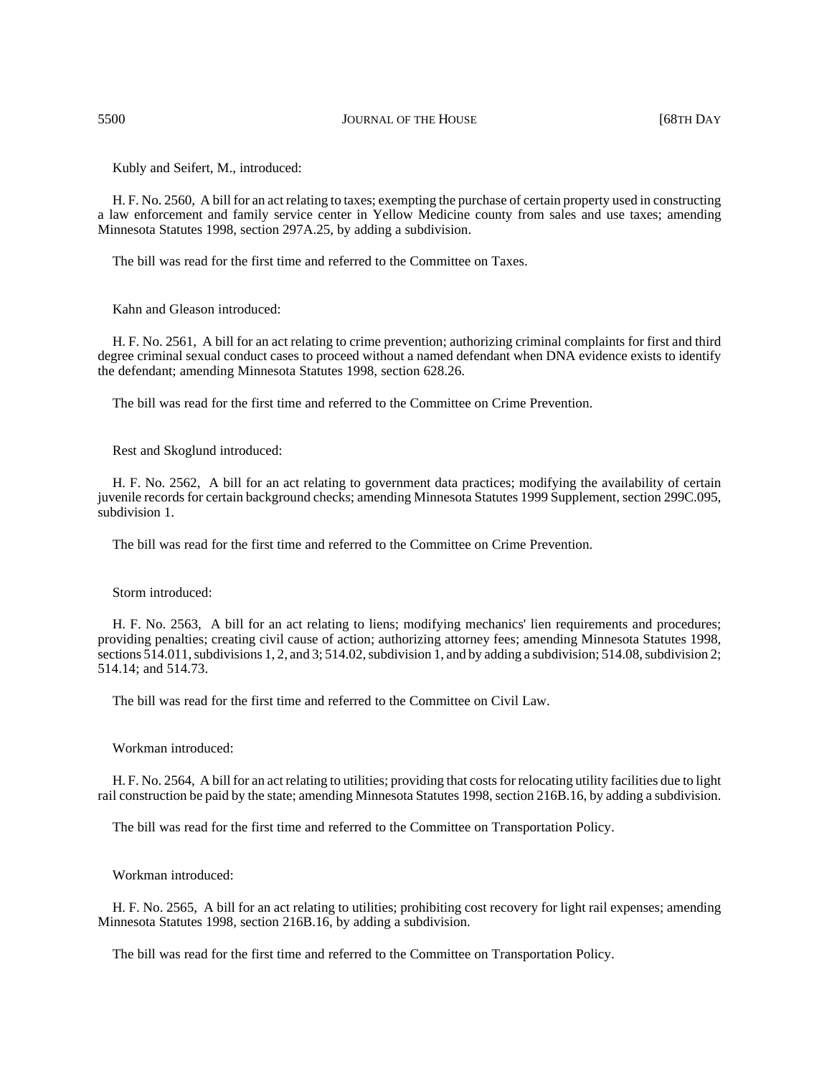5500 **JOURNAL OF THE HOUSE JOURNAL OF THE HOUSE 168TH DAY** 

Kubly and Seifert, M., introduced:

H. F. No. 2560, A bill for an act relating to taxes; exempting the purchase of certain property used in constructing a law enforcement and family service center in Yellow Medicine county from sales and use taxes; amending Minnesota Statutes 1998, section 297A.25, by adding a subdivision.

The bill was read for the first time and referred to the Committee on Taxes.

Kahn and Gleason introduced:

H. F. No. 2561, A bill for an act relating to crime prevention; authorizing criminal complaints for first and third degree criminal sexual conduct cases to proceed without a named defendant when DNA evidence exists to identify the defendant; amending Minnesota Statutes 1998, section 628.26.

The bill was read for the first time and referred to the Committee on Crime Prevention.

Rest and Skoglund introduced:

H. F. No. 2562, A bill for an act relating to government data practices; modifying the availability of certain juvenile records for certain background checks; amending Minnesota Statutes 1999 Supplement, section 299C.095, subdivision 1.

The bill was read for the first time and referred to the Committee on Crime Prevention.

Storm introduced:

H. F. No. 2563, A bill for an act relating to liens; modifying mechanics' lien requirements and procedures; providing penalties; creating civil cause of action; authorizing attorney fees; amending Minnesota Statutes 1998, sections 514.011, subdivisions 1, 2, and 3; 514.02, subdivision 1, and by adding a subdivision; 514.08, subdivision 2; 514.14; and 514.73.

The bill was read for the first time and referred to the Committee on Civil Law.

Workman introduced:

H. F. No. 2564, A bill for an act relating to utilities; providing that costs for relocating utility facilities due to light rail construction be paid by the state; amending Minnesota Statutes 1998, section 216B.16, by adding a subdivision.

The bill was read for the first time and referred to the Committee on Transportation Policy.

Workman introduced:

H. F. No. 2565, A bill for an act relating to utilities; prohibiting cost recovery for light rail expenses; amending Minnesota Statutes 1998, section 216B.16, by adding a subdivision.

The bill was read for the first time and referred to the Committee on Transportation Policy.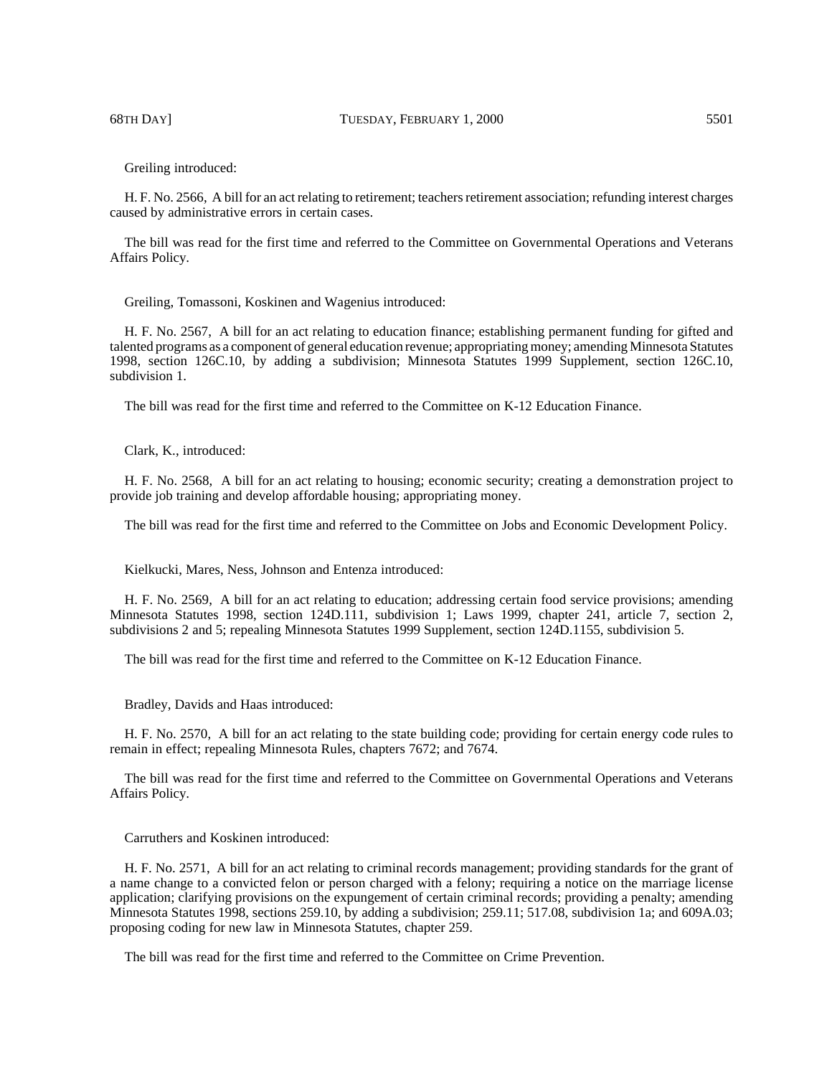Greiling introduced:

H. F. No. 2566, A bill for an act relating to retirement; teachers retirement association; refunding interest charges caused by administrative errors in certain cases.

The bill was read for the first time and referred to the Committee on Governmental Operations and Veterans Affairs Policy.

Greiling, Tomassoni, Koskinen and Wagenius introduced:

H. F. No. 2567, A bill for an act relating to education finance; establishing permanent funding for gifted and talented programs as a component of general education revenue; appropriating money; amending Minnesota Statutes 1998, section 126C.10, by adding a subdivision; Minnesota Statutes 1999 Supplement, section 126C.10, subdivision 1.

The bill was read for the first time and referred to the Committee on K-12 Education Finance.

Clark, K., introduced:

H. F. No. 2568, A bill for an act relating to housing; economic security; creating a demonstration project to provide job training and develop affordable housing; appropriating money.

The bill was read for the first time and referred to the Committee on Jobs and Economic Development Policy.

Kielkucki, Mares, Ness, Johnson and Entenza introduced:

H. F. No. 2569, A bill for an act relating to education; addressing certain food service provisions; amending Minnesota Statutes 1998, section 124D.111, subdivision 1; Laws 1999, chapter 241, article 7, section 2, subdivisions 2 and 5; repealing Minnesota Statutes 1999 Supplement, section 124D.1155, subdivision 5.

The bill was read for the first time and referred to the Committee on K-12 Education Finance.

Bradley, Davids and Haas introduced:

H. F. No. 2570, A bill for an act relating to the state building code; providing for certain energy code rules to remain in effect; repealing Minnesota Rules, chapters 7672; and 7674.

The bill was read for the first time and referred to the Committee on Governmental Operations and Veterans Affairs Policy.

Carruthers and Koskinen introduced:

H. F. No. 2571, A bill for an act relating to criminal records management; providing standards for the grant of a name change to a convicted felon or person charged with a felony; requiring a notice on the marriage license application; clarifying provisions on the expungement of certain criminal records; providing a penalty; amending Minnesota Statutes 1998, sections 259.10, by adding a subdivision; 259.11; 517.08, subdivision 1a; and 609A.03; proposing coding for new law in Minnesota Statutes, chapter 259.

The bill was read for the first time and referred to the Committee on Crime Prevention.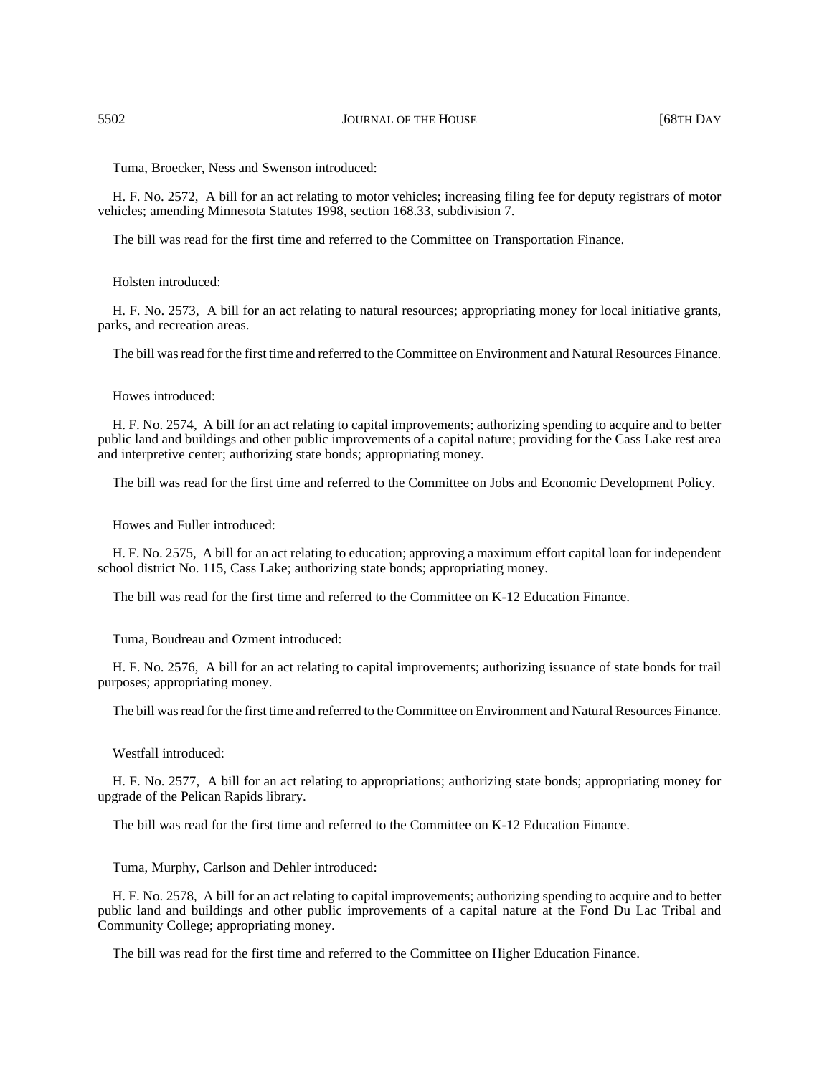Tuma, Broecker, Ness and Swenson introduced:

H. F. No. 2572, A bill for an act relating to motor vehicles; increasing filing fee for deputy registrars of motor vehicles; amending Minnesota Statutes 1998, section 168.33, subdivision 7.

The bill was read for the first time and referred to the Committee on Transportation Finance.

Holsten introduced:

H. F. No. 2573, A bill for an act relating to natural resources; appropriating money for local initiative grants, parks, and recreation areas.

The bill was read for the first time and referred to the Committee on Environment and Natural Resources Finance.

## Howes introduced:

H. F. No. 2574, A bill for an act relating to capital improvements; authorizing spending to acquire and to better public land and buildings and other public improvements of a capital nature; providing for the Cass Lake rest area and interpretive center; authorizing state bonds; appropriating money.

The bill was read for the first time and referred to the Committee on Jobs and Economic Development Policy.

Howes and Fuller introduced:

H. F. No. 2575, A bill for an act relating to education; approving a maximum effort capital loan for independent school district No. 115, Cass Lake; authorizing state bonds; appropriating money.

The bill was read for the first time and referred to the Committee on K-12 Education Finance.

Tuma, Boudreau and Ozment introduced:

H. F. No. 2576, A bill for an act relating to capital improvements; authorizing issuance of state bonds for trail purposes; appropriating money.

The bill was read for the first time and referred to the Committee on Environment and Natural Resources Finance.

Westfall introduced:

H. F. No. 2577, A bill for an act relating to appropriations; authorizing state bonds; appropriating money for upgrade of the Pelican Rapids library.

The bill was read for the first time and referred to the Committee on K-12 Education Finance.

Tuma, Murphy, Carlson and Dehler introduced:

H. F. No. 2578, A bill for an act relating to capital improvements; authorizing spending to acquire and to better public land and buildings and other public improvements of a capital nature at the Fond Du Lac Tribal and Community College; appropriating money.

The bill was read for the first time and referred to the Committee on Higher Education Finance.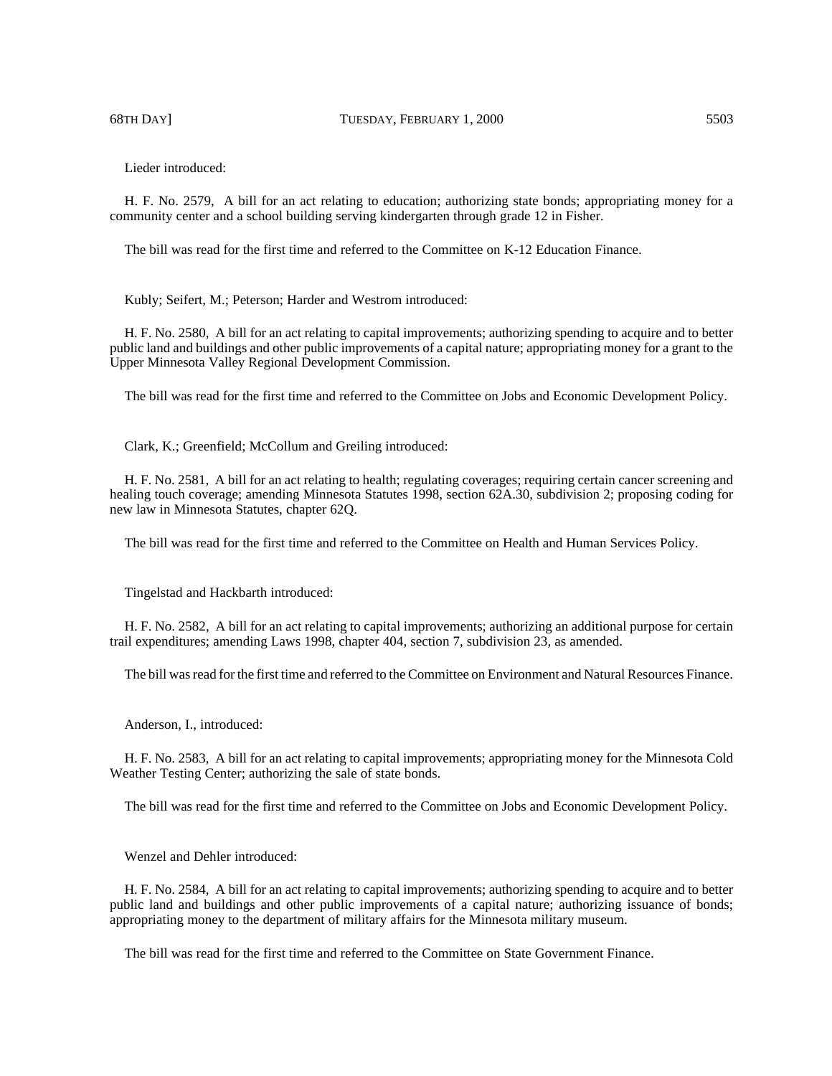68TH DAY] TUESDAY, FEBRUARY 1, 2000 5503

Lieder introduced:

H. F. No. 2579, A bill for an act relating to education; authorizing state bonds; appropriating money for a community center and a school building serving kindergarten through grade 12 in Fisher.

The bill was read for the first time and referred to the Committee on K-12 Education Finance.

Kubly; Seifert, M.; Peterson; Harder and Westrom introduced:

H. F. No. 2580, A bill for an act relating to capital improvements; authorizing spending to acquire and to better public land and buildings and other public improvements of a capital nature; appropriating money for a grant to the Upper Minnesota Valley Regional Development Commission.

The bill was read for the first time and referred to the Committee on Jobs and Economic Development Policy.

Clark, K.; Greenfield; McCollum and Greiling introduced:

H. F. No. 2581, A bill for an act relating to health; regulating coverages; requiring certain cancer screening and healing touch coverage; amending Minnesota Statutes 1998, section 62A.30, subdivision 2; proposing coding for new law in Minnesota Statutes, chapter 62Q.

The bill was read for the first time and referred to the Committee on Health and Human Services Policy.

Tingelstad and Hackbarth introduced:

H. F. No. 2582, A bill for an act relating to capital improvements; authorizing an additional purpose for certain trail expenditures; amending Laws 1998, chapter 404, section 7, subdivision 23, as amended.

The bill was read for the first time and referred to the Committee on Environment and Natural Resources Finance.

Anderson, I., introduced:

H. F. No. 2583, A bill for an act relating to capital improvements; appropriating money for the Minnesota Cold Weather Testing Center; authorizing the sale of state bonds.

The bill was read for the first time and referred to the Committee on Jobs and Economic Development Policy.

Wenzel and Dehler introduced:

H. F. No. 2584, A bill for an act relating to capital improvements; authorizing spending to acquire and to better public land and buildings and other public improvements of a capital nature; authorizing issuance of bonds; appropriating money to the department of military affairs for the Minnesota military museum.

The bill was read for the first time and referred to the Committee on State Government Finance.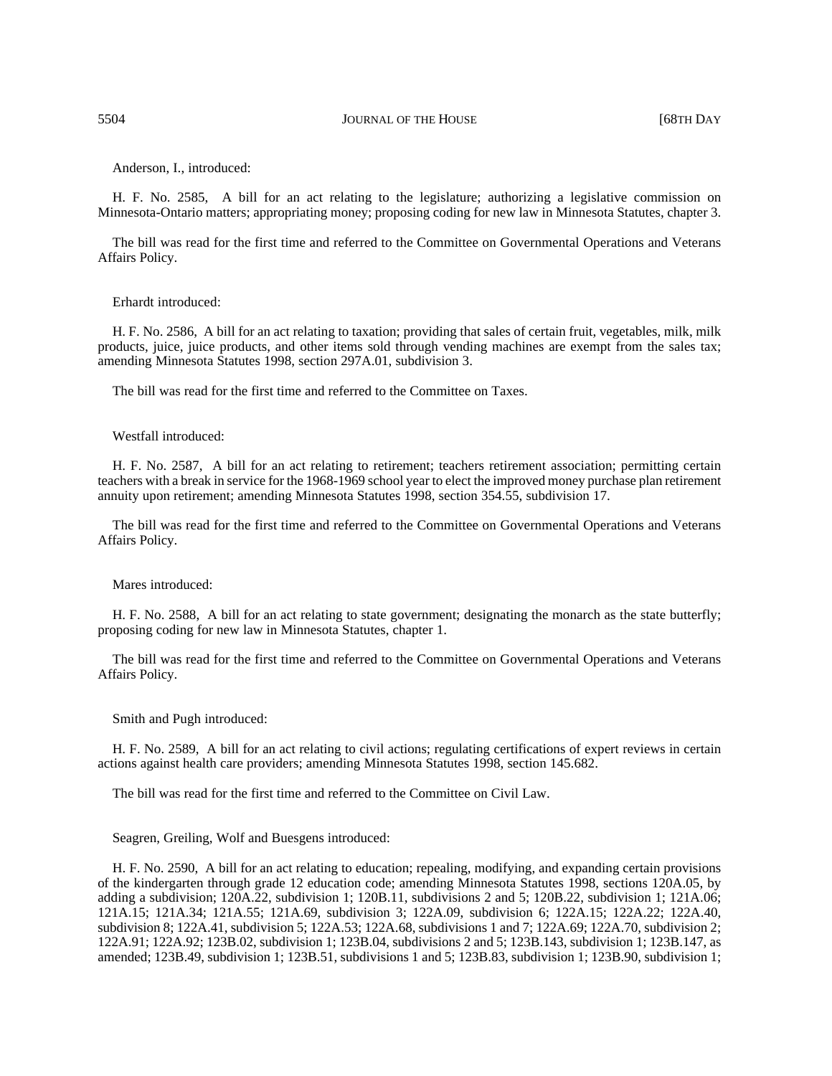Anderson, I., introduced:

H. F. No. 2585, A bill for an act relating to the legislature; authorizing a legislative commission on Minnesota-Ontario matters; appropriating money; proposing coding for new law in Minnesota Statutes, chapter 3.

The bill was read for the first time and referred to the Committee on Governmental Operations and Veterans Affairs Policy.

## Erhardt introduced:

H. F. No. 2586, A bill for an act relating to taxation; providing that sales of certain fruit, vegetables, milk, milk products, juice, juice products, and other items sold through vending machines are exempt from the sales tax; amending Minnesota Statutes 1998, section 297A.01, subdivision 3.

The bill was read for the first time and referred to the Committee on Taxes.

## Westfall introduced:

H. F. No. 2587, A bill for an act relating to retirement; teachers retirement association; permitting certain teachers with a break in service for the 1968-1969 school year to elect the improved money purchase plan retirement annuity upon retirement; amending Minnesota Statutes 1998, section 354.55, subdivision 17.

The bill was read for the first time and referred to the Committee on Governmental Operations and Veterans Affairs Policy.

## Mares introduced:

H. F. No. 2588, A bill for an act relating to state government; designating the monarch as the state butterfly; proposing coding for new law in Minnesota Statutes, chapter 1.

The bill was read for the first time and referred to the Committee on Governmental Operations and Veterans Affairs Policy.

Smith and Pugh introduced:

H. F. No. 2589, A bill for an act relating to civil actions; regulating certifications of expert reviews in certain actions against health care providers; amending Minnesota Statutes 1998, section 145.682.

The bill was read for the first time and referred to the Committee on Civil Law.

#### Seagren, Greiling, Wolf and Buesgens introduced:

H. F. No. 2590, A bill for an act relating to education; repealing, modifying, and expanding certain provisions of the kindergarten through grade 12 education code; amending Minnesota Statutes 1998, sections 120A.05, by adding a subdivision; 120A.22, subdivision 1; 120B.11, subdivisions 2 and 5; 120B.22, subdivision 1; 121A.06; 121A.15; 121A.34; 121A.55; 121A.69, subdivision 3; 122A.09, subdivision 6; 122A.15; 122A.22; 122A.40, subdivision 8; 122A.41, subdivision 5; 122A.53; 122A.68, subdivisions 1 and 7; 122A.69; 122A.70, subdivision 2; 122A.91; 122A.92; 123B.02, subdivision 1; 123B.04, subdivisions 2 and 5; 123B.143, subdivision 1; 123B.147, as amended; 123B.49, subdivision 1; 123B.51, subdivisions 1 and 5; 123B.83, subdivision 1; 123B.90, subdivision 1;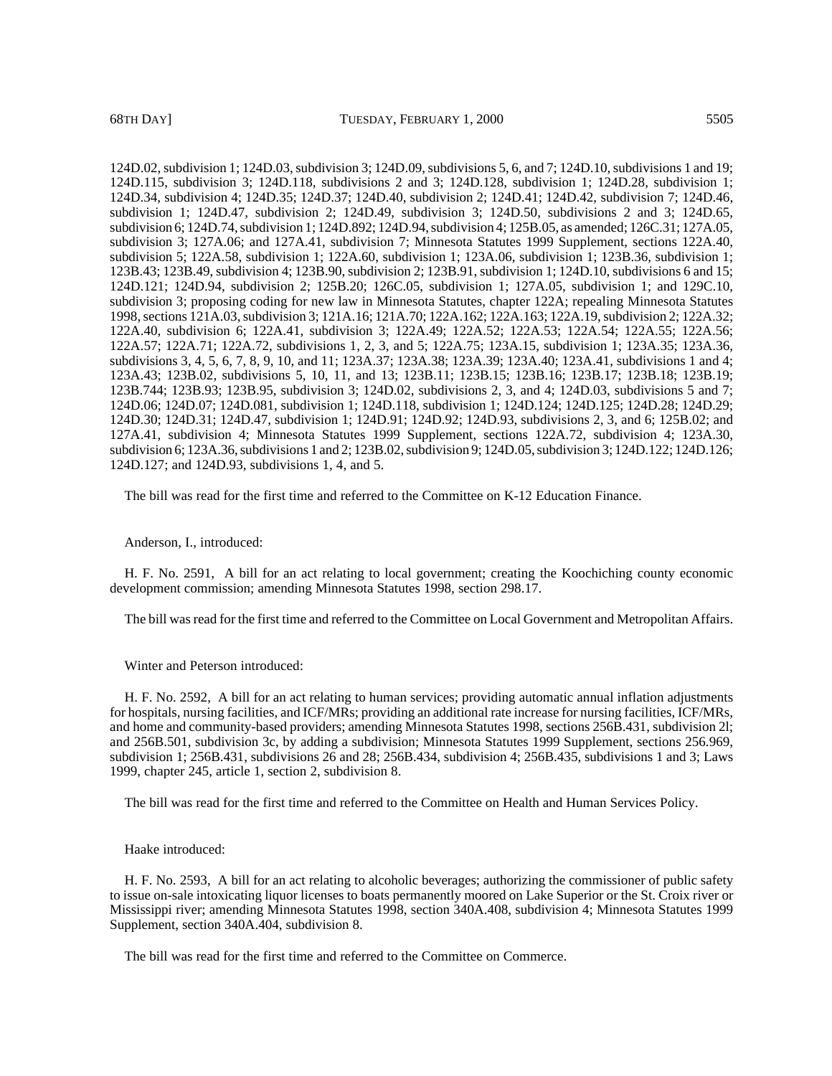124D.02, subdivision 1; 124D.03, subdivision 3; 124D.09, subdivisions 5, 6, and 7; 124D.10, subdivisions 1 and 19; 124D.115, subdivision 3; 124D.118, subdivisions 2 and 3; 124D.128, subdivision 1; 124D.28, subdivision 1; 124D.34, subdivision 4; 124D.35; 124D.37; 124D.40, subdivision 2; 124D.41; 124D.42, subdivision 7; 124D.46, subdivision 1; 124D.47, subdivision 2; 124D.49, subdivision 3; 124D.50, subdivisions 2 and 3; 124D.65, subdivision 6; 124D.74, subdivision 1; 124D.892; 124D.94, subdivision 4; 125B.05, as amended; 126C.31; 127A.05, subdivision 3; 127A.06; and 127A.41, subdivision 7; Minnesota Statutes 1999 Supplement, sections 122A.40, subdivision 5; 122A.58, subdivision 1; 122A.60, subdivision 1; 123A.06, subdivision 1; 123B.36, subdivision 1; 123B.43; 123B.49, subdivision 4; 123B.90, subdivision 2; 123B.91, subdivision 1; 124D.10, subdivisions 6 and 15; 124D.121; 124D.94, subdivision 2; 125B.20; 126C.05, subdivision 1; 127A.05, subdivision 1; and 129C.10, subdivision 3; proposing coding for new law in Minnesota Statutes, chapter 122A; repealing Minnesota Statutes 1998, sections 121A.03, subdivision 3; 121A.16; 121A.70; 122A.162; 122A.163; 122A.19, subdivision 2; 122A.32; 122A.40, subdivision 6; 122A.41, subdivision 3; 122A.49; 122A.52; 122A.53; 122A.54; 122A.55; 122A.56; 122A.57; 122A.71; 122A.72, subdivisions 1, 2, 3, and 5; 122A.75; 123A.15, subdivision 1; 123A.35; 123A.36, subdivisions 3, 4, 5, 6, 7, 8, 9, 10, and 11; 123A.37; 123A.38; 123A.39; 123A.40; 123A.41, subdivisions 1 and 4; 123A.43; 123B.02, subdivisions 5, 10, 11, and 13; 123B.11; 123B.15; 123B.16; 123B.17; 123B.18; 123B.19; 123B.744; 123B.93; 123B.95, subdivision 3; 124D.02, subdivisions 2, 3, and 4; 124D.03, subdivisions 5 and 7; 124D.06; 124D.07; 124D.081, subdivision 1; 124D.118, subdivision 1; 124D.124; 124D.125; 124D.28; 124D.29; 124D.30; 124D.31; 124D.47, subdivision 1; 124D.91; 124D.92; 124D.93, subdivisions 2, 3, and 6; 125B.02; and 127A.41, subdivision 4; Minnesota Statutes 1999 Supplement, sections 122A.72, subdivision 4; 123A.30, subdivision 6; 123A.36, subdivisions 1 and 2; 123B.02, subdivision 9; 124D.05, subdivision 3; 124D.122; 124D.126; 124D.127; and 124D.93, subdivisions 1, 4, and 5.

The bill was read for the first time and referred to the Committee on K-12 Education Finance.

#### Anderson, I., introduced:

H. F. No. 2591, A bill for an act relating to local government; creating the Koochiching county economic development commission; amending Minnesota Statutes 1998, section 298.17.

The bill was read for the first time and referred to the Committee on Local Government and Metropolitan Affairs.

## Winter and Peterson introduced:

H. F. No. 2592, A bill for an act relating to human services; providing automatic annual inflation adjustments for hospitals, nursing facilities, and ICF/MRs; providing an additional rate increase for nursing facilities, ICF/MRs, and home and community-based providers; amending Minnesota Statutes 1998, sections 256B.431, subdivision 2l; and 256B.501, subdivision 3c, by adding a subdivision; Minnesota Statutes 1999 Supplement, sections 256.969, subdivision 1; 256B.431, subdivisions 26 and 28; 256B.434, subdivision 4; 256B.435, subdivisions 1 and 3; Laws 1999, chapter 245, article 1, section 2, subdivision 8.

The bill was read for the first time and referred to the Committee on Health and Human Services Policy.

## Haake introduced:

H. F. No. 2593, A bill for an act relating to alcoholic beverages; authorizing the commissioner of public safety to issue on-sale intoxicating liquor licenses to boats permanently moored on Lake Superior or the St. Croix river or Mississippi river; amending Minnesota Statutes 1998, section 340A.408, subdivision 4; Minnesota Statutes 1999 Supplement, section 340A.404, subdivision 8.

The bill was read for the first time and referred to the Committee on Commerce.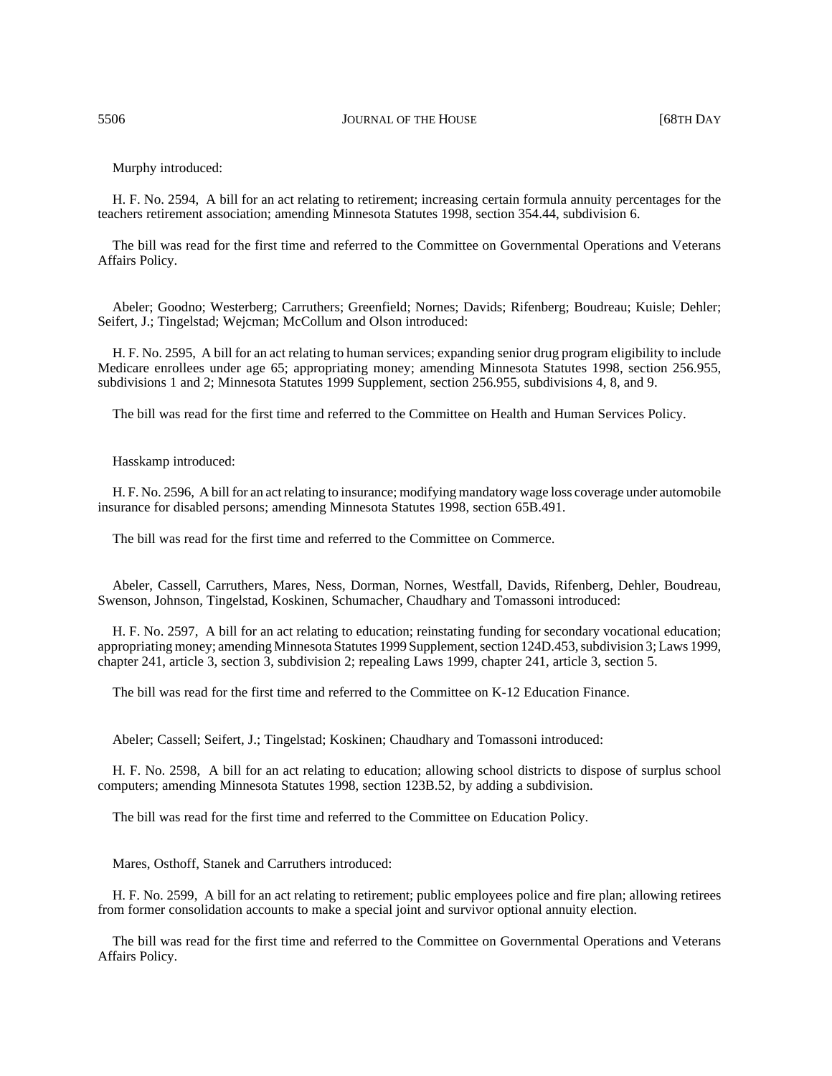Murphy introduced:

H. F. No. 2594, A bill for an act relating to retirement; increasing certain formula annuity percentages for the teachers retirement association; amending Minnesota Statutes 1998, section 354.44, subdivision 6.

The bill was read for the first time and referred to the Committee on Governmental Operations and Veterans Affairs Policy.

Abeler; Goodno; Westerberg; Carruthers; Greenfield; Nornes; Davids; Rifenberg; Boudreau; Kuisle; Dehler; Seifert, J.; Tingelstad; Wejcman; McCollum and Olson introduced:

H. F. No. 2595, A bill for an act relating to human services; expanding senior drug program eligibility to include Medicare enrollees under age 65; appropriating money; amending Minnesota Statutes 1998, section 256.955, subdivisions 1 and 2; Minnesota Statutes 1999 Supplement, section 256.955, subdivisions 4, 8, and 9.

The bill was read for the first time and referred to the Committee on Health and Human Services Policy.

Hasskamp introduced:

H. F. No. 2596, A bill for an act relating to insurance; modifying mandatory wage loss coverage under automobile insurance for disabled persons; amending Minnesota Statutes 1998, section 65B.491.

The bill was read for the first time and referred to the Committee on Commerce.

Abeler, Cassell, Carruthers, Mares, Ness, Dorman, Nornes, Westfall, Davids, Rifenberg, Dehler, Boudreau, Swenson, Johnson, Tingelstad, Koskinen, Schumacher, Chaudhary and Tomassoni introduced:

H. F. No. 2597, A bill for an act relating to education; reinstating funding for secondary vocational education; appropriating money; amending Minnesota Statutes 1999 Supplement, section 124D.453, subdivision 3; Laws 1999, chapter 241, article 3, section 3, subdivision 2; repealing Laws 1999, chapter 241, article 3, section 5.

The bill was read for the first time and referred to the Committee on K-12 Education Finance.

Abeler; Cassell; Seifert, J.; Tingelstad; Koskinen; Chaudhary and Tomassoni introduced:

H. F. No. 2598, A bill for an act relating to education; allowing school districts to dispose of surplus school computers; amending Minnesota Statutes 1998, section 123B.52, by adding a subdivision.

The bill was read for the first time and referred to the Committee on Education Policy.

Mares, Osthoff, Stanek and Carruthers introduced:

H. F. No. 2599, A bill for an act relating to retirement; public employees police and fire plan; allowing retirees from former consolidation accounts to make a special joint and survivor optional annuity election.

The bill was read for the first time and referred to the Committee on Governmental Operations and Veterans Affairs Policy.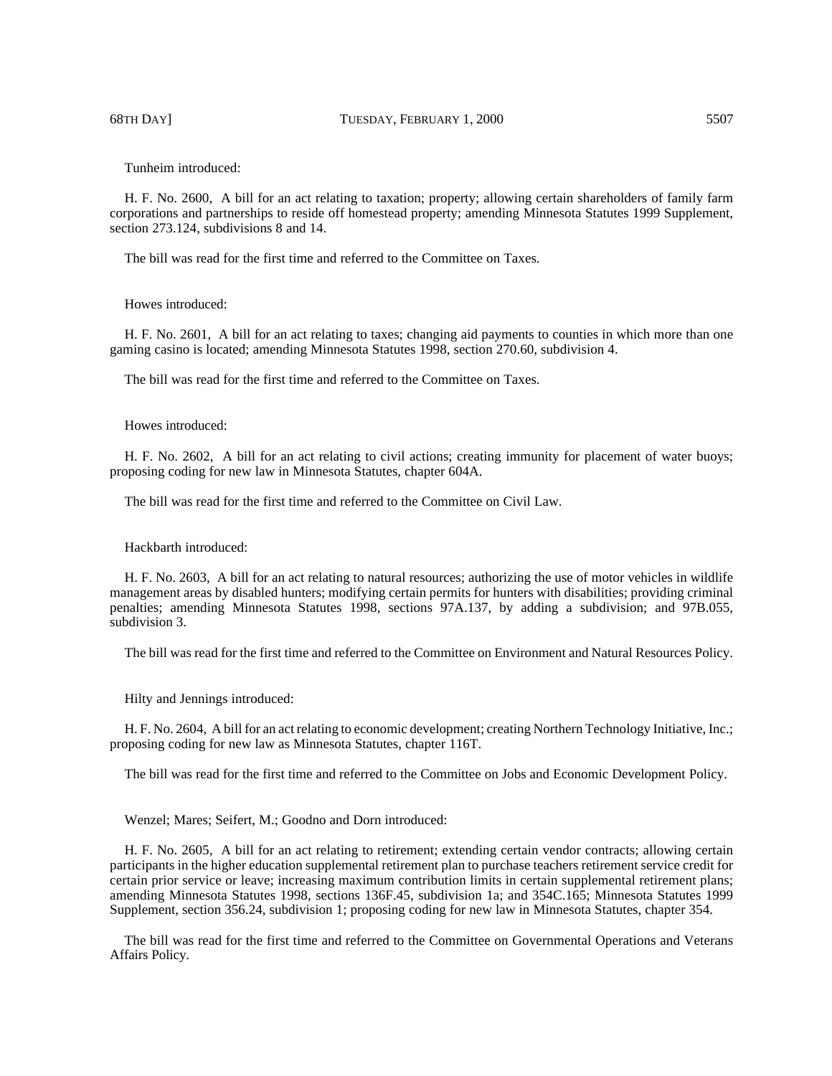Tunheim introduced:

H. F. No. 2600, A bill for an act relating to taxation; property; allowing certain shareholders of family farm corporations and partnerships to reside off homestead property; amending Minnesota Statutes 1999 Supplement, section 273.124, subdivisions 8 and 14.

The bill was read for the first time and referred to the Committee on Taxes.

## Howes introduced:

H. F. No. 2601, A bill for an act relating to taxes; changing aid payments to counties in which more than one gaming casino is located; amending Minnesota Statutes 1998, section 270.60, subdivision 4.

The bill was read for the first time and referred to the Committee on Taxes.

### Howes introduced:

H. F. No. 2602, A bill for an act relating to civil actions; creating immunity for placement of water buoys; proposing coding for new law in Minnesota Statutes, chapter 604A.

The bill was read for the first time and referred to the Committee on Civil Law.

# Hackbarth introduced:

H. F. No. 2603, A bill for an act relating to natural resources; authorizing the use of motor vehicles in wildlife management areas by disabled hunters; modifying certain permits for hunters with disabilities; providing criminal penalties; amending Minnesota Statutes 1998, sections 97A.137, by adding a subdivision; and 97B.055, subdivision 3.

The bill was read for the first time and referred to the Committee on Environment and Natural Resources Policy.

Hilty and Jennings introduced:

H. F. No. 2604, A bill for an act relating to economic development; creating Northern Technology Initiative, Inc.; proposing coding for new law as Minnesota Statutes, chapter 116T.

The bill was read for the first time and referred to the Committee on Jobs and Economic Development Policy.

Wenzel; Mares; Seifert, M.; Goodno and Dorn introduced:

H. F. No. 2605, A bill for an act relating to retirement; extending certain vendor contracts; allowing certain participants in the higher education supplemental retirement plan to purchase teachers retirement service credit for certain prior service or leave; increasing maximum contribution limits in certain supplemental retirement plans; amending Minnesota Statutes 1998, sections 136F.45, subdivision 1a; and 354C.165; Minnesota Statutes 1999 Supplement, section 356.24, subdivision 1; proposing coding for new law in Minnesota Statutes, chapter 354.

The bill was read for the first time and referred to the Committee on Governmental Operations and Veterans Affairs Policy.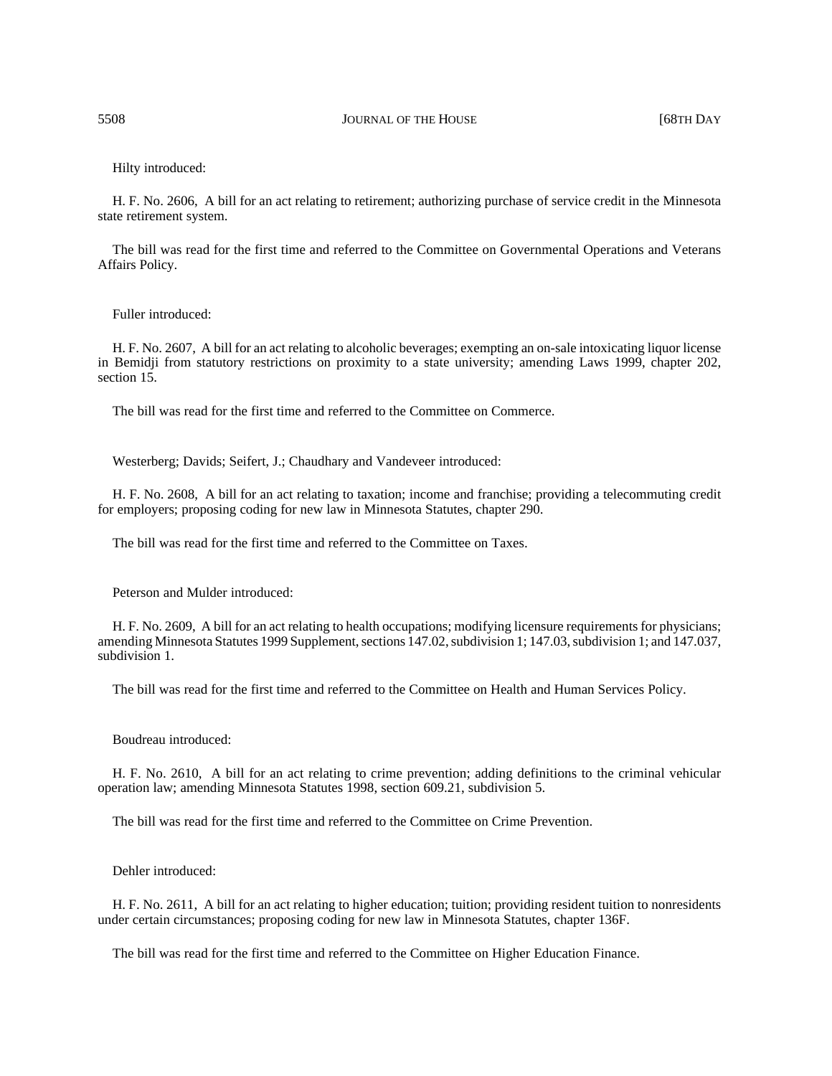Hilty introduced:

H. F. No. 2606, A bill for an act relating to retirement; authorizing purchase of service credit in the Minnesota state retirement system.

The bill was read for the first time and referred to the Committee on Governmental Operations and Veterans Affairs Policy.

## Fuller introduced:

H. F. No. 2607, A bill for an act relating to alcoholic beverages; exempting an on-sale intoxicating liquor license in Bemidji from statutory restrictions on proximity to a state university; amending Laws 1999, chapter 202, section 15.

The bill was read for the first time and referred to the Committee on Commerce.

Westerberg; Davids; Seifert, J.; Chaudhary and Vandeveer introduced:

H. F. No. 2608, A bill for an act relating to taxation; income and franchise; providing a telecommuting credit for employers; proposing coding for new law in Minnesota Statutes, chapter 290.

The bill was read for the first time and referred to the Committee on Taxes.

Peterson and Mulder introduced:

H. F. No. 2609, A bill for an act relating to health occupations; modifying licensure requirements for physicians; amending Minnesota Statutes 1999 Supplement, sections 147.02, subdivision 1; 147.03, subdivision 1; and 147.037, subdivision 1.

The bill was read for the first time and referred to the Committee on Health and Human Services Policy.

# Boudreau introduced:

H. F. No. 2610, A bill for an act relating to crime prevention; adding definitions to the criminal vehicular operation law; amending Minnesota Statutes 1998, section 609.21, subdivision 5.

The bill was read for the first time and referred to the Committee on Crime Prevention.

Dehler introduced:

H. F. No. 2611, A bill for an act relating to higher education; tuition; providing resident tuition to nonresidents under certain circumstances; proposing coding for new law in Minnesota Statutes, chapter 136F.

The bill was read for the first time and referred to the Committee on Higher Education Finance.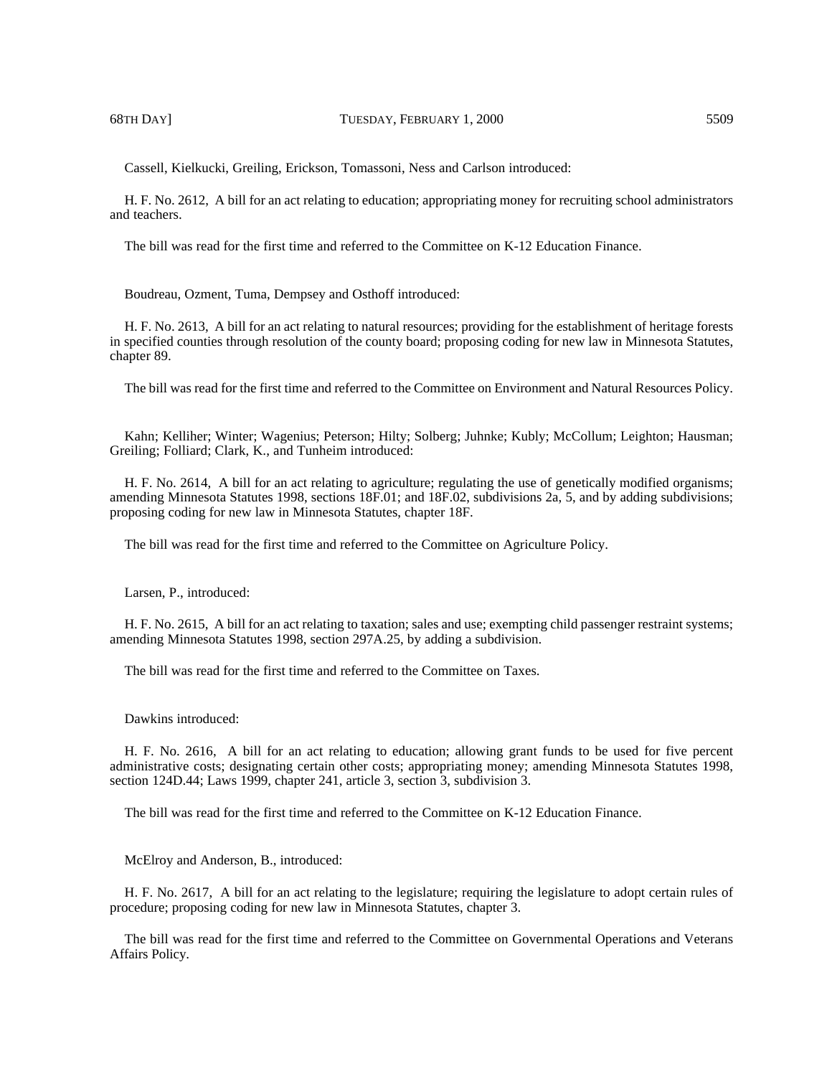Cassell, Kielkucki, Greiling, Erickson, Tomassoni, Ness and Carlson introduced:

H. F. No. 2612, A bill for an act relating to education; appropriating money for recruiting school administrators and teachers.

The bill was read for the first time and referred to the Committee on K-12 Education Finance.

Boudreau, Ozment, Tuma, Dempsey and Osthoff introduced:

H. F. No. 2613, A bill for an act relating to natural resources; providing for the establishment of heritage forests in specified counties through resolution of the county board; proposing coding for new law in Minnesota Statutes, chapter 89.

The bill was read for the first time and referred to the Committee on Environment and Natural Resources Policy.

Kahn; Kelliher; Winter; Wagenius; Peterson; Hilty; Solberg; Juhnke; Kubly; McCollum; Leighton; Hausman; Greiling; Folliard; Clark, K., and Tunheim introduced:

H. F. No. 2614, A bill for an act relating to agriculture; regulating the use of genetically modified organisms; amending Minnesota Statutes 1998, sections 18F.01; and 18F.02, subdivisions 2a, 5, and by adding subdivisions; proposing coding for new law in Minnesota Statutes, chapter 18F.

The bill was read for the first time and referred to the Committee on Agriculture Policy.

Larsen, P., introduced:

H. F. No. 2615, A bill for an act relating to taxation; sales and use; exempting child passenger restraint systems; amending Minnesota Statutes 1998, section 297A.25, by adding a subdivision.

The bill was read for the first time and referred to the Committee on Taxes.

Dawkins introduced:

H. F. No. 2616, A bill for an act relating to education; allowing grant funds to be used for five percent administrative costs; designating certain other costs; appropriating money; amending Minnesota Statutes 1998, section 124D.44; Laws 1999, chapter 241, article 3, section 3, subdivision 3.

The bill was read for the first time and referred to the Committee on K-12 Education Finance.

McElroy and Anderson, B., introduced:

H. F. No. 2617, A bill for an act relating to the legislature; requiring the legislature to adopt certain rules of procedure; proposing coding for new law in Minnesota Statutes, chapter 3.

The bill was read for the first time and referred to the Committee on Governmental Operations and Veterans Affairs Policy.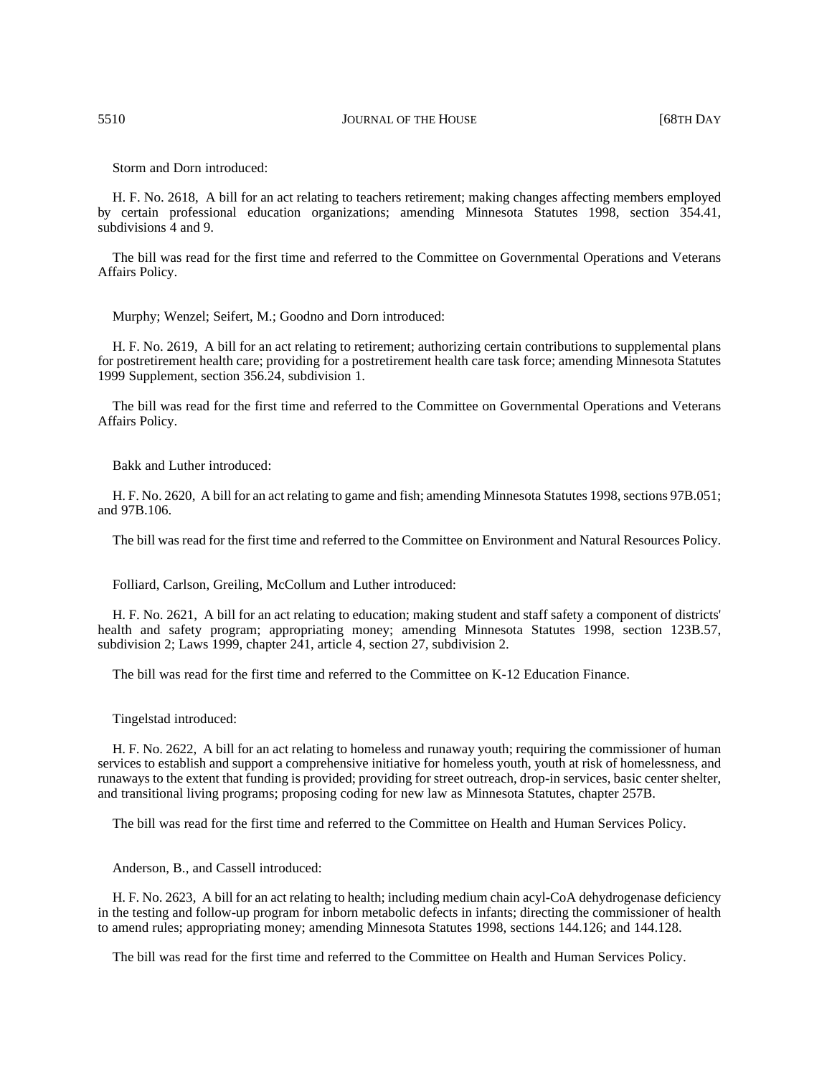Storm and Dorn introduced:

H. F. No. 2618, A bill for an act relating to teachers retirement; making changes affecting members employed by certain professional education organizations; amending Minnesota Statutes 1998, section 354.41, subdivisions 4 and 9.

The bill was read for the first time and referred to the Committee on Governmental Operations and Veterans Affairs Policy.

Murphy; Wenzel; Seifert, M.; Goodno and Dorn introduced:

H. F. No. 2619, A bill for an act relating to retirement; authorizing certain contributions to supplemental plans for postretirement health care; providing for a postretirement health care task force; amending Minnesota Statutes 1999 Supplement, section 356.24, subdivision 1.

The bill was read for the first time and referred to the Committee on Governmental Operations and Veterans Affairs Policy.

Bakk and Luther introduced:

H. F. No. 2620, A bill for an act relating to game and fish; amending Minnesota Statutes 1998, sections 97B.051; and 97B.106.

The bill was read for the first time and referred to the Committee on Environment and Natural Resources Policy.

Folliard, Carlson, Greiling, McCollum and Luther introduced:

H. F. No. 2621, A bill for an act relating to education; making student and staff safety a component of districts' health and safety program; appropriating money; amending Minnesota Statutes 1998, section 123B.57, subdivision 2; Laws 1999, chapter 241, article 4, section 27, subdivision 2.

The bill was read for the first time and referred to the Committee on K-12 Education Finance.

Tingelstad introduced:

H. F. No. 2622, A bill for an act relating to homeless and runaway youth; requiring the commissioner of human services to establish and support a comprehensive initiative for homeless youth, youth at risk of homelessness, and runaways to the extent that funding is provided; providing for street outreach, drop-in services, basic center shelter, and transitional living programs; proposing coding for new law as Minnesota Statutes, chapter 257B.

The bill was read for the first time and referred to the Committee on Health and Human Services Policy.

Anderson, B., and Cassell introduced:

H. F. No. 2623, A bill for an act relating to health; including medium chain acyl-CoA dehydrogenase deficiency in the testing and follow-up program for inborn metabolic defects in infants; directing the commissioner of health to amend rules; appropriating money; amending Minnesota Statutes 1998, sections 144.126; and 144.128.

The bill was read for the first time and referred to the Committee on Health and Human Services Policy.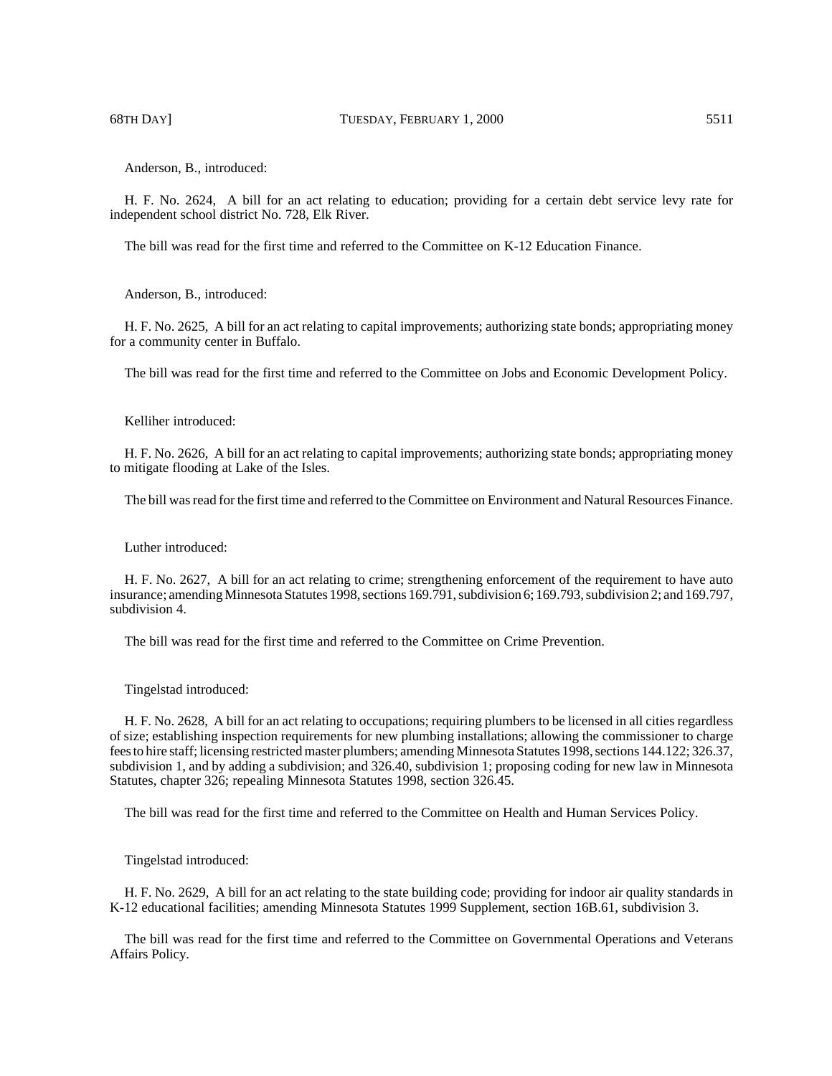Anderson, B., introduced:

H. F. No. 2624, A bill for an act relating to education; providing for a certain debt service levy rate for independent school district No. 728, Elk River.

The bill was read for the first time and referred to the Committee on K-12 Education Finance.

Anderson, B., introduced:

H. F. No. 2625, A bill for an act relating to capital improvements; authorizing state bonds; appropriating money for a community center in Buffalo.

The bill was read for the first time and referred to the Committee on Jobs and Economic Development Policy.

Kelliher introduced:

H. F. No. 2626, A bill for an act relating to capital improvements; authorizing state bonds; appropriating money to mitigate flooding at Lake of the Isles.

The bill was read for the first time and referred to the Committee on Environment and Natural Resources Finance.

Luther introduced:

H. F. No. 2627, A bill for an act relating to crime; strengthening enforcement of the requirement to have auto insurance; amending Minnesota Statutes 1998, sections 169.791, subdivision 6; 169.793, subdivision 2; and 169.797, subdivision 4.

The bill was read for the first time and referred to the Committee on Crime Prevention.

Tingelstad introduced:

H. F. No. 2628, A bill for an act relating to occupations; requiring plumbers to be licensed in all cities regardless of size; establishing inspection requirements for new plumbing installations; allowing the commissioner to charge fees to hire staff; licensing restricted master plumbers; amending Minnesota Statutes 1998, sections 144.122; 326.37, subdivision 1, and by adding a subdivision; and 326.40, subdivision 1; proposing coding for new law in Minnesota Statutes, chapter 326; repealing Minnesota Statutes 1998, section 326.45.

The bill was read for the first time and referred to the Committee on Health and Human Services Policy.

Tingelstad introduced:

H. F. No. 2629, A bill for an act relating to the state building code; providing for indoor air quality standards in K-12 educational facilities; amending Minnesota Statutes 1999 Supplement, section 16B.61, subdivision 3.

The bill was read for the first time and referred to the Committee on Governmental Operations and Veterans Affairs Policy.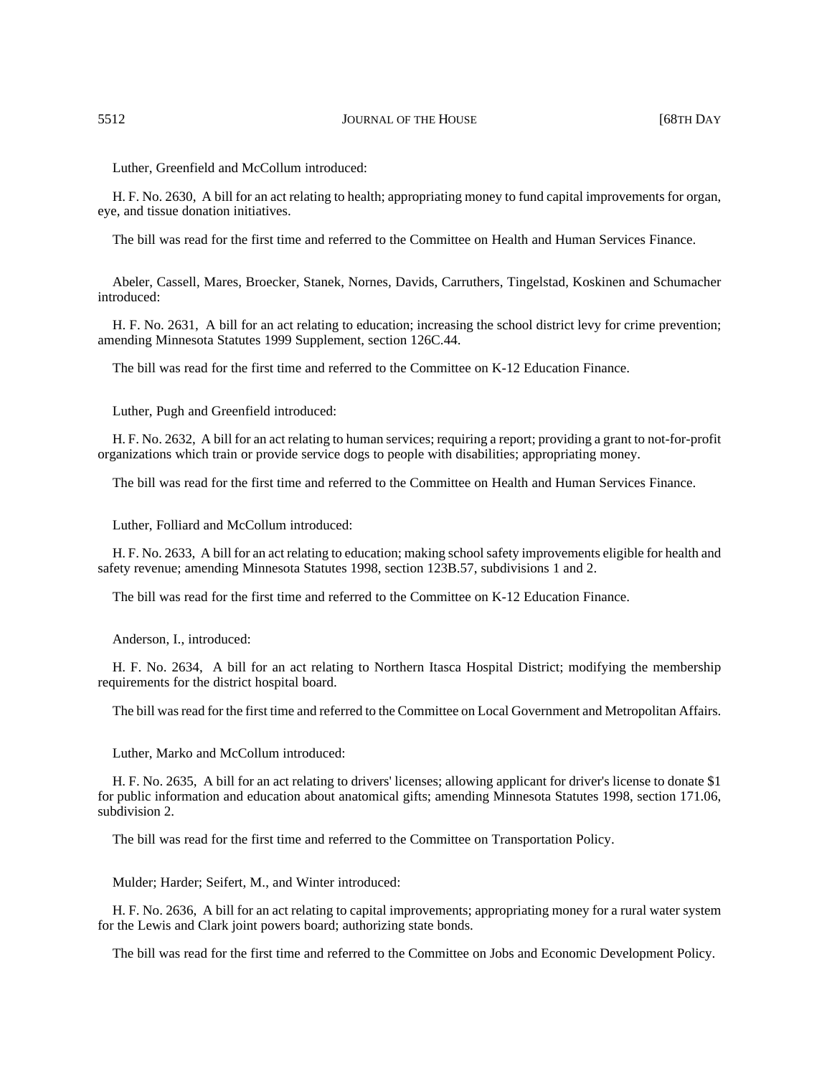Luther, Greenfield and McCollum introduced:

H. F. No. 2630, A bill for an act relating to health; appropriating money to fund capital improvements for organ, eye, and tissue donation initiatives.

The bill was read for the first time and referred to the Committee on Health and Human Services Finance.

Abeler, Cassell, Mares, Broecker, Stanek, Nornes, Davids, Carruthers, Tingelstad, Koskinen and Schumacher introduced:

H. F. No. 2631, A bill for an act relating to education; increasing the school district levy for crime prevention; amending Minnesota Statutes 1999 Supplement, section 126C.44.

The bill was read for the first time and referred to the Committee on K-12 Education Finance.

Luther, Pugh and Greenfield introduced:

H. F. No. 2632, A bill for an act relating to human services; requiring a report; providing a grant to not-for-profit organizations which train or provide service dogs to people with disabilities; appropriating money.

The bill was read for the first time and referred to the Committee on Health and Human Services Finance.

Luther, Folliard and McCollum introduced:

H. F. No. 2633, A bill for an act relating to education; making school safety improvements eligible for health and safety revenue; amending Minnesota Statutes 1998, section 123B.57, subdivisions 1 and 2.

The bill was read for the first time and referred to the Committee on K-12 Education Finance.

Anderson, I., introduced:

H. F. No. 2634, A bill for an act relating to Northern Itasca Hospital District; modifying the membership requirements for the district hospital board.

The bill was read for the first time and referred to the Committee on Local Government and Metropolitan Affairs.

Luther, Marko and McCollum introduced:

H. F. No. 2635, A bill for an act relating to drivers' licenses; allowing applicant for driver's license to donate \$1 for public information and education about anatomical gifts; amending Minnesota Statutes 1998, section 171.06, subdivision 2.

The bill was read for the first time and referred to the Committee on Transportation Policy.

Mulder; Harder; Seifert, M., and Winter introduced:

H. F. No. 2636, A bill for an act relating to capital improvements; appropriating money for a rural water system for the Lewis and Clark joint powers board; authorizing state bonds.

The bill was read for the first time and referred to the Committee on Jobs and Economic Development Policy.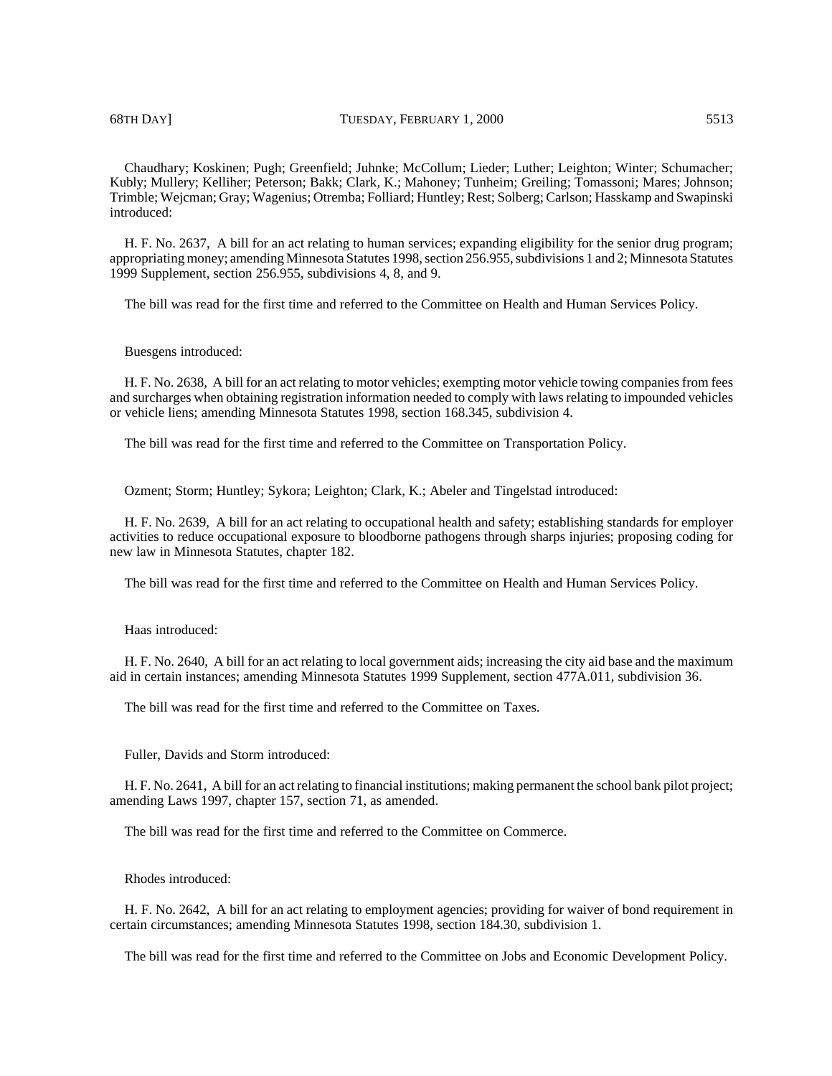Chaudhary; Koskinen; Pugh; Greenfield; Juhnke; McCollum; Lieder; Luther; Leighton; Winter; Schumacher; Kubly; Mullery; Kelliher; Peterson; Bakk; Clark, K.; Mahoney; Tunheim; Greiling; Tomassoni; Mares; Johnson; Trimble; Wejcman; Gray; Wagenius; Otremba; Folliard; Huntley; Rest; Solberg; Carlson; Hasskamp and Swapinski introduced:

H. F. No. 2637, A bill for an act relating to human services; expanding eligibility for the senior drug program; appropriating money; amending Minnesota Statutes 1998, section 256.955, subdivisions 1 and 2; Minnesota Statutes 1999 Supplement, section 256.955, subdivisions 4, 8, and 9.

The bill was read for the first time and referred to the Committee on Health and Human Services Policy.

## Buesgens introduced:

H. F. No. 2638, A bill for an act relating to motor vehicles; exempting motor vehicle towing companies from fees and surcharges when obtaining registration information needed to comply with laws relating to impounded vehicles or vehicle liens; amending Minnesota Statutes 1998, section 168.345, subdivision 4.

The bill was read for the first time and referred to the Committee on Transportation Policy.

Ozment; Storm; Huntley; Sykora; Leighton; Clark, K.; Abeler and Tingelstad introduced:

H. F. No. 2639, A bill for an act relating to occupational health and safety; establishing standards for employer activities to reduce occupational exposure to bloodborne pathogens through sharps injuries; proposing coding for new law in Minnesota Statutes, chapter 182.

The bill was read for the first time and referred to the Committee on Health and Human Services Policy.

Haas introduced:

H. F. No. 2640, A bill for an act relating to local government aids; increasing the city aid base and the maximum aid in certain instances; amending Minnesota Statutes 1999 Supplement, section 477A.011, subdivision 36.

The bill was read for the first time and referred to the Committee on Taxes.

Fuller, Davids and Storm introduced:

H. F. No. 2641, A bill for an act relating to financial institutions; making permanent the school bank pilot project; amending Laws 1997, chapter 157, section 71, as amended.

The bill was read for the first time and referred to the Committee on Commerce.

Rhodes introduced:

H. F. No. 2642, A bill for an act relating to employment agencies; providing for waiver of bond requirement in certain circumstances; amending Minnesota Statutes 1998, section 184.30, subdivision 1.

The bill was read for the first time and referred to the Committee on Jobs and Economic Development Policy.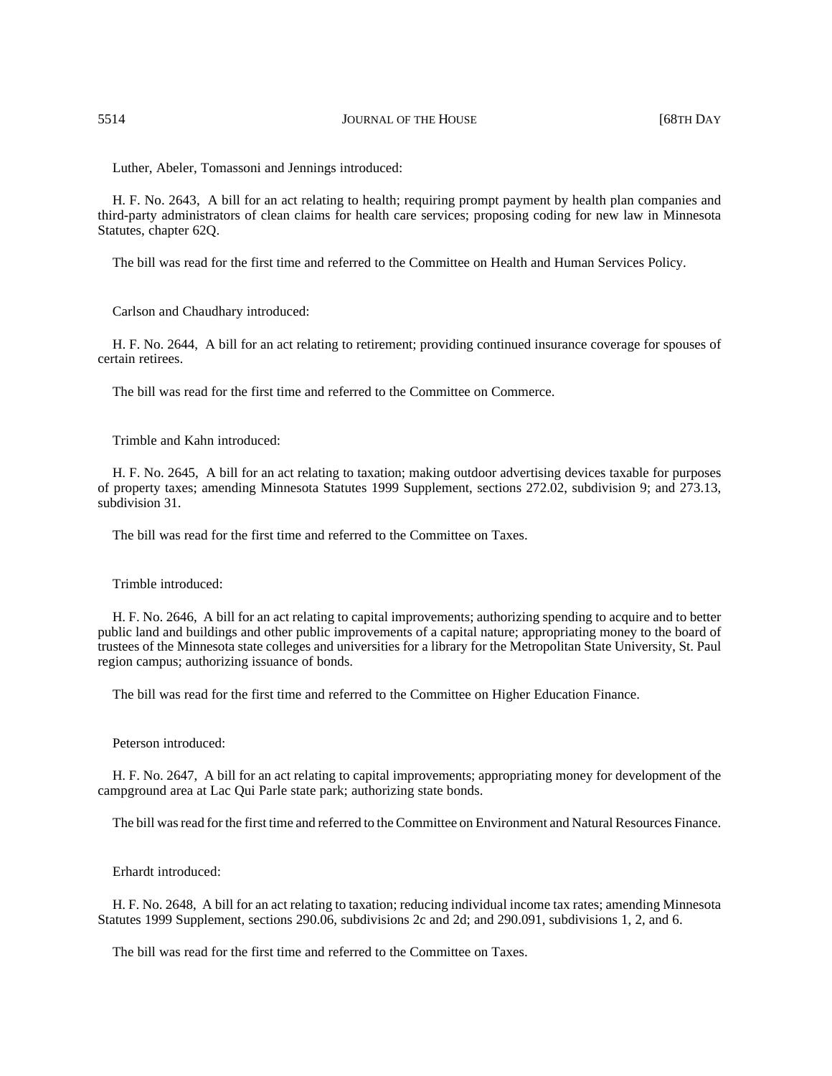Luther, Abeler, Tomassoni and Jennings introduced:

H. F. No. 2643, A bill for an act relating to health; requiring prompt payment by health plan companies and third-party administrators of clean claims for health care services; proposing coding for new law in Minnesota Statutes, chapter 62Q.

The bill was read for the first time and referred to the Committee on Health and Human Services Policy.

Carlson and Chaudhary introduced:

H. F. No. 2644, A bill for an act relating to retirement; providing continued insurance coverage for spouses of certain retirees.

The bill was read for the first time and referred to the Committee on Commerce.

Trimble and Kahn introduced:

H. F. No. 2645, A bill for an act relating to taxation; making outdoor advertising devices taxable for purposes of property taxes; amending Minnesota Statutes 1999 Supplement, sections 272.02, subdivision 9; and 273.13, subdivision 31.

The bill was read for the first time and referred to the Committee on Taxes.

Trimble introduced:

H. F. No. 2646, A bill for an act relating to capital improvements; authorizing spending to acquire and to better public land and buildings and other public improvements of a capital nature; appropriating money to the board of trustees of the Minnesota state colleges and universities for a library for the Metropolitan State University, St. Paul region campus; authorizing issuance of bonds.

The bill was read for the first time and referred to the Committee on Higher Education Finance.

Peterson introduced:

H. F. No. 2647, A bill for an act relating to capital improvements; appropriating money for development of the campground area at Lac Qui Parle state park; authorizing state bonds.

The bill was read for the first time and referred to the Committee on Environment and Natural Resources Finance.

Erhardt introduced:

H. F. No. 2648, A bill for an act relating to taxation; reducing individual income tax rates; amending Minnesota Statutes 1999 Supplement, sections 290.06, subdivisions 2c and 2d; and 290.091, subdivisions 1, 2, and 6.

The bill was read for the first time and referred to the Committee on Taxes.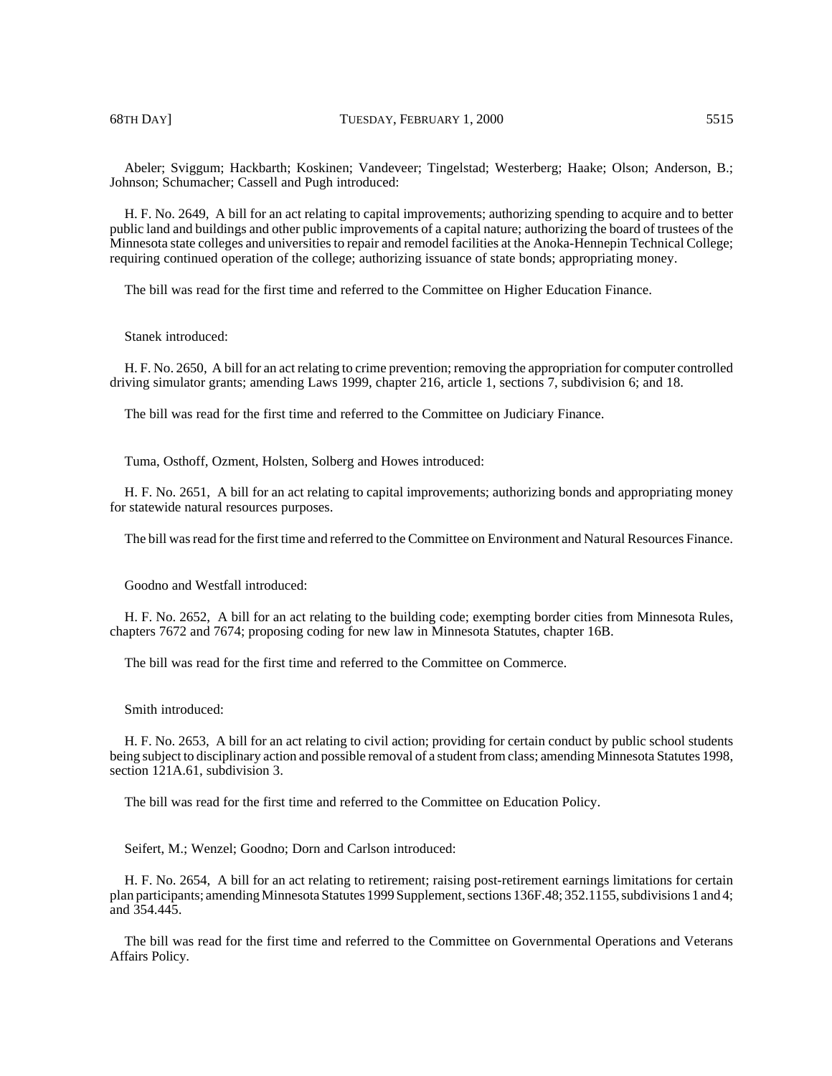Abeler; Sviggum; Hackbarth; Koskinen; Vandeveer; Tingelstad; Westerberg; Haake; Olson; Anderson, B.; Johnson; Schumacher; Cassell and Pugh introduced:

H. F. No. 2649, A bill for an act relating to capital improvements; authorizing spending to acquire and to better public land and buildings and other public improvements of a capital nature; authorizing the board of trustees of the Minnesota state colleges and universities to repair and remodel facilities at the Anoka-Hennepin Technical College; requiring continued operation of the college; authorizing issuance of state bonds; appropriating money.

The bill was read for the first time and referred to the Committee on Higher Education Finance.

# Stanek introduced:

H. F. No. 2650, A bill for an act relating to crime prevention; removing the appropriation for computer controlled driving simulator grants; amending Laws 1999, chapter 216, article 1, sections 7, subdivision 6; and 18.

The bill was read for the first time and referred to the Committee on Judiciary Finance.

Tuma, Osthoff, Ozment, Holsten, Solberg and Howes introduced:

H. F. No. 2651, A bill for an act relating to capital improvements; authorizing bonds and appropriating money for statewide natural resources purposes.

The bill was read for the first time and referred to the Committee on Environment and Natural Resources Finance.

Goodno and Westfall introduced:

H. F. No. 2652, A bill for an act relating to the building code; exempting border cities from Minnesota Rules, chapters 7672 and 7674; proposing coding for new law in Minnesota Statutes, chapter 16B.

The bill was read for the first time and referred to the Committee on Commerce.

#### Smith introduced:

H. F. No. 2653, A bill for an act relating to civil action; providing for certain conduct by public school students being subject to disciplinary action and possible removal of a student from class; amending Minnesota Statutes 1998, section 121A.61, subdivision 3.

The bill was read for the first time and referred to the Committee on Education Policy.

Seifert, M.; Wenzel; Goodno; Dorn and Carlson introduced:

H. F. No. 2654, A bill for an act relating to retirement; raising post-retirement earnings limitations for certain plan participants; amending Minnesota Statutes 1999 Supplement, sections 136F.48; 352.1155, subdivisions 1 and 4; and 354.445.

The bill was read for the first time and referred to the Committee on Governmental Operations and Veterans Affairs Policy.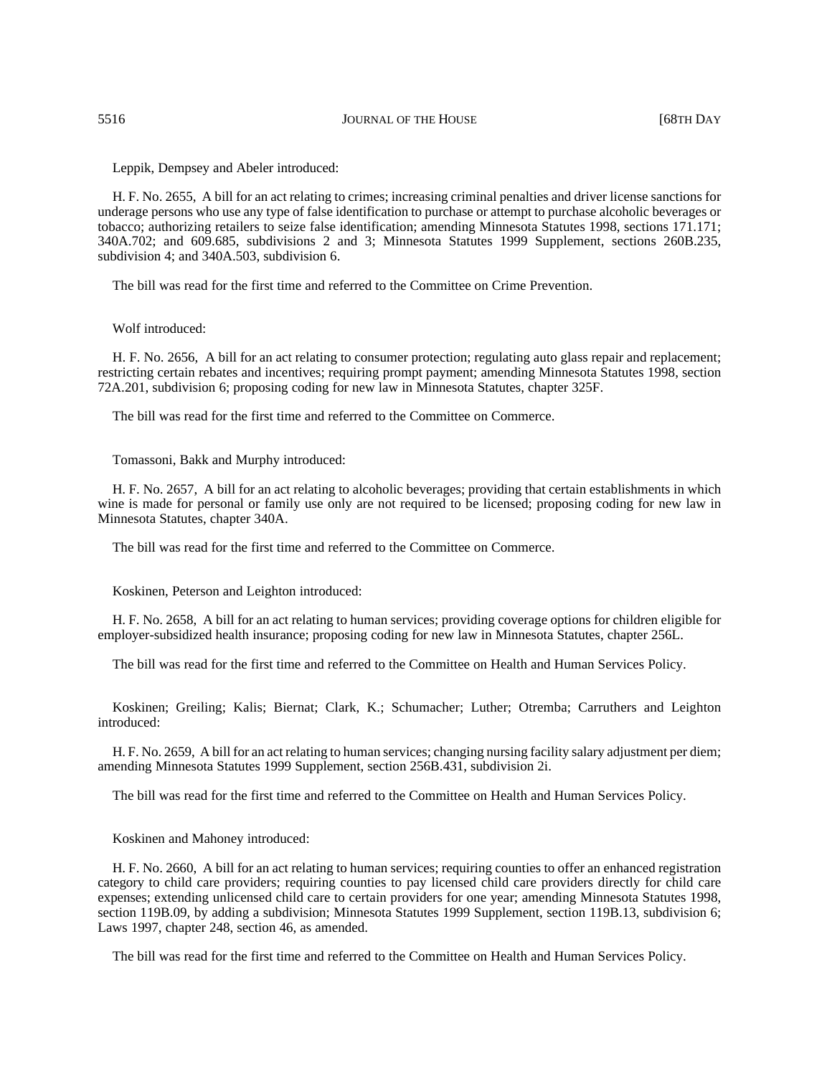Leppik, Dempsey and Abeler introduced:

H. F. No. 2655, A bill for an act relating to crimes; increasing criminal penalties and driver license sanctions for underage persons who use any type of false identification to purchase or attempt to purchase alcoholic beverages or tobacco; authorizing retailers to seize false identification; amending Minnesota Statutes 1998, sections 171.171; 340A.702; and 609.685, subdivisions 2 and 3; Minnesota Statutes 1999 Supplement, sections 260B.235, subdivision 4; and 340A.503, subdivision 6.

The bill was read for the first time and referred to the Committee on Crime Prevention.

Wolf introduced:

H. F. No. 2656, A bill for an act relating to consumer protection; regulating auto glass repair and replacement; restricting certain rebates and incentives; requiring prompt payment; amending Minnesota Statutes 1998, section 72A.201, subdivision 6; proposing coding for new law in Minnesota Statutes, chapter 325F.

The bill was read for the first time and referred to the Committee on Commerce.

Tomassoni, Bakk and Murphy introduced:

H. F. No. 2657, A bill for an act relating to alcoholic beverages; providing that certain establishments in which wine is made for personal or family use only are not required to be licensed; proposing coding for new law in Minnesota Statutes, chapter 340A.

The bill was read for the first time and referred to the Committee on Commerce.

Koskinen, Peterson and Leighton introduced:

H. F. No. 2658, A bill for an act relating to human services; providing coverage options for children eligible for employer-subsidized health insurance; proposing coding for new law in Minnesota Statutes, chapter 256L.

The bill was read for the first time and referred to the Committee on Health and Human Services Policy.

Koskinen; Greiling; Kalis; Biernat; Clark, K.; Schumacher; Luther; Otremba; Carruthers and Leighton introduced:

H. F. No. 2659, A bill for an act relating to human services; changing nursing facility salary adjustment per diem; amending Minnesota Statutes 1999 Supplement, section 256B.431, subdivision 2i.

The bill was read for the first time and referred to the Committee on Health and Human Services Policy.

Koskinen and Mahoney introduced:

H. F. No. 2660, A bill for an act relating to human services; requiring counties to offer an enhanced registration category to child care providers; requiring counties to pay licensed child care providers directly for child care expenses; extending unlicensed child care to certain providers for one year; amending Minnesota Statutes 1998, section 119B.09, by adding a subdivision; Minnesota Statutes 1999 Supplement, section 119B.13, subdivision 6; Laws 1997, chapter 248, section 46, as amended.

The bill was read for the first time and referred to the Committee on Health and Human Services Policy.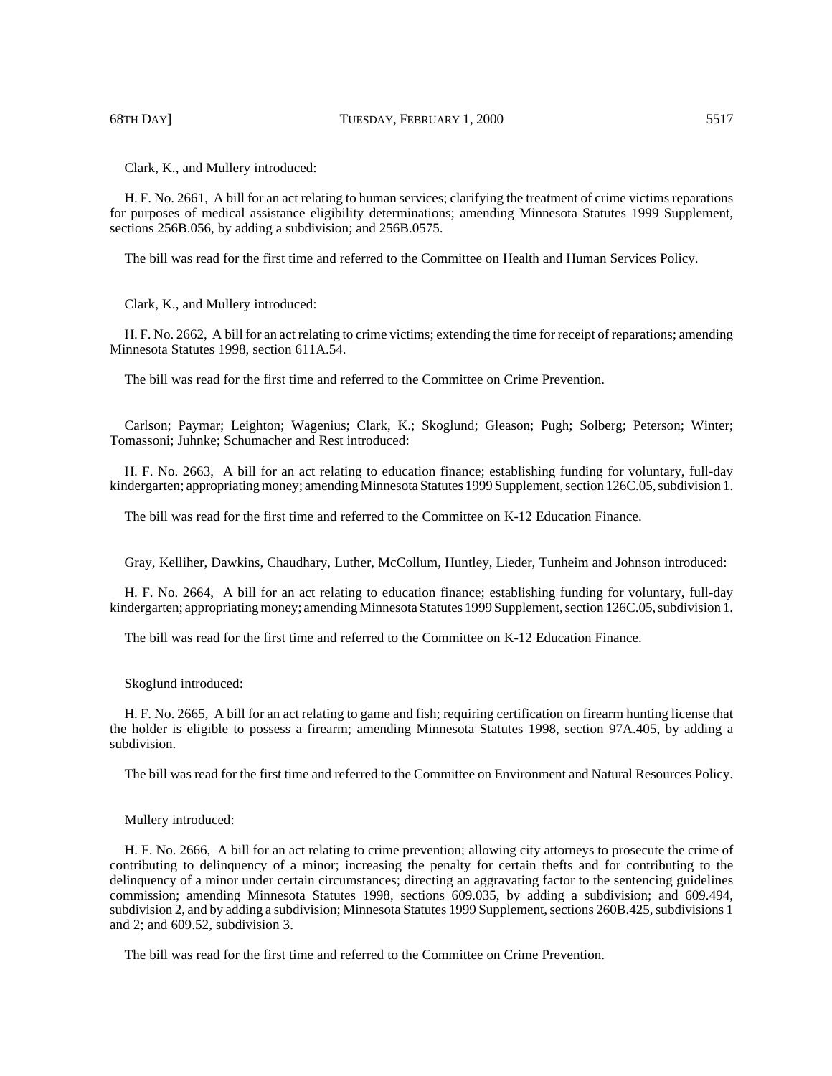Clark, K., and Mullery introduced:

H. F. No. 2661, A bill for an act relating to human services; clarifying the treatment of crime victims reparations for purposes of medical assistance eligibility determinations; amending Minnesota Statutes 1999 Supplement, sections 256B.056, by adding a subdivision; and 256B.0575.

The bill was read for the first time and referred to the Committee on Health and Human Services Policy.

Clark, K., and Mullery introduced:

H. F. No. 2662, A bill for an act relating to crime victims; extending the time for receipt of reparations; amending Minnesota Statutes 1998, section 611A.54.

The bill was read for the first time and referred to the Committee on Crime Prevention.

Carlson; Paymar; Leighton; Wagenius; Clark, K.; Skoglund; Gleason; Pugh; Solberg; Peterson; Winter; Tomassoni; Juhnke; Schumacher and Rest introduced:

H. F. No. 2663, A bill for an act relating to education finance; establishing funding for voluntary, full-day kindergarten; appropriating money; amending Minnesota Statutes 1999 Supplement, section 126C.05, subdivision 1.

The bill was read for the first time and referred to the Committee on K-12 Education Finance.

Gray, Kelliher, Dawkins, Chaudhary, Luther, McCollum, Huntley, Lieder, Tunheim and Johnson introduced:

H. F. No. 2664, A bill for an act relating to education finance; establishing funding for voluntary, full-day kindergarten; appropriating money; amending Minnesota Statutes 1999 Supplement, section 126C.05, subdivision 1.

The bill was read for the first time and referred to the Committee on K-12 Education Finance.

Skoglund introduced:

H. F. No. 2665, A bill for an act relating to game and fish; requiring certification on firearm hunting license that the holder is eligible to possess a firearm; amending Minnesota Statutes 1998, section 97A.405, by adding a subdivision.

The bill was read for the first time and referred to the Committee on Environment and Natural Resources Policy.

Mullery introduced:

H. F. No. 2666, A bill for an act relating to crime prevention; allowing city attorneys to prosecute the crime of contributing to delinquency of a minor; increasing the penalty for certain thefts and for contributing to the delinquency of a minor under certain circumstances; directing an aggravating factor to the sentencing guidelines commission; amending Minnesota Statutes 1998, sections 609.035, by adding a subdivision; and 609.494, subdivision 2, and by adding a subdivision; Minnesota Statutes 1999 Supplement, sections 260B.425, subdivisions 1 and 2; and 609.52, subdivision 3.

The bill was read for the first time and referred to the Committee on Crime Prevention.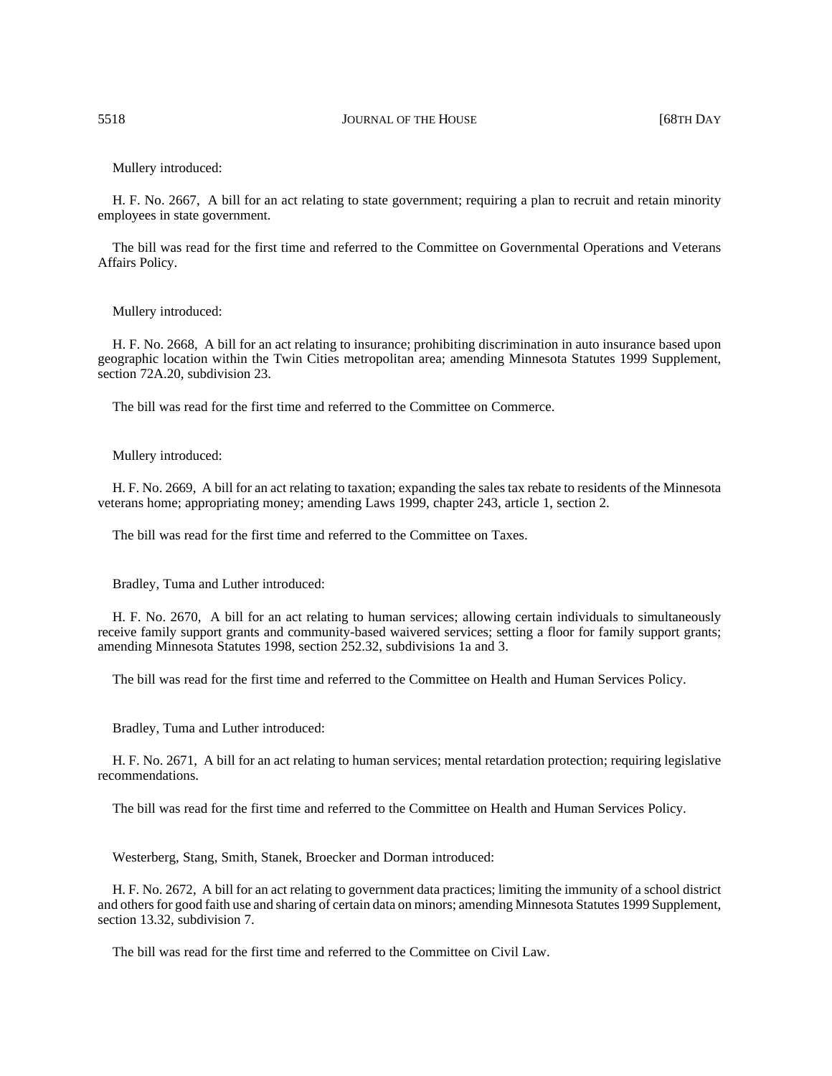## Mullery introduced:

H. F. No. 2667, A bill for an act relating to state government; requiring a plan to recruit and retain minority employees in state government.

The bill was read for the first time and referred to the Committee on Governmental Operations and Veterans Affairs Policy.

## Mullery introduced:

H. F. No. 2668, A bill for an act relating to insurance; prohibiting discrimination in auto insurance based upon geographic location within the Twin Cities metropolitan area; amending Minnesota Statutes 1999 Supplement, section 72A.20, subdivision 23.

The bill was read for the first time and referred to the Committee on Commerce.

## Mullery introduced:

H. F. No. 2669, A bill for an act relating to taxation; expanding the sales tax rebate to residents of the Minnesota veterans home; appropriating money; amending Laws 1999, chapter 243, article 1, section 2.

The bill was read for the first time and referred to the Committee on Taxes.

Bradley, Tuma and Luther introduced:

H. F. No. 2670, A bill for an act relating to human services; allowing certain individuals to simultaneously receive family support grants and community-based waivered services; setting a floor for family support grants; amending Minnesota Statutes 1998, section 252.32, subdivisions 1a and 3.

The bill was read for the first time and referred to the Committee on Health and Human Services Policy.

Bradley, Tuma and Luther introduced:

H. F. No. 2671, A bill for an act relating to human services; mental retardation protection; requiring legislative recommendations.

The bill was read for the first time and referred to the Committee on Health and Human Services Policy.

Westerberg, Stang, Smith, Stanek, Broecker and Dorman introduced:

H. F. No. 2672, A bill for an act relating to government data practices; limiting the immunity of a school district and others for good faith use and sharing of certain data on minors; amending Minnesota Statutes 1999 Supplement, section 13.32, subdivision 7.

The bill was read for the first time and referred to the Committee on Civil Law.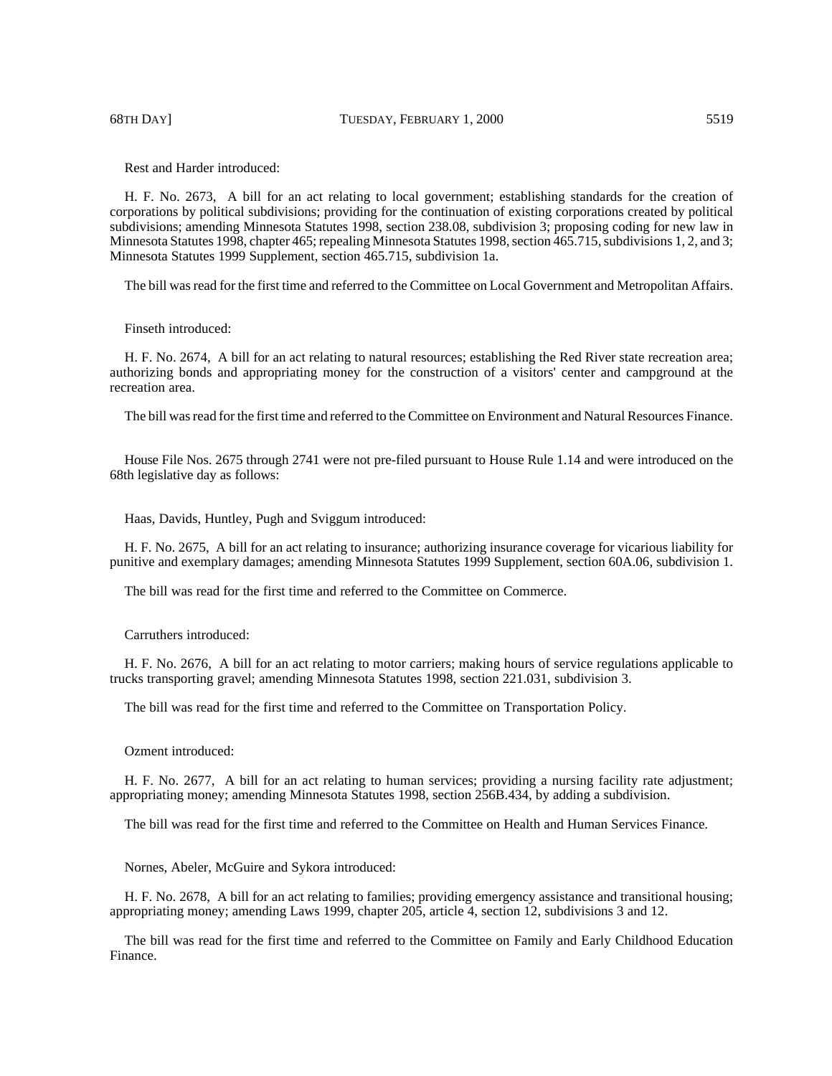68TH DAY] TUESDAY, FEBRUARY 1, 2000 5519

Rest and Harder introduced:

H. F. No. 2673, A bill for an act relating to local government; establishing standards for the creation of corporations by political subdivisions; providing for the continuation of existing corporations created by political subdivisions; amending Minnesota Statutes 1998, section 238.08, subdivision 3; proposing coding for new law in Minnesota Statutes 1998, chapter 465; repealing Minnesota Statutes 1998, section 465.715, subdivisions 1, 2, and 3; Minnesota Statutes 1999 Supplement, section 465.715, subdivision 1a.

The bill was read for the first time and referred to the Committee on Local Government and Metropolitan Affairs.

# Finseth introduced:

H. F. No. 2674, A bill for an act relating to natural resources; establishing the Red River state recreation area; authorizing bonds and appropriating money for the construction of a visitors' center and campground at the recreation area.

The bill was read for the first time and referred to the Committee on Environment and Natural Resources Finance.

House File Nos. 2675 through 2741 were not pre-filed pursuant to House Rule 1.14 and were introduced on the 68th legislative day as follows:

Haas, Davids, Huntley, Pugh and Sviggum introduced:

H. F. No. 2675, A bill for an act relating to insurance; authorizing insurance coverage for vicarious liability for punitive and exemplary damages; amending Minnesota Statutes 1999 Supplement, section 60A.06, subdivision 1.

The bill was read for the first time and referred to the Committee on Commerce.

Carruthers introduced:

H. F. No. 2676, A bill for an act relating to motor carriers; making hours of service regulations applicable to trucks transporting gravel; amending Minnesota Statutes 1998, section 221.031, subdivision 3.

The bill was read for the first time and referred to the Committee on Transportation Policy.

Ozment introduced:

H. F. No. 2677, A bill for an act relating to human services; providing a nursing facility rate adjustment; appropriating money; amending Minnesota Statutes 1998, section 256B.434, by adding a subdivision.

The bill was read for the first time and referred to the Committee on Health and Human Services Finance.

Nornes, Abeler, McGuire and Sykora introduced:

H. F. No. 2678, A bill for an act relating to families; providing emergency assistance and transitional housing; appropriating money; amending Laws 1999, chapter 205, article 4, section 12, subdivisions 3 and 12.

The bill was read for the first time and referred to the Committee on Family and Early Childhood Education Finance.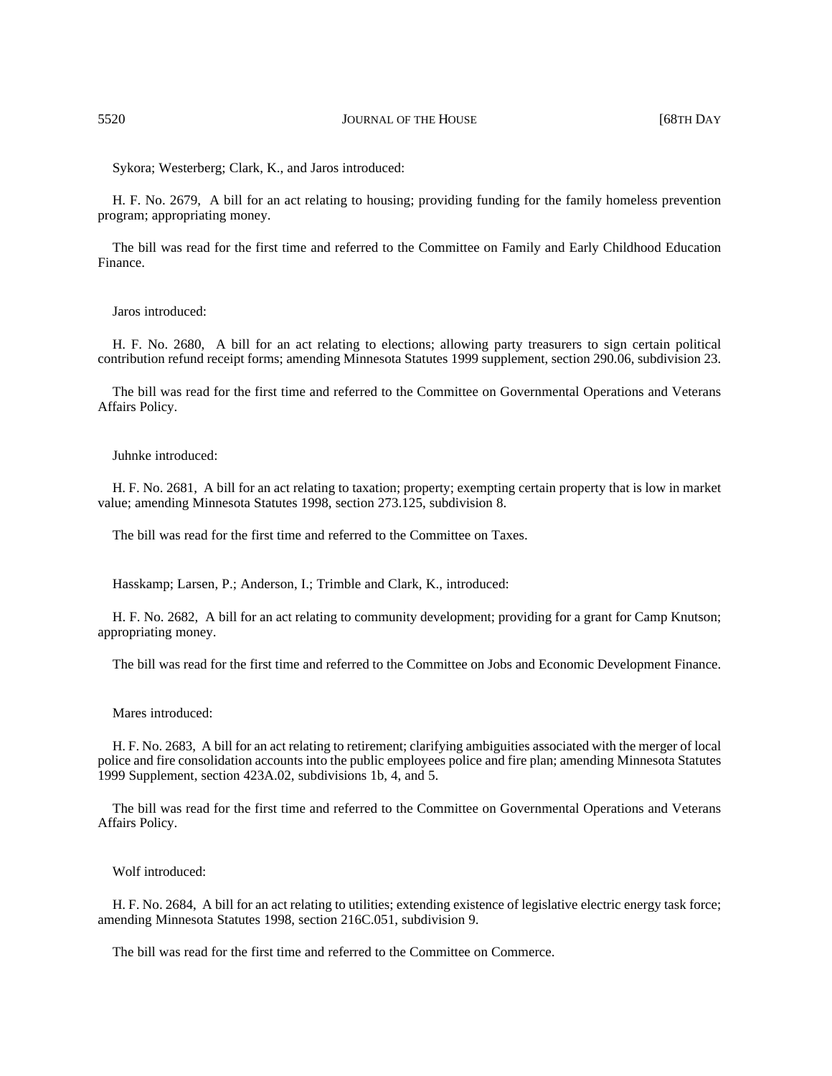Sykora; Westerberg; Clark, K., and Jaros introduced:

H. F. No. 2679, A bill for an act relating to housing; providing funding for the family homeless prevention program; appropriating money.

The bill was read for the first time and referred to the Committee on Family and Early Childhood Education Finance.

## Jaros introduced:

H. F. No. 2680, A bill for an act relating to elections; allowing party treasurers to sign certain political contribution refund receipt forms; amending Minnesota Statutes 1999 supplement, section 290.06, subdivision 23.

The bill was read for the first time and referred to the Committee on Governmental Operations and Veterans Affairs Policy.

# Juhnke introduced:

H. F. No. 2681, A bill for an act relating to taxation; property; exempting certain property that is low in market value; amending Minnesota Statutes 1998, section 273.125, subdivision 8.

The bill was read for the first time and referred to the Committee on Taxes.

Hasskamp; Larsen, P.; Anderson, I.; Trimble and Clark, K., introduced:

H. F. No. 2682, A bill for an act relating to community development; providing for a grant for Camp Knutson; appropriating money.

The bill was read for the first time and referred to the Committee on Jobs and Economic Development Finance.

## Mares introduced:

H. F. No. 2683, A bill for an act relating to retirement; clarifying ambiguities associated with the merger of local police and fire consolidation accounts into the public employees police and fire plan; amending Minnesota Statutes 1999 Supplement, section 423A.02, subdivisions 1b, 4, and 5.

The bill was read for the first time and referred to the Committee on Governmental Operations and Veterans Affairs Policy.

## Wolf introduced:

H. F. No. 2684, A bill for an act relating to utilities; extending existence of legislative electric energy task force; amending Minnesota Statutes 1998, section 216C.051, subdivision 9.

The bill was read for the first time and referred to the Committee on Commerce.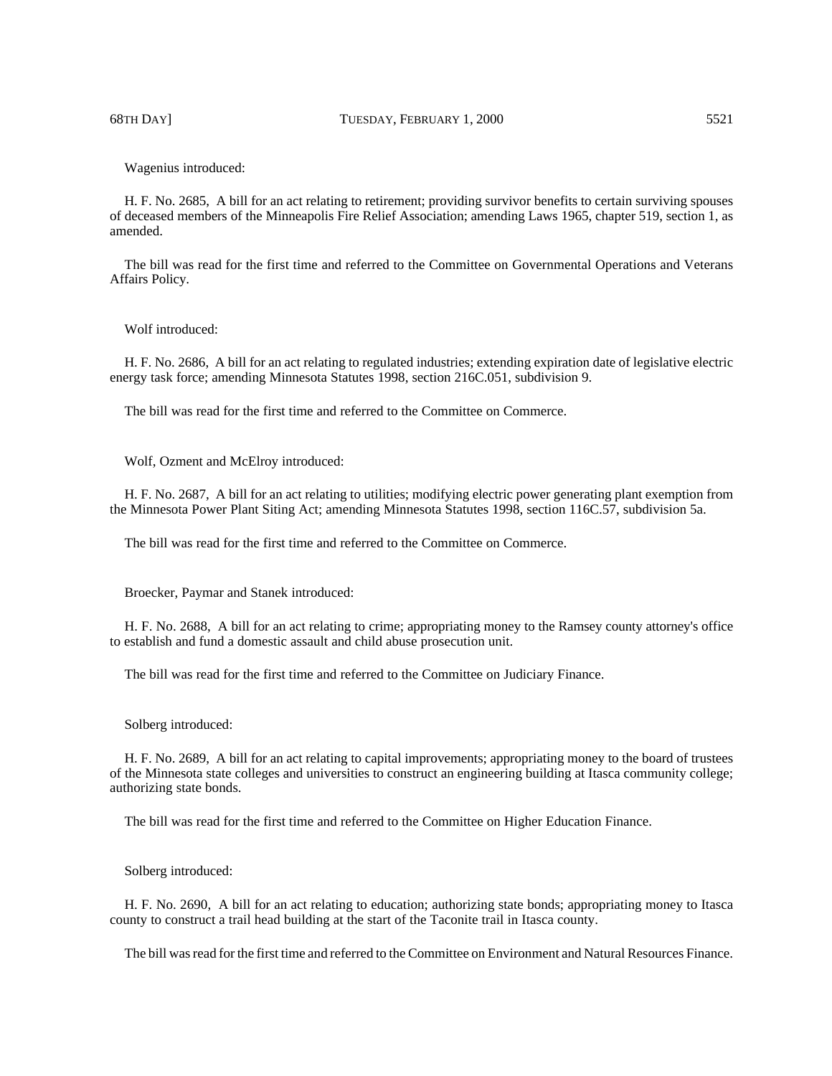#### Wagenius introduced:

H. F. No. 2685, A bill for an act relating to retirement; providing survivor benefits to certain surviving spouses of deceased members of the Minneapolis Fire Relief Association; amending Laws 1965, chapter 519, section 1, as amended.

The bill was read for the first time and referred to the Committee on Governmental Operations and Veterans Affairs Policy.

## Wolf introduced:

H. F. No. 2686, A bill for an act relating to regulated industries; extending expiration date of legislative electric energy task force; amending Minnesota Statutes 1998, section 216C.051, subdivision 9.

The bill was read for the first time and referred to the Committee on Commerce.

Wolf, Ozment and McElroy introduced:

H. F. No. 2687, A bill for an act relating to utilities; modifying electric power generating plant exemption from the Minnesota Power Plant Siting Act; amending Minnesota Statutes 1998, section 116C.57, subdivision 5a.

The bill was read for the first time and referred to the Committee on Commerce.

Broecker, Paymar and Stanek introduced:

H. F. No. 2688, A bill for an act relating to crime; appropriating money to the Ramsey county attorney's office to establish and fund a domestic assault and child abuse prosecution unit.

The bill was read for the first time and referred to the Committee on Judiciary Finance.

# Solberg introduced:

H. F. No. 2689, A bill for an act relating to capital improvements; appropriating money to the board of trustees of the Minnesota state colleges and universities to construct an engineering building at Itasca community college; authorizing state bonds.

The bill was read for the first time and referred to the Committee on Higher Education Finance.

## Solberg introduced:

H. F. No. 2690, A bill for an act relating to education; authorizing state bonds; appropriating money to Itasca county to construct a trail head building at the start of the Taconite trail in Itasca county.

The bill was read for the first time and referred to the Committee on Environment and Natural Resources Finance.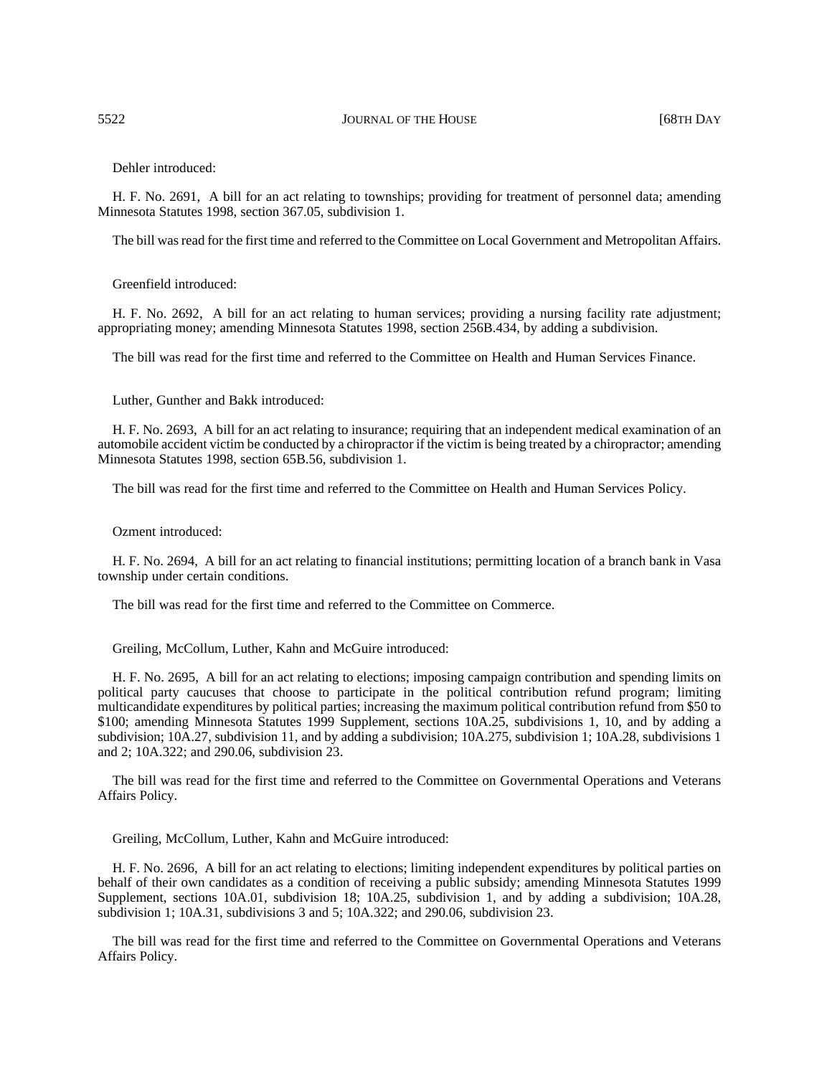Dehler introduced:

H. F. No. 2691, A bill for an act relating to townships; providing for treatment of personnel data; amending Minnesota Statutes 1998, section 367.05, subdivision 1.

The bill was read for the first time and referred to the Committee on Local Government and Metropolitan Affairs.

Greenfield introduced:

H. F. No. 2692, A bill for an act relating to human services; providing a nursing facility rate adjustment; appropriating money; amending Minnesota Statutes 1998, section 256B.434, by adding a subdivision.

The bill was read for the first time and referred to the Committee on Health and Human Services Finance.

Luther, Gunther and Bakk introduced:

H. F. No. 2693, A bill for an act relating to insurance; requiring that an independent medical examination of an automobile accident victim be conducted by a chiropractor if the victim is being treated by a chiropractor; amending Minnesota Statutes 1998, section 65B.56, subdivision 1.

The bill was read for the first time and referred to the Committee on Health and Human Services Policy.

Ozment introduced:

H. F. No. 2694, A bill for an act relating to financial institutions; permitting location of a branch bank in Vasa township under certain conditions.

The bill was read for the first time and referred to the Committee on Commerce.

Greiling, McCollum, Luther, Kahn and McGuire introduced:

H. F. No. 2695, A bill for an act relating to elections; imposing campaign contribution and spending limits on political party caucuses that choose to participate in the political contribution refund program; limiting multicandidate expenditures by political parties; increasing the maximum political contribution refund from \$50 to \$100; amending Minnesota Statutes 1999 Supplement, sections 10A.25, subdivisions 1, 10, and by adding a subdivision; 10A.27, subdivision 11, and by adding a subdivision; 10A.275, subdivision 1; 10A.28, subdivisions 1 and 2; 10A.322; and 290.06, subdivision 23.

The bill was read for the first time and referred to the Committee on Governmental Operations and Veterans Affairs Policy.

Greiling, McCollum, Luther, Kahn and McGuire introduced:

H. F. No. 2696, A bill for an act relating to elections; limiting independent expenditures by political parties on behalf of their own candidates as a condition of receiving a public subsidy; amending Minnesota Statutes 1999 Supplement, sections 10A.01, subdivision 18; 10A.25, subdivision 1, and by adding a subdivision; 10A.28, subdivision 1; 10A.31, subdivisions 3 and 5; 10A.322; and 290.06, subdivision 23.

The bill was read for the first time and referred to the Committee on Governmental Operations and Veterans Affairs Policy.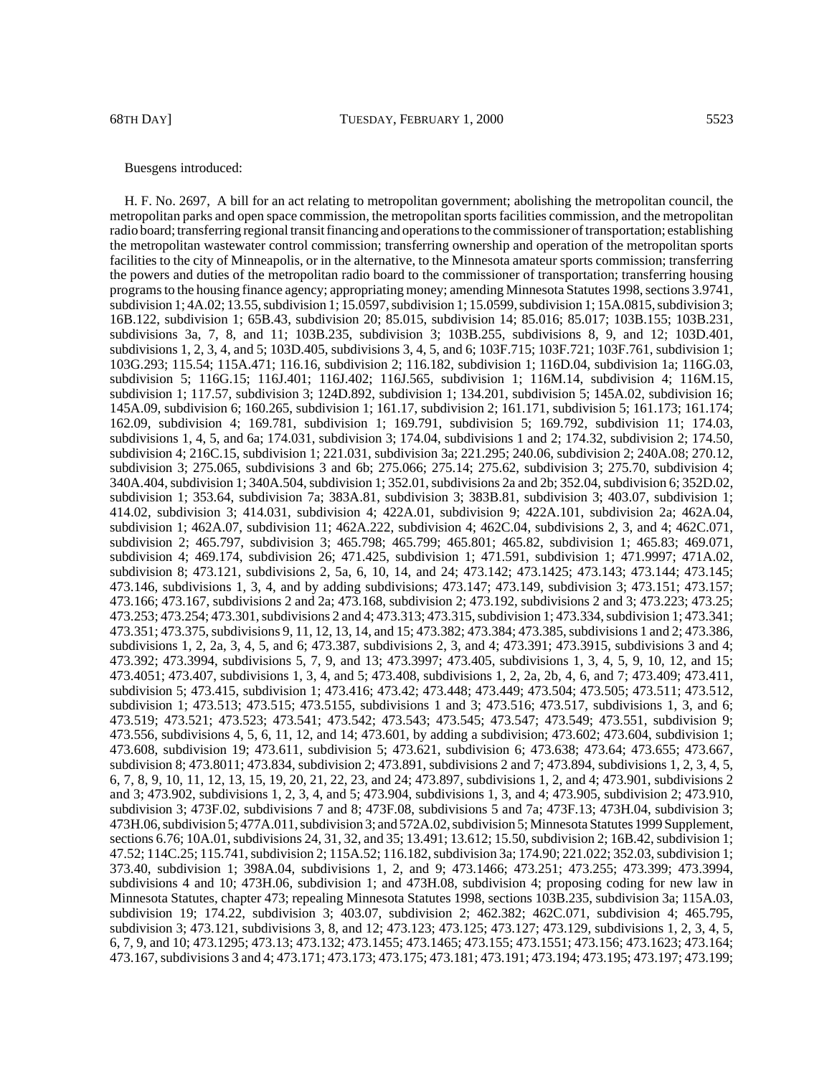#### Buesgens introduced:

H. F. No. 2697, A bill for an act relating to metropolitan government; abolishing the metropolitan council, the metropolitan parks and open space commission, the metropolitan sports facilities commission, and the metropolitan radio board; transferring regional transit financing and operations to the commissioner of transportation; establishing the metropolitan wastewater control commission; transferring ownership and operation of the metropolitan sports facilities to the city of Minneapolis, or in the alternative, to the Minnesota amateur sports commission; transferring the powers and duties of the metropolitan radio board to the commissioner of transportation; transferring housing programs to the housing finance agency; appropriating money; amending Minnesota Statutes 1998, sections 3.9741, subdivision 1; 4A.02; 13.55, subdivision 1; 15.0597, subdivision 1; 15.0599, subdivision 1; 15A.0815, subdivision 3; 16B.122, subdivision 1; 65B.43, subdivision 20; 85.015, subdivision 14; 85.016; 85.017; 103B.155; 103B.231, subdivisions 3a, 7, 8, and 11; 103B.235, subdivision 3; 103B.255, subdivisions 8, 9, and 12; 103D.401, subdivisions 1, 2, 3, 4, and 5; 103D.405, subdivisions 3, 4, 5, and 6; 103F.715; 103F.721; 103F.761, subdivision 1; 103G.293; 115.54; 115A.471; 116.16, subdivision 2; 116.182, subdivision 1; 116D.04, subdivision 1a; 116G.03, subdivision 5; 116G.15; 116J.401; 116J.402; 116J.565, subdivision 1; 116M.14, subdivision 4; 116M.15, subdivision 1; 117.57, subdivision 3; 124D.892, subdivision 1; 134.201, subdivision 5; 145A.02, subdivision 16; 145A.09, subdivision 6; 160.265, subdivision 1; 161.17, subdivision 2; 161.171, subdivision 5; 161.173; 161.174; 162.09, subdivision 4; 169.781, subdivision 1; 169.791, subdivision 5; 169.792, subdivision 11; 174.03, subdivisions 1, 4, 5, and 6a; 174.031, subdivision 3; 174.04, subdivisions 1 and 2; 174.32, subdivision 2; 174.50, subdivision 4; 216C.15, subdivision 1; 221.031, subdivision 3a; 221.295; 240.06, subdivision 2; 240A.08; 270.12, subdivision 3; 275.065, subdivisions 3 and 6b; 275.066; 275.14; 275.62, subdivision 3; 275.70, subdivision 4; 340A.404, subdivision 1; 340A.504, subdivision 1; 352.01, subdivisions 2a and 2b; 352.04, subdivision 6; 352D.02, subdivision 1; 353.64, subdivision 7a; 383A.81, subdivision 3; 383B.81, subdivision 3; 403.07, subdivision 1; 414.02, subdivision 3; 414.031, subdivision 4; 422A.01, subdivision 9; 422A.101, subdivision 2a; 462A.04, subdivision 1; 462A.07, subdivision 11; 462A.222, subdivision 4; 462C.04, subdivisions 2, 3, and 4; 462C.071, subdivision 2; 465.797, subdivision 3; 465.798; 465.799; 465.801; 465.82, subdivision 1; 465.83; 469.071, subdivision 4; 469.174, subdivision 26; 471.425, subdivision 1; 471.591, subdivision 1; 471.9997; 471A.02, subdivision 8; 473.121, subdivisions 2, 5a, 6, 10, 14, and 24; 473.142; 473.1425; 473.143; 473.144; 473.145; 473.146, subdivisions 1, 3, 4, and by adding subdivisions; 473.147; 473.149, subdivision 3; 473.151; 473.157; 473.166; 473.167, subdivisions 2 and 2a; 473.168, subdivision 2; 473.192, subdivisions 2 and 3; 473.223; 473.25; 473.253; 473.254; 473.301, subdivisions 2 and 4; 473.313; 473.315, subdivision 1; 473.334, subdivision 1; 473.341; 473.351; 473.375, subdivisions 9, 11, 12, 13, 14, and 15; 473.382; 473.384; 473.385, subdivisions 1 and 2; 473.386, subdivisions 1, 2, 2a, 3, 4, 5, and 6; 473.387, subdivisions 2, 3, and 4; 473.391; 473.3915, subdivisions 3 and 4; 473.392; 473.3994, subdivisions 5, 7, 9, and 13; 473.3997; 473.405, subdivisions 1, 3, 4, 5, 9, 10, 12, and 15; 473.4051; 473.407, subdivisions 1, 3, 4, and 5; 473.408, subdivisions 1, 2, 2a, 2b, 4, 6, and 7; 473.409; 473.411, subdivision 5; 473.415, subdivision 1; 473.416; 473.42; 473.448; 473.449; 473.504; 473.505; 473.511; 473.512, subdivision 1; 473.513; 473.515; 473.5155, subdivisions 1 and 3; 473.516; 473.517, subdivisions 1, 3, and 6; 473.519; 473.521; 473.523; 473.541; 473.542; 473.543; 473.545; 473.547; 473.549; 473.551, subdivision 9; 473.556, subdivisions 4, 5, 6, 11, 12, and 14; 473.601, by adding a subdivision; 473.602; 473.604, subdivision 1; 473.608, subdivision 19; 473.611, subdivision 5; 473.621, subdivision 6; 473.638; 473.64; 473.655; 473.667, subdivision 8; 473.8011; 473.834, subdivision 2; 473.891, subdivisions 2 and 7; 473.894, subdivisions 1, 2, 3, 4, 5, 6, 7, 8, 9, 10, 11, 12, 13, 15, 19, 20, 21, 22, 23, and 24; 473.897, subdivisions 1, 2, and 4; 473.901, subdivisions 2 and 3; 473.902, subdivisions 1, 2, 3, 4, and 5; 473.904, subdivisions 1, 3, and 4; 473.905, subdivision 2; 473.910, subdivision 3; 473F.02, subdivisions 7 and 8; 473F.08, subdivisions 5 and 7a; 473F.13; 473H.04, subdivision 3; 473H.06, subdivision 5; 477A.011, subdivision 3; and 572A.02, subdivision 5; Minnesota Statutes 1999 Supplement, sections 6.76; 10A.01, subdivisions 24, 31, 32, and 35; 13.491; 13.612; 15.50, subdivision 2; 16B.42, subdivision 1; 47.52; 114C.25; 115.741, subdivision 2; 115A.52; 116.182, subdivision 3a; 174.90; 221.022; 352.03, subdivision 1; 373.40, subdivision 1; 398A.04, subdivisions 1, 2, and 9; 473.1466; 473.251; 473.255; 473.399; 473.3994, subdivisions 4 and 10; 473H.06, subdivision 1; and 473H.08, subdivision 4; proposing coding for new law in Minnesota Statutes, chapter 473; repealing Minnesota Statutes 1998, sections 103B.235, subdivision 3a; 115A.03, subdivision 19; 174.22, subdivision 3; 403.07, subdivision 2; 462.382; 462C.071, subdivision 4; 465.795, subdivision 3; 473.121, subdivisions 3, 8, and 12; 473.123; 473.125; 473.127; 473.129, subdivisions 1, 2, 3, 4, 5, 6, 7, 9, and 10; 473.1295; 473.13; 473.132; 473.1455; 473.1465; 473.155; 473.1551; 473.156; 473.1623; 473.164; 473.167, subdivisions 3 and 4; 473.171; 473.173; 473.175; 473.181; 473.191; 473.194; 473.195; 473.197; 473.199;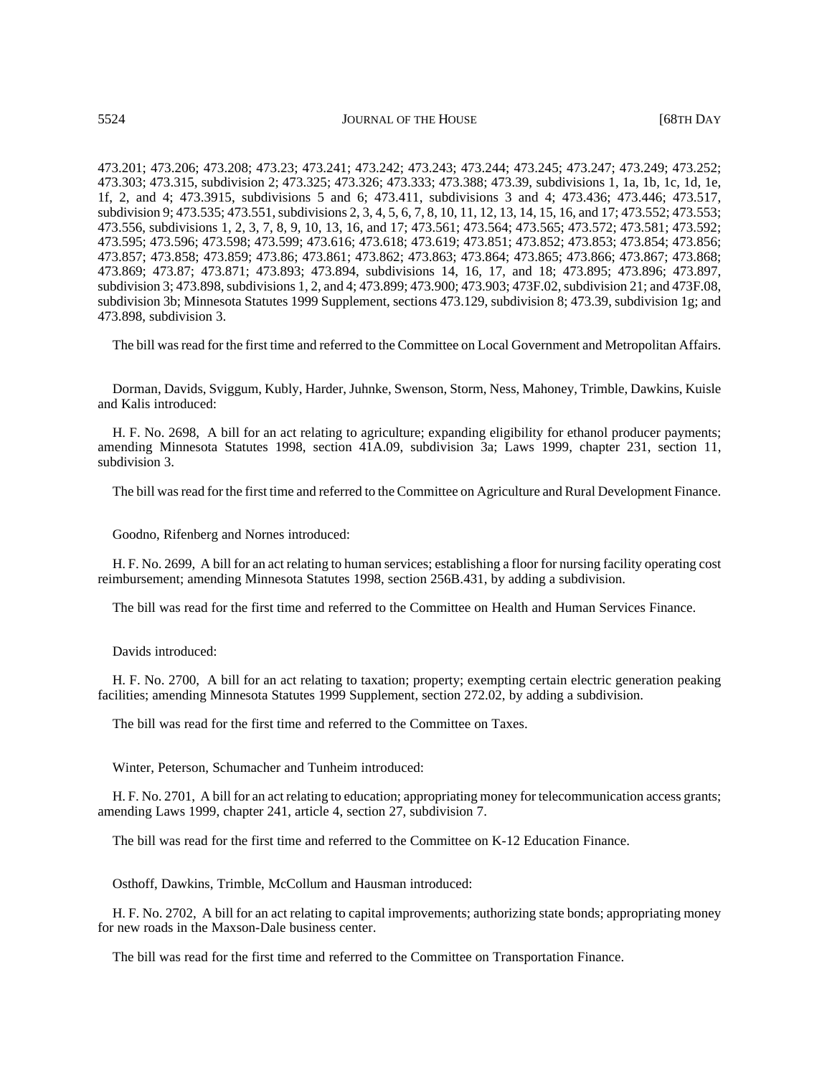473.201; 473.206; 473.208; 473.23; 473.241; 473.242; 473.243; 473.244; 473.245; 473.247; 473.249; 473.252; 473.303; 473.315, subdivision 2; 473.325; 473.326; 473.333; 473.388; 473.39, subdivisions 1, 1a, 1b, 1c, 1d, 1e, 1f, 2, and 4; 473.3915, subdivisions 5 and 6; 473.411, subdivisions 3 and 4; 473.436; 473.446; 473.517, subdivision 9; 473.535; 473.551, subdivisions 2, 3, 4, 5, 6, 7, 8, 10, 11, 12, 13, 14, 15, 16, and 17; 473.552; 473.553; 473.556, subdivisions 1, 2, 3, 7, 8, 9, 10, 13, 16, and 17; 473.561; 473.564; 473.565; 473.572; 473.581; 473.592; 473.595; 473.596; 473.598; 473.599; 473.616; 473.618; 473.619; 473.851; 473.852; 473.853; 473.854; 473.856; 473.857; 473.858; 473.859; 473.86; 473.861; 473.862; 473.863; 473.864; 473.865; 473.866; 473.867; 473.868; 473.869; 473.87; 473.871; 473.893; 473.894, subdivisions 14, 16, 17, and 18; 473.895; 473.896; 473.897, subdivision 3; 473.898, subdivisions 1, 2, and 4; 473.899; 473.900; 473.903; 473F.02, subdivision 21; and 473F.08, subdivision 3b; Minnesota Statutes 1999 Supplement, sections 473.129, subdivision 8; 473.39, subdivision 1g; and 473.898, subdivision 3.

The bill was read for the first time and referred to the Committee on Local Government and Metropolitan Affairs.

Dorman, Davids, Sviggum, Kubly, Harder, Juhnke, Swenson, Storm, Ness, Mahoney, Trimble, Dawkins, Kuisle and Kalis introduced:

H. F. No. 2698, A bill for an act relating to agriculture; expanding eligibility for ethanol producer payments; amending Minnesota Statutes 1998, section 41A.09, subdivision 3a; Laws 1999, chapter 231, section 11, subdivision 3.

The bill was read for the first time and referred to the Committee on Agriculture and Rural Development Finance.

Goodno, Rifenberg and Nornes introduced:

H. F. No. 2699, A bill for an act relating to human services; establishing a floor for nursing facility operating cost reimbursement; amending Minnesota Statutes 1998, section 256B.431, by adding a subdivision.

The bill was read for the first time and referred to the Committee on Health and Human Services Finance.

Davids introduced:

H. F. No. 2700, A bill for an act relating to taxation; property; exempting certain electric generation peaking facilities; amending Minnesota Statutes 1999 Supplement, section 272.02, by adding a subdivision.

The bill was read for the first time and referred to the Committee on Taxes.

Winter, Peterson, Schumacher and Tunheim introduced:

H. F. No. 2701, A bill for an act relating to education; appropriating money for telecommunication access grants; amending Laws 1999, chapter 241, article 4, section 27, subdivision 7.

The bill was read for the first time and referred to the Committee on K-12 Education Finance.

Osthoff, Dawkins, Trimble, McCollum and Hausman introduced:

H. F. No. 2702, A bill for an act relating to capital improvements; authorizing state bonds; appropriating money for new roads in the Maxson-Dale business center.

The bill was read for the first time and referred to the Committee on Transportation Finance.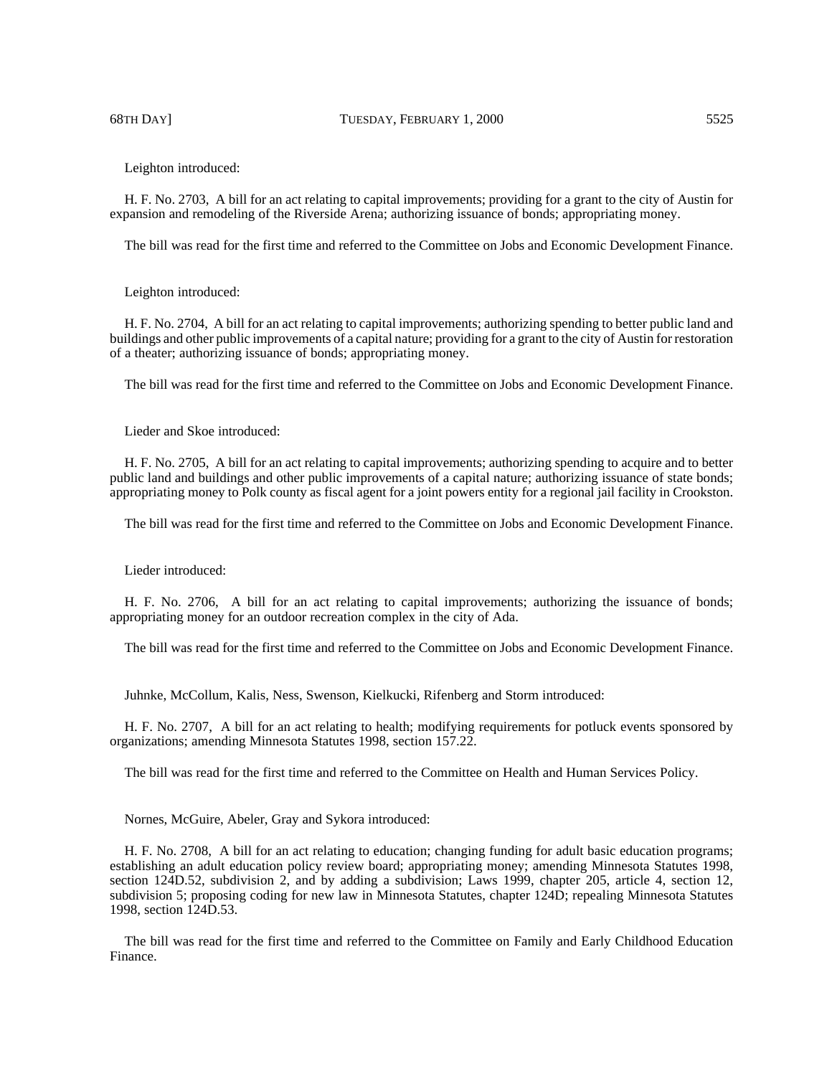68TH DAY] TUESDAY, FEBRUARY 1, 2000 5525

Leighton introduced:

H. F. No. 2703, A bill for an act relating to capital improvements; providing for a grant to the city of Austin for expansion and remodeling of the Riverside Arena; authorizing issuance of bonds; appropriating money.

The bill was read for the first time and referred to the Committee on Jobs and Economic Development Finance.

Leighton introduced:

H. F. No. 2704, A bill for an act relating to capital improvements; authorizing spending to better public land and buildings and other public improvements of a capital nature; providing for a grant to the city of Austin for restoration of a theater; authorizing issuance of bonds; appropriating money.

The bill was read for the first time and referred to the Committee on Jobs and Economic Development Finance.

Lieder and Skoe introduced:

H. F. No. 2705, A bill for an act relating to capital improvements; authorizing spending to acquire and to better public land and buildings and other public improvements of a capital nature; authorizing issuance of state bonds; appropriating money to Polk county as fiscal agent for a joint powers entity for a regional jail facility in Crookston.

The bill was read for the first time and referred to the Committee on Jobs and Economic Development Finance.

Lieder introduced:

H. F. No. 2706, A bill for an act relating to capital improvements; authorizing the issuance of bonds; appropriating money for an outdoor recreation complex in the city of Ada.

The bill was read for the first time and referred to the Committee on Jobs and Economic Development Finance.

Juhnke, McCollum, Kalis, Ness, Swenson, Kielkucki, Rifenberg and Storm introduced:

H. F. No. 2707, A bill for an act relating to health; modifying requirements for potluck events sponsored by organizations; amending Minnesota Statutes 1998, section 157.22.

The bill was read for the first time and referred to the Committee on Health and Human Services Policy.

Nornes, McGuire, Abeler, Gray and Sykora introduced:

H. F. No. 2708, A bill for an act relating to education; changing funding for adult basic education programs; establishing an adult education policy review board; appropriating money; amending Minnesota Statutes 1998, section 124D.52, subdivision 2, and by adding a subdivision; Laws 1999, chapter 205, article 4, section 12, subdivision 5; proposing coding for new law in Minnesota Statutes, chapter 124D; repealing Minnesota Statutes 1998, section 124D.53.

The bill was read for the first time and referred to the Committee on Family and Early Childhood Education Finance.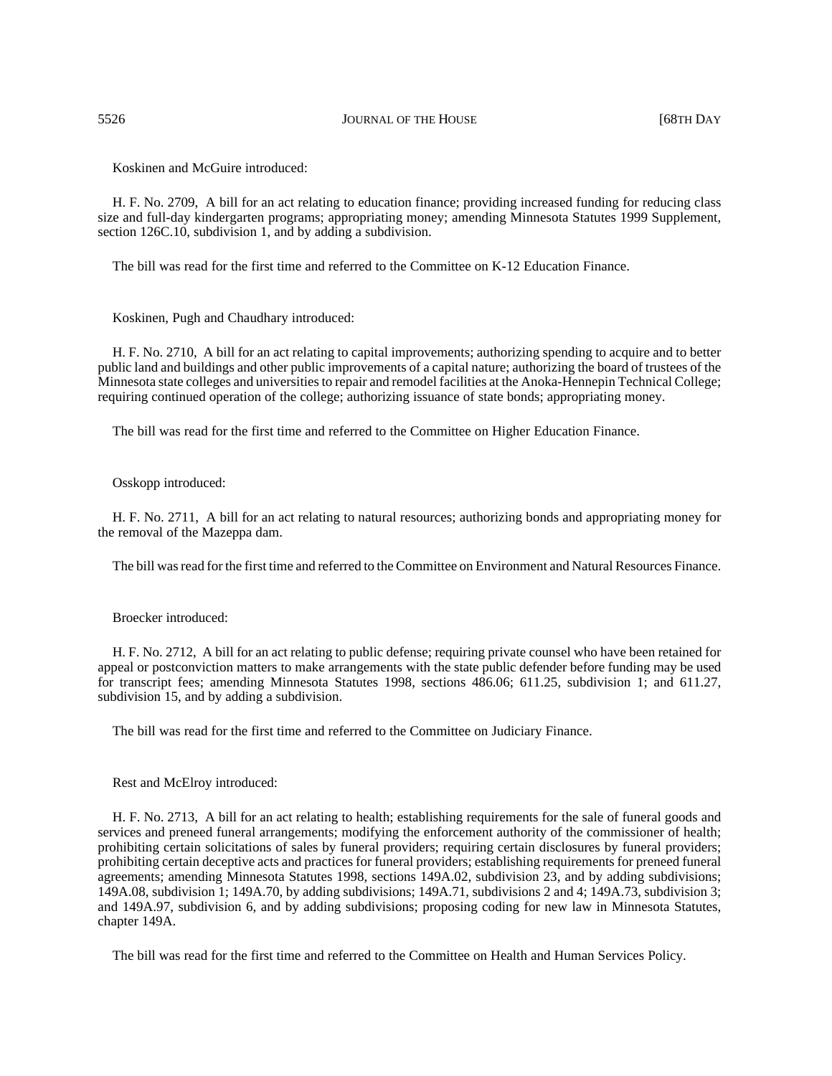5526 JOURNAL OF THE HOUSE [68TH DAY

Koskinen and McGuire introduced:

H. F. No. 2709, A bill for an act relating to education finance; providing increased funding for reducing class size and full-day kindergarten programs; appropriating money; amending Minnesota Statutes 1999 Supplement, section 126C.10, subdivision 1, and by adding a subdivision.

The bill was read for the first time and referred to the Committee on K-12 Education Finance.

Koskinen, Pugh and Chaudhary introduced:

H. F. No. 2710, A bill for an act relating to capital improvements; authorizing spending to acquire and to better public land and buildings and other public improvements of a capital nature; authorizing the board of trustees of the Minnesota state colleges and universities to repair and remodel facilities at the Anoka-Hennepin Technical College; requiring continued operation of the college; authorizing issuance of state bonds; appropriating money.

The bill was read for the first time and referred to the Committee on Higher Education Finance.

Osskopp introduced:

H. F. No. 2711, A bill for an act relating to natural resources; authorizing bonds and appropriating money for the removal of the Mazeppa dam.

The bill was read for the first time and referred to the Committee on Environment and Natural Resources Finance.

Broecker introduced:

H. F. No. 2712, A bill for an act relating to public defense; requiring private counsel who have been retained for appeal or postconviction matters to make arrangements with the state public defender before funding may be used for transcript fees; amending Minnesota Statutes 1998, sections 486.06; 611.25, subdivision 1; and 611.27, subdivision 15, and by adding a subdivision.

The bill was read for the first time and referred to the Committee on Judiciary Finance.

Rest and McElroy introduced:

H. F. No. 2713, A bill for an act relating to health; establishing requirements for the sale of funeral goods and services and preneed funeral arrangements; modifying the enforcement authority of the commissioner of health; prohibiting certain solicitations of sales by funeral providers; requiring certain disclosures by funeral providers; prohibiting certain deceptive acts and practices for funeral providers; establishing requirements for preneed funeral agreements; amending Minnesota Statutes 1998, sections 149A.02, subdivision 23, and by adding subdivisions; 149A.08, subdivision 1; 149A.70, by adding subdivisions; 149A.71, subdivisions 2 and 4; 149A.73, subdivision 3; and 149A.97, subdivision 6, and by adding subdivisions; proposing coding for new law in Minnesota Statutes, chapter 149A.

The bill was read for the first time and referred to the Committee on Health and Human Services Policy.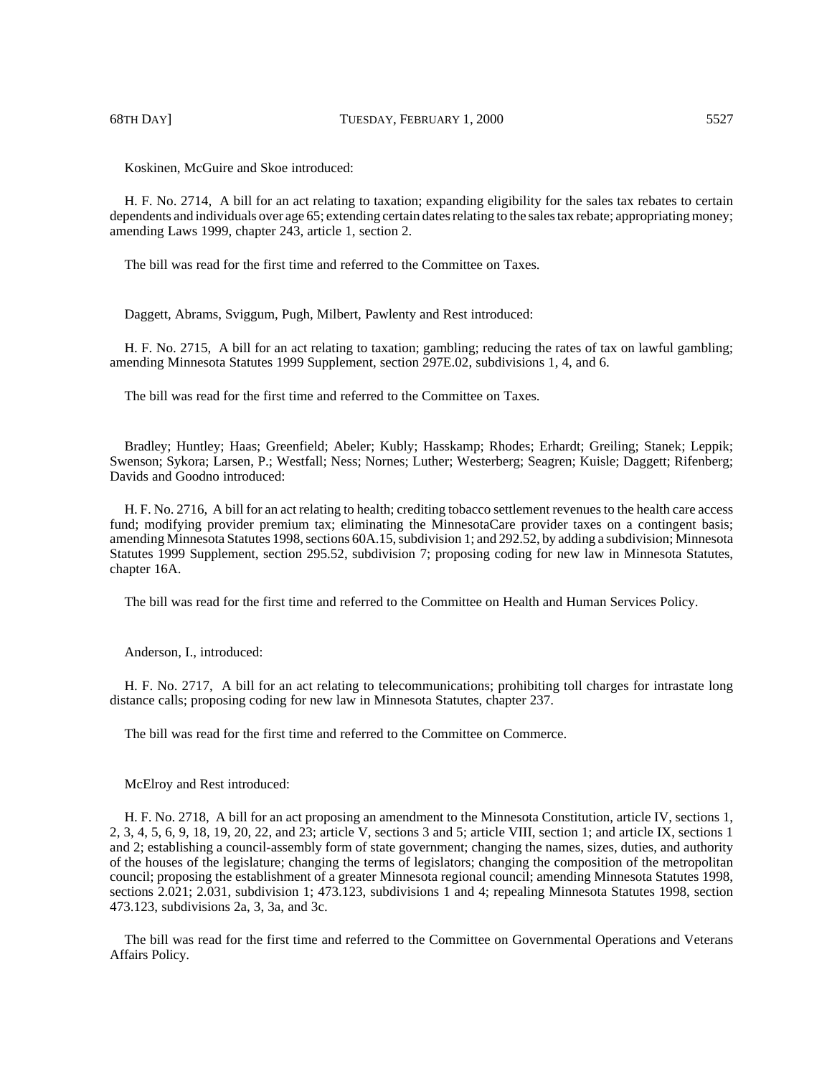H. F. No. 2714, A bill for an act relating to taxation; expanding eligibility for the sales tax rebates to certain dependents and individuals over age 65; extending certain dates relating to the sales tax rebate; appropriating money; amending Laws 1999, chapter 243, article 1, section 2.

The bill was read for the first time and referred to the Committee on Taxes.

Daggett, Abrams, Sviggum, Pugh, Milbert, Pawlenty and Rest introduced:

H. F. No. 2715, A bill for an act relating to taxation; gambling; reducing the rates of tax on lawful gambling; amending Minnesota Statutes 1999 Supplement, section 297E.02, subdivisions 1, 4, and 6.

The bill was read for the first time and referred to the Committee on Taxes.

Bradley; Huntley; Haas; Greenfield; Abeler; Kubly; Hasskamp; Rhodes; Erhardt; Greiling; Stanek; Leppik; Swenson; Sykora; Larsen, P.; Westfall; Ness; Nornes; Luther; Westerberg; Seagren; Kuisle; Daggett; Rifenberg; Davids and Goodno introduced:

H. F. No. 2716, A bill for an act relating to health; crediting tobacco settlement revenues to the health care access fund; modifying provider premium tax; eliminating the MinnesotaCare provider taxes on a contingent basis; amending Minnesota Statutes 1998, sections 60A.15, subdivision 1; and 292.52, by adding a subdivision; Minnesota Statutes 1999 Supplement, section 295.52, subdivision 7; proposing coding for new law in Minnesota Statutes, chapter 16A.

The bill was read for the first time and referred to the Committee on Health and Human Services Policy.

Anderson, I., introduced:

H. F. No. 2717, A bill for an act relating to telecommunications; prohibiting toll charges for intrastate long distance calls; proposing coding for new law in Minnesota Statutes, chapter 237.

The bill was read for the first time and referred to the Committee on Commerce.

McElroy and Rest introduced:

H. F. No. 2718, A bill for an act proposing an amendment to the Minnesota Constitution, article IV, sections 1, 2, 3, 4, 5, 6, 9, 18, 19, 20, 22, and 23; article V, sections 3 and 5; article VIII, section 1; and article IX, sections 1 and 2; establishing a council-assembly form of state government; changing the names, sizes, duties, and authority of the houses of the legislature; changing the terms of legislators; changing the composition of the metropolitan council; proposing the establishment of a greater Minnesota regional council; amending Minnesota Statutes 1998, sections 2.021; 2.031, subdivision 1; 473.123, subdivisions 1 and 4; repealing Minnesota Statutes 1998, section 473.123, subdivisions 2a, 3, 3a, and 3c.

The bill was read for the first time and referred to the Committee on Governmental Operations and Veterans Affairs Policy.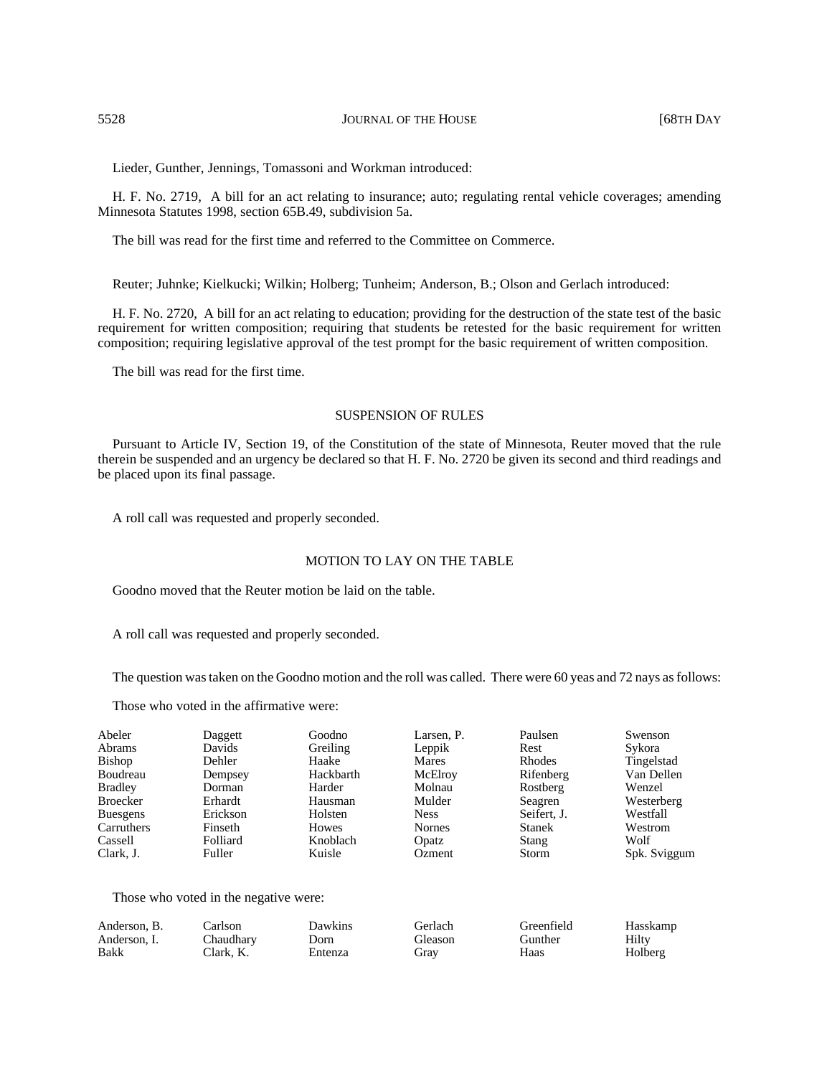## 5528 JOURNAL OF THE HOUSE [68TH DAY

Lieder, Gunther, Jennings, Tomassoni and Workman introduced:

H. F. No. 2719, A bill for an act relating to insurance; auto; regulating rental vehicle coverages; amending Minnesota Statutes 1998, section 65B.49, subdivision 5a.

The bill was read for the first time and referred to the Committee on Commerce.

Reuter; Juhnke; Kielkucki; Wilkin; Holberg; Tunheim; Anderson, B.; Olson and Gerlach introduced:

H. F. No. 2720, A bill for an act relating to education; providing for the destruction of the state test of the basic requirement for written composition; requiring that students be retested for the basic requirement for written composition; requiring legislative approval of the test prompt for the basic requirement of written composition.

The bill was read for the first time.

## SUSPENSION OF RULES

Pursuant to Article IV, Section 19, of the Constitution of the state of Minnesota, Reuter moved that the rule therein be suspended and an urgency be declared so that H. F. No. 2720 be given its second and third readings and be placed upon its final passage.

A roll call was requested and properly seconded.

# MOTION TO LAY ON THE TABLE

Goodno moved that the Reuter motion be laid on the table.

A roll call was requested and properly seconded.

The question was taken on the Goodno motion and the roll was called. There were 60 yeas and 72 nays as follows:

Those who voted in the affirmative were:

| Abeler<br>Abrams | Daggett<br>Davids | Goodno<br>Greiling | Larsen, P.<br>Leppik | Paulsen<br>Rest | Swenson<br>Sykora |
|------------------|-------------------|--------------------|----------------------|-----------------|-------------------|
| Bishop           | Dehler            | Haake              | <b>Mares</b>         | <b>Rhodes</b>   | Tingelstad        |
| Boudreau         | Dempsey           | Hackbarth          | McElroy              | Rifenberg       | Van Dellen        |
| <b>Bradley</b>   | Dorman            | Harder             | Molnau               | Rostberg        | Wenzel            |
| <b>Broecker</b>  | Erhardt           | Hausman            | Mulder               | Seagren         | Westerberg        |
| <b>Buesgens</b>  | Erickson          | Holsten            | <b>Ness</b>          | Seifert, J.     | Westfall          |
| Carruthers       | Finseth           | Howes              | <b>Nornes</b>        | <b>Stanek</b>   | Westrom           |
| Cassell          | Folliard          | Knoblach           | Opatz                | Stang           | Wolf              |
| Clark. J.        | <b>Fuller</b>     | Kuisle             | Ozment               | <b>Storm</b>    | Spk. Sviggum      |

Those who voted in the negative were:

| Anderson, B. | ∠arlson   | Dawkins | Terlach ! | Greenfield | Hasskamp |
|--------------|-----------|---------|-----------|------------|----------|
| Anderson. I. | Chaudharv | Dorn    | . ileason | Gunther    | Hiltv    |
| Bakk         | Clark. K. | Entenza | frav      | Haas       | Holberg  |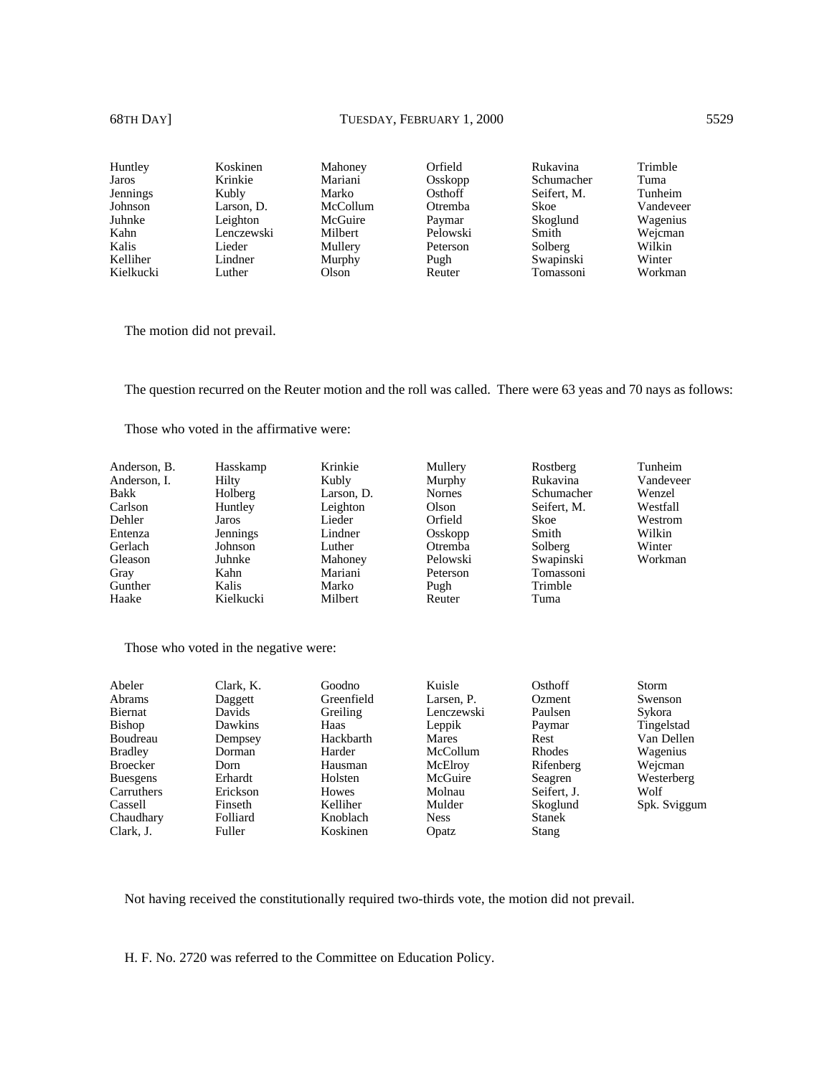| Huntley         | Koskinen   | Mahoney  | Orfield  | Rukavina    | Trimble   |
|-----------------|------------|----------|----------|-------------|-----------|
| Jaros           | Krinkie    | Mariani  | Osskopp  | Schumacher  | Tuma      |
| <b>Jennings</b> | Kubly      | Marko    | Osthoff  | Seifert, M. | Tunheim   |
| Johnson         | Larson, D. | McCollum | Otremba  | Skoe        | Vandeveer |
| Juhnke          | Leighton   | McGuire  | Paymar   | Skoglund    | Wagenius  |
| Kahn            | Lenczewski | Milbert  | Pelowski | Smith       | Wejcman   |
| Kalis           | Lieder     | Mullery  | Peterson | Solberg     | Wilkin    |
| Kelliher        | Lindner    | Murphy   | Pugh     | Swapinski   | Winter    |
| Kielkucki       | Luther     | Olson    | Reuter   | Tomassoni   | Workman   |

The motion did not prevail.

The question recurred on the Reuter motion and the roll was called. There were 63 yeas and 70 nays as follows:

Those who voted in the affirmative were:

| Anderson, B. | Hasskamp  | Krinkie        | Mullery       | Rostberg    | Tunheim   |
|--------------|-----------|----------------|---------------|-------------|-----------|
| Anderson, I. | Hilty     | Kubly          | Murphy        | Rukavina    | Vandeveer |
| Bakk         | Holberg   | Larson, D.     | <b>Nornes</b> | Schumacher  | Wenzel    |
| Carlson      | Huntley   | Leighton       | Olson         | Seifert, M. | Westfall  |
| Dehler       | Jaros     | Lieder         | Orfield       | Skoe        | Westrom   |
| Entenza      | Jennings  | Lindner        | Osskopp       | Smith       | Wilkin    |
| Gerlach      | Johnson   | Luther         | Otremba       | Solberg     | Winter    |
| Gleason      | Juhnke    | Mahoney        | Pelowski      | Swapinski   | Workman   |
| Gray         | Kahn      | Mariani        | Peterson      | Tomassoni   |           |
| Gunther      | Kalis     | Marko          | Pugh          | Trimble     |           |
| Haake        | Kielkucki | <b>Milbert</b> | Reuter        | Tuma        |           |

Those who voted in the negative were:

| Abeler          | Clark, K. | Goodno     | Kuisle       | Osthoff       | Storm        |
|-----------------|-----------|------------|--------------|---------------|--------------|
| Abrams          | Daggett   | Greenfield | Larsen, P.   | Ozment        | Swenson      |
| Biernat         | Davids    | Greiling   | Lenczewski   | Paulsen       | Sykora       |
| <b>Bishop</b>   | Dawkins   | Haas       | Leppik       | Paymar        | Tingelstad   |
| Boudreau        | Dempsey   | Hackbarth  | <b>Mares</b> | Rest          | Van Dellen   |
| <b>Bradley</b>  | Dorman    | Harder     | McCollum     | Rhodes        | Wagenius     |
| <b>Broecker</b> | Dorn      | Hausman    | McElroy      | Rifenberg     | Weicman      |
| <b>Buesgens</b> | Erhardt   | Holsten    | McGuire      | Seagren       | Westerberg   |
| Carruthers      | Erickson  | Howes      | Molnau       | Seifert. J.   | Wolf         |
| Cassell         | Finseth   | Kelliher   | Mulder       | Skoglund      | Spk. Sviggum |
| Chaudhary       | Folliard  | Knoblach   | <b>Ness</b>  | <b>Stanek</b> |              |
| Clark. J.       | Fuller    | Koskinen   | Opatz        | Stang         |              |

Not having received the constitutionally required two-thirds vote, the motion did not prevail.

H. F. No. 2720 was referred to the Committee on Education Policy.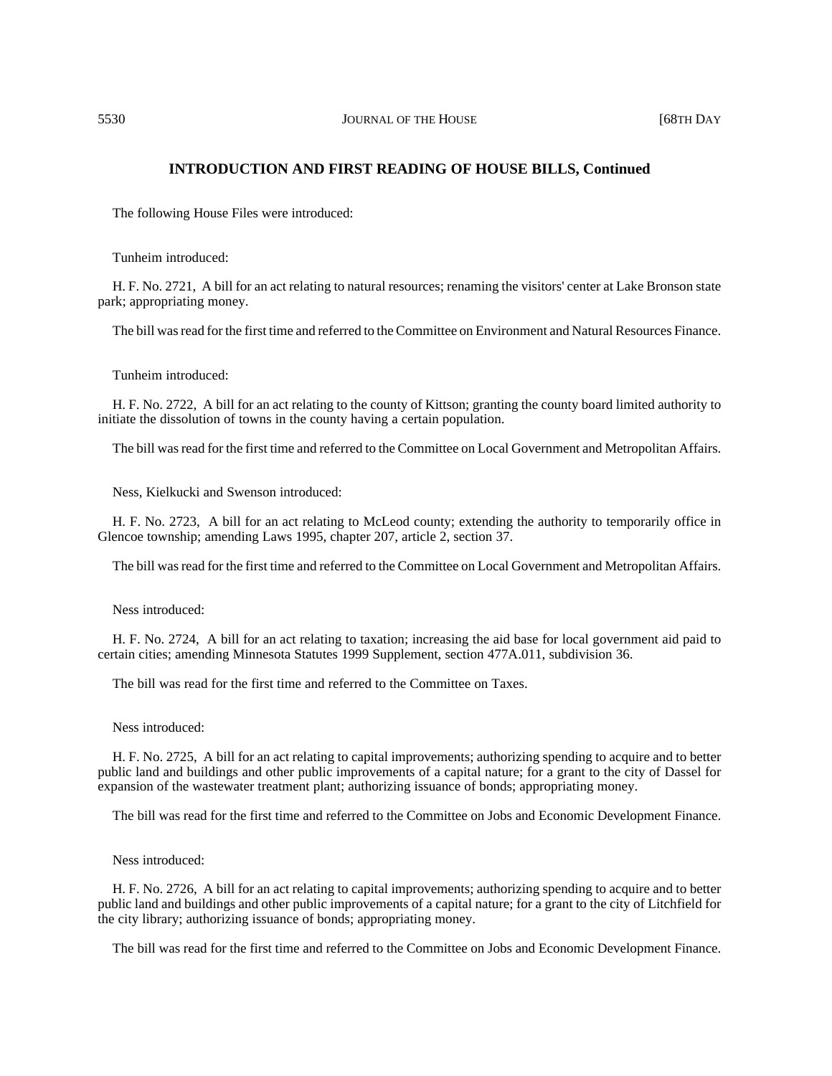# **INTRODUCTION AND FIRST READING OF HOUSE BILLS, Continued**

The following House Files were introduced:

Tunheim introduced:

H. F. No. 2721, A bill for an act relating to natural resources; renaming the visitors' center at Lake Bronson state park; appropriating money.

The bill was read for the first time and referred to the Committee on Environment and Natural Resources Finance.

Tunheim introduced:

H. F. No. 2722, A bill for an act relating to the county of Kittson; granting the county board limited authority to initiate the dissolution of towns in the county having a certain population.

The bill was read for the first time and referred to the Committee on Local Government and Metropolitan Affairs.

Ness, Kielkucki and Swenson introduced:

H. F. No. 2723, A bill for an act relating to McLeod county; extending the authority to temporarily office in Glencoe township; amending Laws 1995, chapter 207, article 2, section 37.

The bill was read for the first time and referred to the Committee on Local Government and Metropolitan Affairs.

Ness introduced:

H. F. No. 2724, A bill for an act relating to taxation; increasing the aid base for local government aid paid to certain cities; amending Minnesota Statutes 1999 Supplement, section 477A.011, subdivision 36.

The bill was read for the first time and referred to the Committee on Taxes.

Ness introduced:

H. F. No. 2725, A bill for an act relating to capital improvements; authorizing spending to acquire and to better public land and buildings and other public improvements of a capital nature; for a grant to the city of Dassel for expansion of the wastewater treatment plant; authorizing issuance of bonds; appropriating money.

The bill was read for the first time and referred to the Committee on Jobs and Economic Development Finance.

Ness introduced:

H. F. No. 2726, A bill for an act relating to capital improvements; authorizing spending to acquire and to better public land and buildings and other public improvements of a capital nature; for a grant to the city of Litchfield for the city library; authorizing issuance of bonds; appropriating money.

The bill was read for the first time and referred to the Committee on Jobs and Economic Development Finance.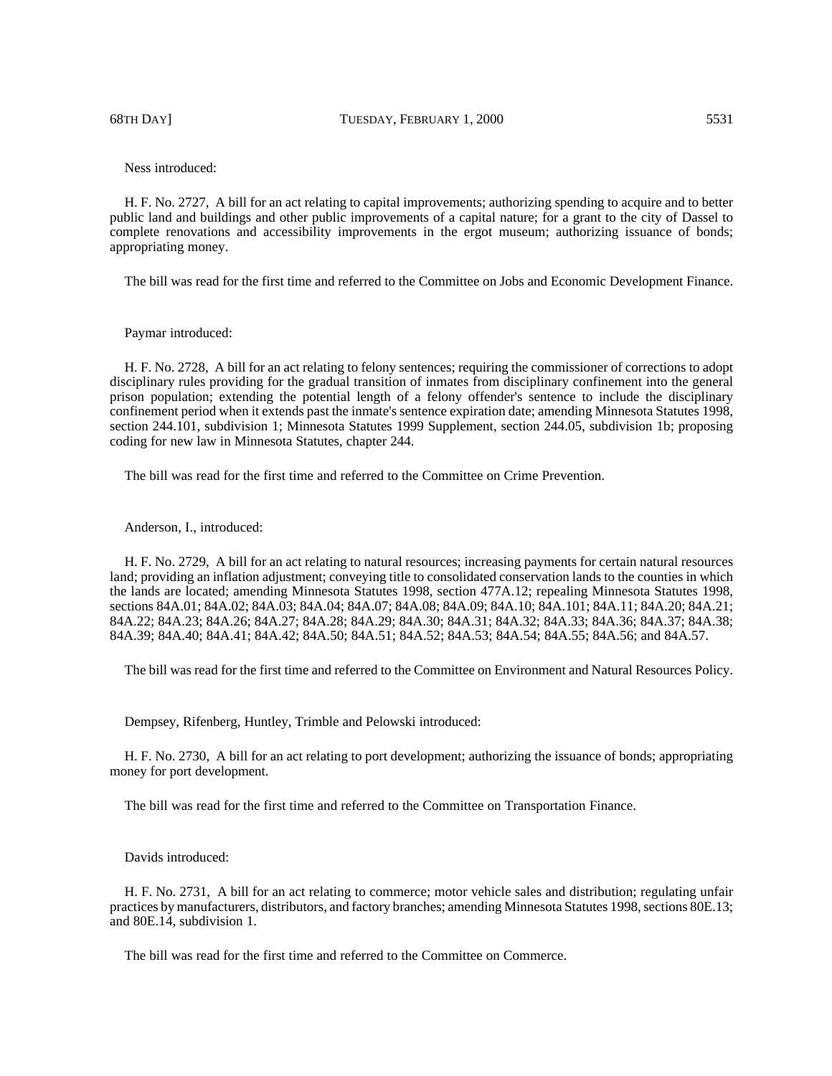68TH DAY] TUESDAY, FEBRUARY 1, 2000 5531

Ness introduced:

H. F. No. 2727, A bill for an act relating to capital improvements; authorizing spending to acquire and to better public land and buildings and other public improvements of a capital nature; for a grant to the city of Dassel to complete renovations and accessibility improvements in the ergot museum; authorizing issuance of bonds; appropriating money.

The bill was read for the first time and referred to the Committee on Jobs and Economic Development Finance.

Paymar introduced:

H. F. No. 2728, A bill for an act relating to felony sentences; requiring the commissioner of corrections to adopt disciplinary rules providing for the gradual transition of inmates from disciplinary confinement into the general prison population; extending the potential length of a felony offender's sentence to include the disciplinary confinement period when it extends past the inmate's sentence expiration date; amending Minnesota Statutes 1998, section 244.101, subdivision 1; Minnesota Statutes 1999 Supplement, section 244.05, subdivision 1b; proposing coding for new law in Minnesota Statutes, chapter 244.

The bill was read for the first time and referred to the Committee on Crime Prevention.

Anderson, I., introduced:

H. F. No. 2729, A bill for an act relating to natural resources; increasing payments for certain natural resources land; providing an inflation adjustment; conveying title to consolidated conservation lands to the counties in which the lands are located; amending Minnesota Statutes 1998, section 477A.12; repealing Minnesota Statutes 1998, sections 84A.01; 84A.02; 84A.03; 84A.04; 84A.07; 84A.08; 84A.09; 84A.10; 84A.101; 84A.11; 84A.20; 84A.21; 84A.22; 84A.23; 84A.26; 84A.27; 84A.28; 84A.29; 84A.30; 84A.31; 84A.32; 84A.33; 84A.36; 84A.37; 84A.38; 84A.39; 84A.40; 84A.41; 84A.42; 84A.50; 84A.51; 84A.52; 84A.53; 84A.54; 84A.55; 84A.56; and 84A.57.

The bill was read for the first time and referred to the Committee on Environment and Natural Resources Policy.

Dempsey, Rifenberg, Huntley, Trimble and Pelowski introduced:

H. F. No. 2730, A bill for an act relating to port development; authorizing the issuance of bonds; appropriating money for port development.

The bill was read for the first time and referred to the Committee on Transportation Finance.

Davids introduced:

H. F. No. 2731, A bill for an act relating to commerce; motor vehicle sales and distribution; regulating unfair practices by manufacturers, distributors, and factory branches; amending Minnesota Statutes 1998, sections 80E.13; and 80E.14, subdivision 1.

The bill was read for the first time and referred to the Committee on Commerce.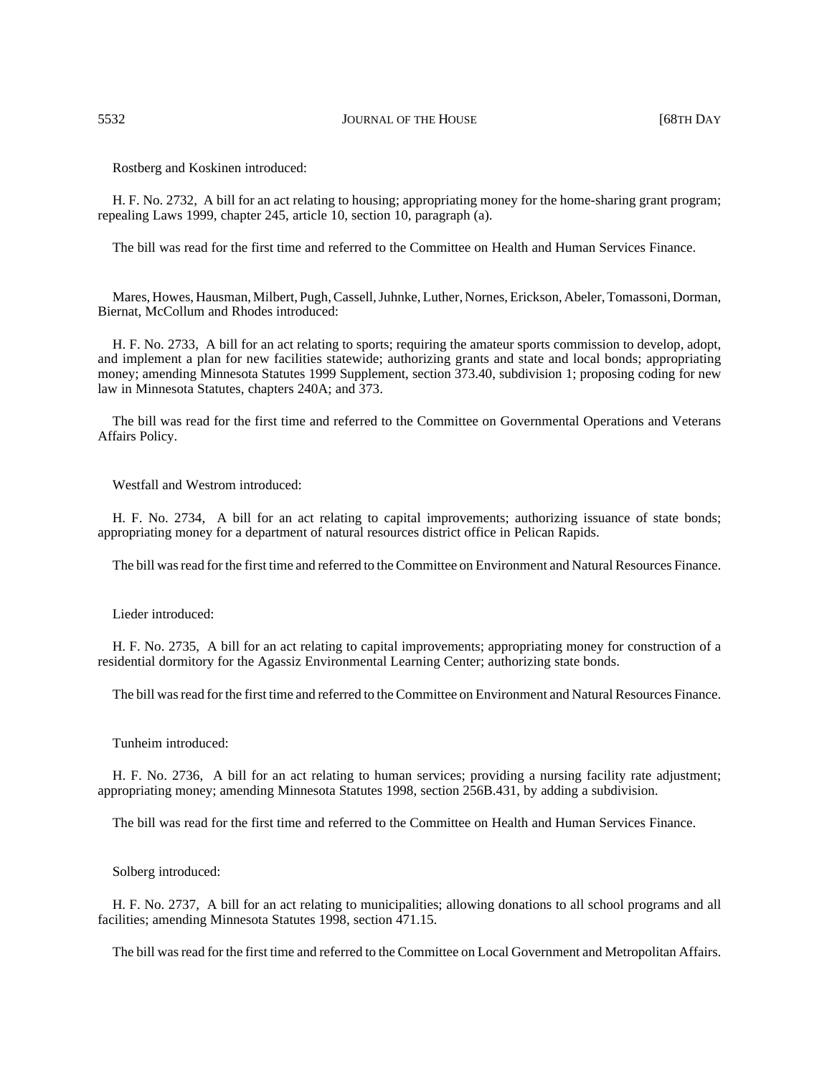5532 JOURNAL OF THE HOUSE [68TH DAY

Rostberg and Koskinen introduced:

H. F. No. 2732, A bill for an act relating to housing; appropriating money for the home-sharing grant program; repealing Laws 1999, chapter 245, article 10, section 10, paragraph (a).

The bill was read for the first time and referred to the Committee on Health and Human Services Finance.

Mares, Howes, Hausman, Milbert, Pugh, Cassell, Juhnke, Luther, Nornes, Erickson, Abeler, Tomassoni, Dorman, Biernat, McCollum and Rhodes introduced:

H. F. No. 2733, A bill for an act relating to sports; requiring the amateur sports commission to develop, adopt, and implement a plan for new facilities statewide; authorizing grants and state and local bonds; appropriating money; amending Minnesota Statutes 1999 Supplement, section 373.40, subdivision 1; proposing coding for new law in Minnesota Statutes, chapters 240A; and 373.

The bill was read for the first time and referred to the Committee on Governmental Operations and Veterans Affairs Policy.

Westfall and Westrom introduced:

H. F. No. 2734, A bill for an act relating to capital improvements; authorizing issuance of state bonds; appropriating money for a department of natural resources district office in Pelican Rapids.

The bill was read for the first time and referred to the Committee on Environment and Natural Resources Finance.

Lieder introduced:

H. F. No. 2735, A bill for an act relating to capital improvements; appropriating money for construction of a residential dormitory for the Agassiz Environmental Learning Center; authorizing state bonds.

The bill was read for the first time and referred to the Committee on Environment and Natural Resources Finance.

Tunheim introduced:

H. F. No. 2736, A bill for an act relating to human services; providing a nursing facility rate adjustment; appropriating money; amending Minnesota Statutes 1998, section 256B.431, by adding a subdivision.

The bill was read for the first time and referred to the Committee on Health and Human Services Finance.

Solberg introduced:

H. F. No. 2737, A bill for an act relating to municipalities; allowing donations to all school programs and all facilities; amending Minnesota Statutes 1998, section 471.15.

The bill was read for the first time and referred to the Committee on Local Government and Metropolitan Affairs.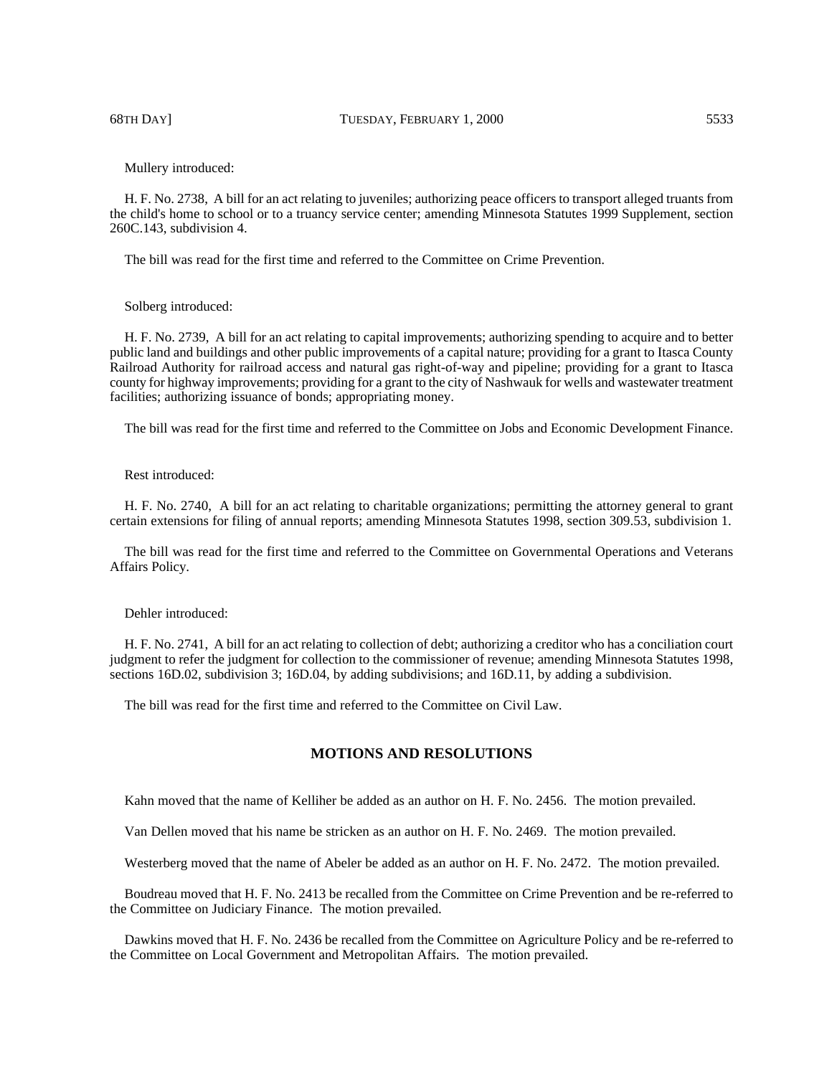68TH DAY] TUESDAY, FEBRUARY 1, 2000 5533

Mullery introduced:

H. F. No. 2738, A bill for an act relating to juveniles; authorizing peace officers to transport alleged truants from the child's home to school or to a truancy service center; amending Minnesota Statutes 1999 Supplement, section 260C.143, subdivision 4.

The bill was read for the first time and referred to the Committee on Crime Prevention.

Solberg introduced:

H. F. No. 2739, A bill for an act relating to capital improvements; authorizing spending to acquire and to better public land and buildings and other public improvements of a capital nature; providing for a grant to Itasca County Railroad Authority for railroad access and natural gas right-of-way and pipeline; providing for a grant to Itasca county for highway improvements; providing for a grant to the city of Nashwauk for wells and wastewater treatment facilities; authorizing issuance of bonds; appropriating money.

The bill was read for the first time and referred to the Committee on Jobs and Economic Development Finance.

Rest introduced:

H. F. No. 2740, A bill for an act relating to charitable organizations; permitting the attorney general to grant certain extensions for filing of annual reports; amending Minnesota Statutes 1998, section 309.53, subdivision 1.

The bill was read for the first time and referred to the Committee on Governmental Operations and Veterans Affairs Policy.

Dehler introduced:

H. F. No. 2741, A bill for an act relating to collection of debt; authorizing a creditor who has a conciliation court judgment to refer the judgment for collection to the commissioner of revenue; amending Minnesota Statutes 1998, sections 16D.02, subdivision 3; 16D.04, by adding subdivisions; and 16D.11, by adding a subdivision.

The bill was read for the first time and referred to the Committee on Civil Law.

# **MOTIONS AND RESOLUTIONS**

Kahn moved that the name of Kelliher be added as an author on H. F. No. 2456. The motion prevailed.

Van Dellen moved that his name be stricken as an author on H. F. No. 2469. The motion prevailed.

Westerberg moved that the name of Abeler be added as an author on H. F. No. 2472. The motion prevailed.

Boudreau moved that H. F. No. 2413 be recalled from the Committee on Crime Prevention and be re-referred to the Committee on Judiciary Finance. The motion prevailed.

Dawkins moved that H. F. No. 2436 be recalled from the Committee on Agriculture Policy and be re-referred to the Committee on Local Government and Metropolitan Affairs. The motion prevailed.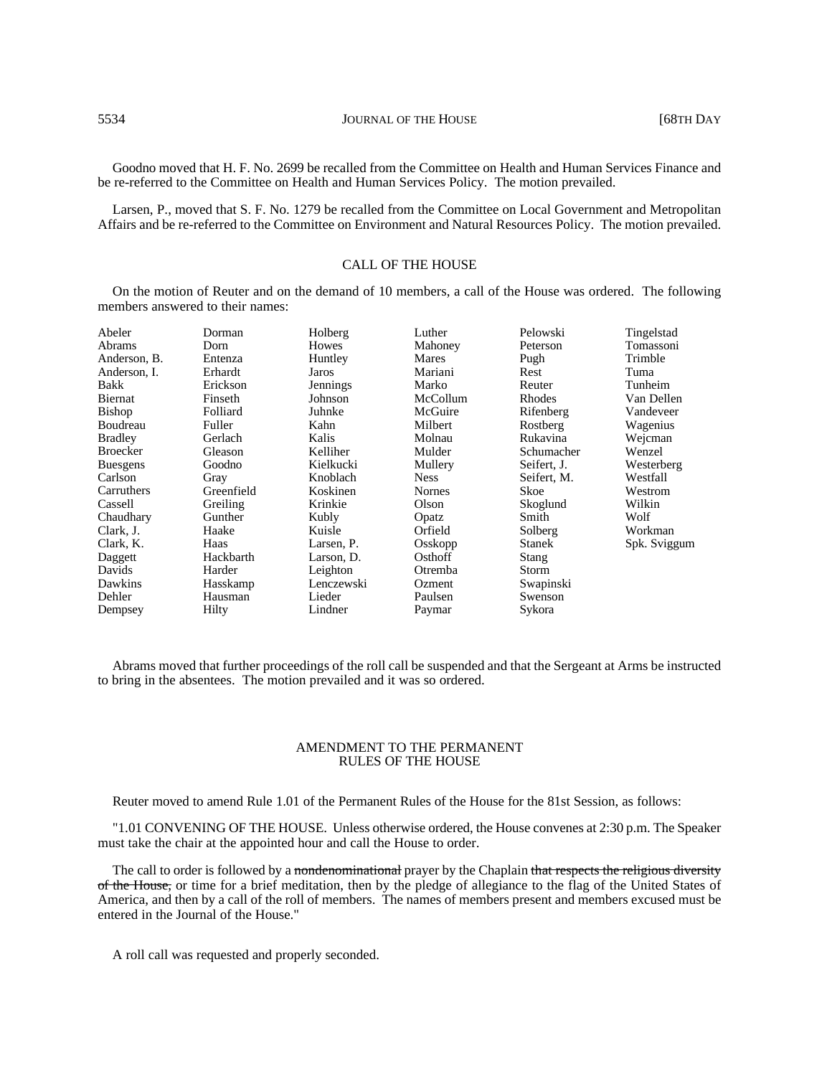Goodno moved that H. F. No. 2699 be recalled from the Committee on Health and Human Services Finance and be re-referred to the Committee on Health and Human Services Policy. The motion prevailed.

Larsen, P., moved that S. F. No. 1279 be recalled from the Committee on Local Government and Metropolitan Affairs and be re-referred to the Committee on Environment and Natural Resources Policy. The motion prevailed.

# CALL OF THE HOUSE

On the motion of Reuter and on the demand of 10 members, a call of the House was ordered. The following members answered to their names:

| Abeler          | Dorman     | Holberg    | Luther        | Pelowski      | Tingelstad   |
|-----------------|------------|------------|---------------|---------------|--------------|
| Abrams          | Dorn       | Howes      | Mahoney       | Peterson      | Tomassoni    |
| Anderson, B.    | Entenza    | Huntley    | Mares         | Pugh          | Trimble      |
| Anderson. I.    | Erhardt    | Jaros      | Mariani       | Rest          | Tuma         |
| Bakk            | Erickson   | Jennings   | Marko         | Reuter        | Tunheim      |
| Biernat         | Finseth    | Johnson    | McCollum      | Rhodes        | Van Dellen   |
| Bishop          | Folliard   | Juhnke     | McGuire       | Rifenberg     | Vandeveer    |
| Boudreau        | Fuller     | Kahn       | Milbert       | Rostberg      | Wagenius     |
| <b>Bradley</b>  | Gerlach    | Kalis      | Molnau        | Rukavina      | Wejcman      |
| <b>Broecker</b> | Gleason    | Kelliher   | Mulder        | Schumacher    | Wenzel       |
| <b>Buesgens</b> | Goodno     | Kielkucki  | Mullery       | Seifert, J.   | Westerberg   |
| Carlson         | Gray       | Knoblach   | <b>Ness</b>   | Seifert, M.   | Westfall     |
| Carruthers      | Greenfield | Koskinen   | <b>Nornes</b> | Skoe          | Westrom      |
| Cassell         | Greiling   | Krinkie    | Olson         | Skoglund      | Wilkin       |
| Chaudhary       | Gunther    | Kubly      | Opatz         | Smith         | Wolf         |
| Clark, J.       | Haake      | Kuisle     | Orfield       | Solberg       | Workman      |
| Clark, K.       | Haas       | Larsen, P. | Osskopp       | <b>Stanek</b> | Spk. Sviggum |
| Daggett         | Hackbarth  | Larson, D. | Osthoff       | Stang         |              |
| Davids          | Harder     | Leighton   | Otremba       | Storm         |              |
| Dawkins         | Hasskamp   | Lenczewski | Ozment        | Swapinski     |              |
| Dehler          | Hausman    | Lieder     | Paulsen       | Swenson       |              |
| Dempsey         | Hilty      | Lindner    | Paymar        | Sykora        |              |

Abrams moved that further proceedings of the roll call be suspended and that the Sergeant at Arms be instructed to bring in the absentees. The motion prevailed and it was so ordered.

## AMENDMENT TO THE PERMANENT RULES OF THE HOUSE

Reuter moved to amend Rule 1.01 of the Permanent Rules of the House for the 81st Session, as follows:

"1.01 CONVENING OF THE HOUSE. Unless otherwise ordered, the House convenes at 2:30 p.m. The Speaker must take the chair at the appointed hour and call the House to order.

The call to order is followed by a nondenominational prayer by the Chaplain that respects the religious diversity of the House, or time for a brief meditation, then by the pledge of allegiance to the flag of the United States of America, and then by a call of the roll of members. The names of members present and members excused must be entered in the Journal of the House."

A roll call was requested and properly seconded.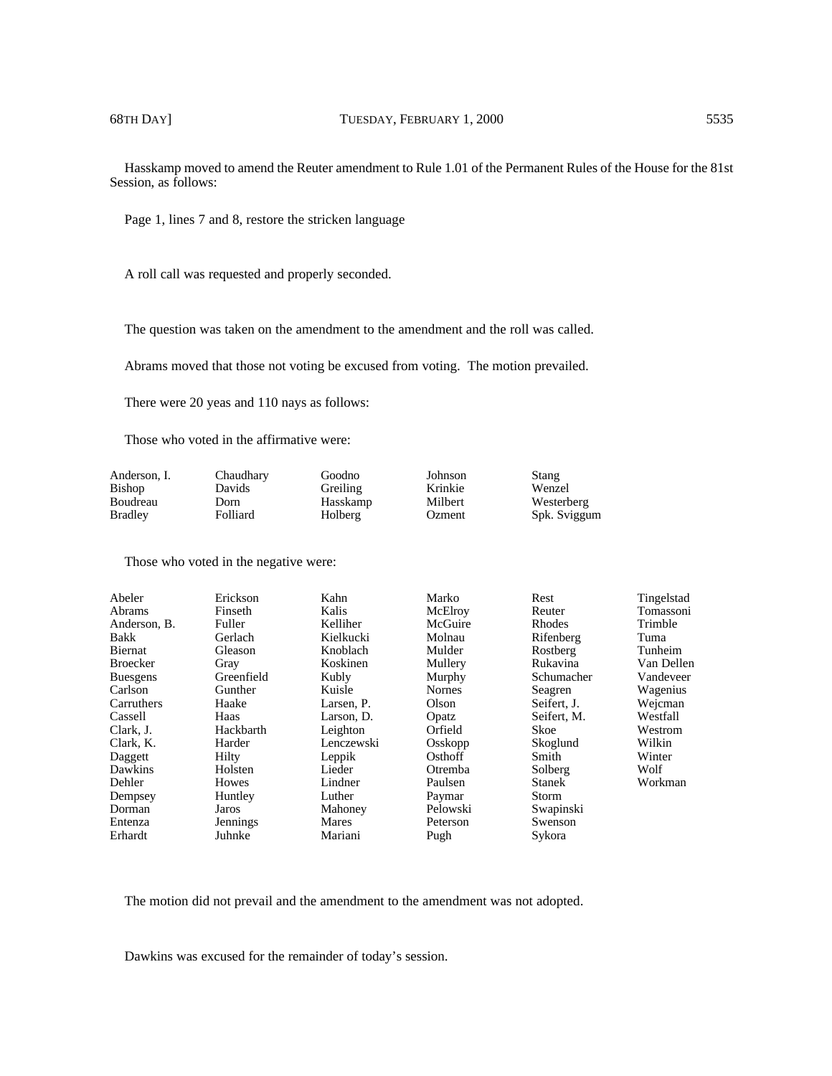Hasskamp moved to amend the Reuter amendment to Rule 1.01 of the Permanent Rules of the House for the 81st Session, as follows:

Page 1, lines 7 and 8, restore the stricken language

A roll call was requested and properly seconded.

The question was taken on the amendment to the amendment and the roll was called.

Abrams moved that those not voting be excused from voting. The motion prevailed.

There were 20 yeas and 110 nays as follows:

Those who voted in the affirmative were:

| Anderson, I.   | Chaudhary | Goodno   | Johnson | Stang        |
|----------------|-----------|----------|---------|--------------|
| Bishop         | Davids    | Greiling | Krinkie | Wenzel       |
| Boudreau       | Dorn      | Hasskamp | Milbert | Westerberg   |
| <b>Bradley</b> | Folliard  | Holberg  | Ozment  | Spk. Sviggum |

Those who voted in the negative were:

| Abeler          | Erickson   | Kahn       | Marko         | Rest          | Tingelstad |
|-----------------|------------|------------|---------------|---------------|------------|
| Abrams          | Finseth    | Kalis      | McElroy       | Reuter        | Tomassoni  |
| Anderson, B.    | Fuller     | Kelliher   | McGuire       | Rhodes        | Trimble    |
| Bakk            | Gerlach    | Kielkucki  | Molnau        | Rifenberg     | Tuma       |
| Biernat         | Gleason    | Knoblach   | Mulder        | Rostberg      | Tunheim    |
| <b>Broecker</b> | Gray       | Koskinen   | Mullery       | Rukavina      | Van Dellen |
| <b>Buesgens</b> | Greenfield | Kubly      | Murphy        | Schumacher    | Vandeveer  |
| Carlson         | Gunther    | Kuisle     | <b>Nornes</b> | Seagren       | Wagenius   |
| Carruthers      | Haake      | Larsen. P. | Olson         | Seifert, J.   | Weicman    |
| Cassell         | Haas       | Larson, D. | Opatz         | Seifert, M.   | Westfall   |
| Clark. J.       | Hackbarth  | Leighton   | Orfield       | Skoe          | Westrom    |
| Clark, K.       | Harder     | Lenczewski | Osskopp       | Skoglund      | Wilkin     |
| Daggett         | Hilty      | Leppik     | Osthoff       | Smith         | Winter     |
| Dawkins         | Holsten    | Lieder     | Otremba       | Solberg       | Wolf       |
| Dehler          | Howes      | Lindner    | Paulsen       | <b>Stanek</b> | Workman    |
| Dempsey         | Huntley    | Luther     | Paymar        | Storm         |            |
| Dorman          | Jaros      | Mahoney    | Pelowski      | Swapinski     |            |
| Entenza         | Jennings   | Mares      | Peterson      | Swenson       |            |
| Erhardt         | Juhnke     | Mariani    | Pugh          | Sykora        |            |

The motion did not prevail and the amendment to the amendment was not adopted.

Dawkins was excused for the remainder of today's session.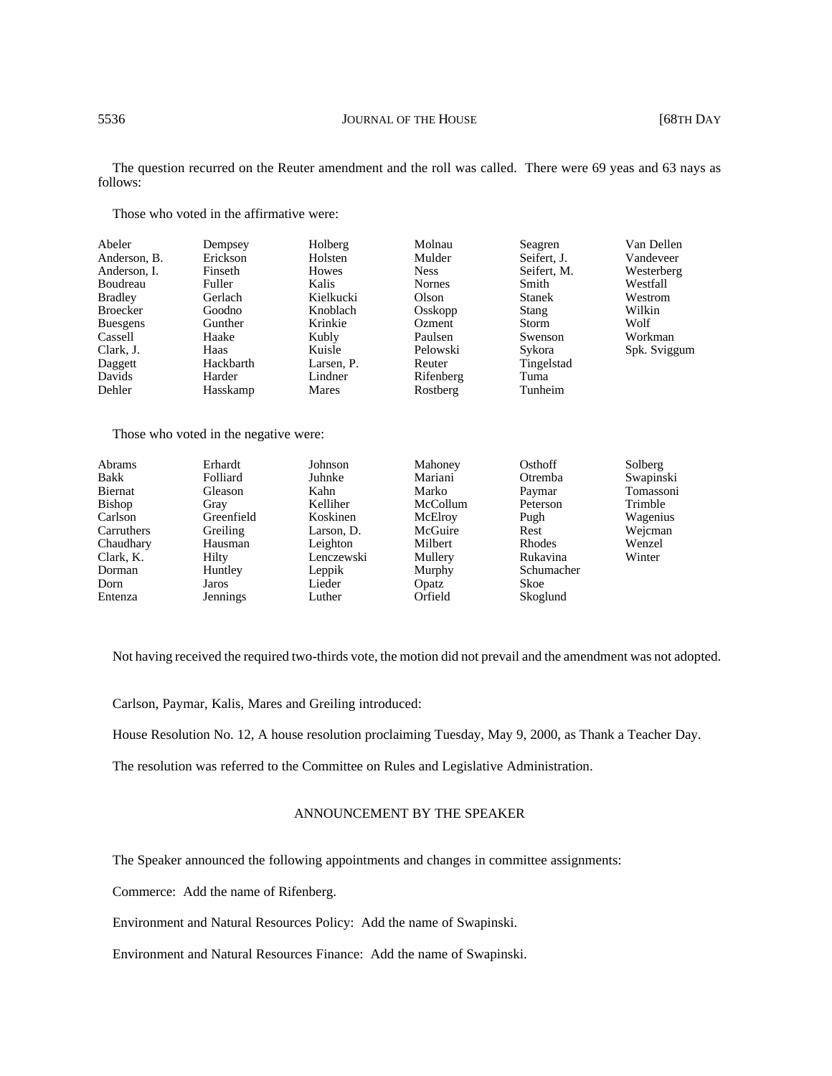The question recurred on the Reuter amendment and the roll was called. There were 69 yeas and 63 nays as follows:

Those who voted in the affirmative were:

| Abeler          | Dempsey   | Holberg    | Molnau        | Seagren       | Van Dellen   |
|-----------------|-----------|------------|---------------|---------------|--------------|
| Anderson, B.    | Erickson  | Holsten    | Mulder        | Seifert, J.   | Vandeveer    |
| Anderson, I.    | Finseth   | Howes      | <b>Ness</b>   | Seifert, M.   | Westerberg   |
| Boudreau        | Fuller    | Kalis      | <b>Nornes</b> | Smith         | Westfall     |
| <b>Bradley</b>  | Gerlach   | Kielkucki  | Olson         | <b>Stanek</b> | Westrom      |
| <b>Broecker</b> | Goodno    | Knoblach   | Osskopp       | Stang         | Wilkin       |
| <b>Buesgens</b> | Gunther   | Krinkie    | Ozment        | Storm         | Wolf         |
| Cassell         | Haake     | Kubly      | Paulsen       | Swenson       | Workman      |
| Clark, J.       | Haas      | Kuisle     | Pelowski      | Sykora        | Spk. Sviggum |
| Daggett         | Hackbarth | Larsen, P. | Reuter        | Tingelstad    |              |
| Davids          | Harder    | Lindner    | Rifenberg     | Tuma          |              |
| Dehler          | Hasskamp  | Mares      | Rostberg      | Tunheim       |              |

Those who voted in the negative were:

| Erhardt    | Johnson    |          | Osthoff                                                       | Solberg   |
|------------|------------|----------|---------------------------------------------------------------|-----------|
| Folliard   | Juhnke     |          | Otremba                                                       | Swapinski |
| Gleason    | Kahn       | Marko    | Paymar                                                        | Tomassoni |
| Gray       | Kelliher   | McCollum | Peterson                                                      | Trimble   |
| Greenfield | Koskinen   |          | Pugh                                                          | Wagenius  |
| Greiling   | Larson, D. |          | Rest                                                          | Wejcman   |
| Hausman    | Leighton   | Milbert  | Rhodes                                                        | Wenzel    |
| Hilty      | Lenczewski |          | Rukavina                                                      | Winter    |
| Huntley    | Leppik     |          | Schumacher                                                    |           |
| Jaros      | Lieder     | Opatz    | Skoe                                                          |           |
| Jennings   | Luther     | Orfield  | Skoglund                                                      |           |
|            |            |          | Mahoney<br>Mariani<br>McElroy<br>McGuire<br>Mullery<br>Murphy |           |

Not having received the required two-thirds vote, the motion did not prevail and the amendment was not adopted.

Carlson, Paymar, Kalis, Mares and Greiling introduced:

House Resolution No. 12, A house resolution proclaiming Tuesday, May 9, 2000, as Thank a Teacher Day.

The resolution was referred to the Committee on Rules and Legislative Administration.

# ANNOUNCEMENT BY THE SPEAKER

The Speaker announced the following appointments and changes in committee assignments:

Commerce: Add the name of Rifenberg.

Environment and Natural Resources Policy: Add the name of Swapinski.

Environment and Natural Resources Finance: Add the name of Swapinski.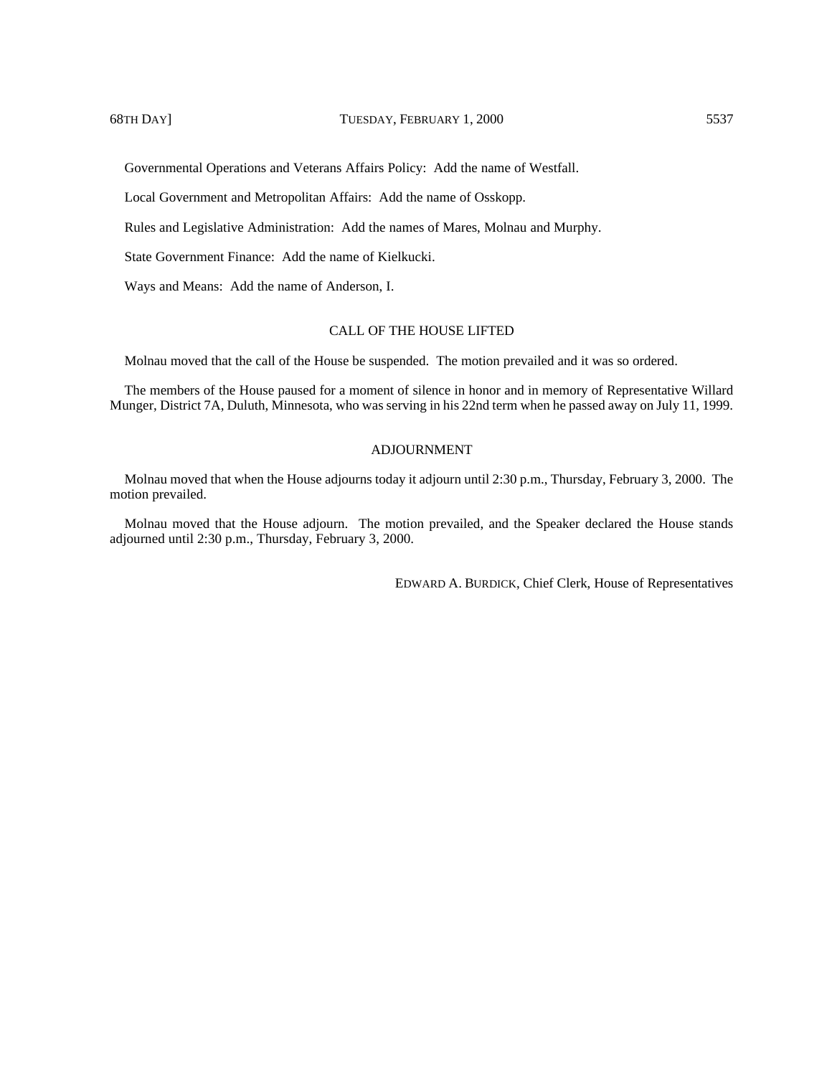Governmental Operations and Veterans Affairs Policy: Add the name of Westfall.

Local Government and Metropolitan Affairs: Add the name of Osskopp.

Rules and Legislative Administration: Add the names of Mares, Molnau and Murphy.

State Government Finance: Add the name of Kielkucki.

Ways and Means: Add the name of Anderson, I.

# CALL OF THE HOUSE LIFTED

Molnau moved that the call of the House be suspended. The motion prevailed and it was so ordered.

The members of the House paused for a moment of silence in honor and in memory of Representative Willard Munger, District 7A, Duluth, Minnesota, who was serving in his 22nd term when he passed away on July 11, 1999.

# ADJOURNMENT

Molnau moved that when the House adjourns today it adjourn until 2:30 p.m., Thursday, February 3, 2000. The motion prevailed.

Molnau moved that the House adjourn. The motion prevailed, and the Speaker declared the House stands adjourned until 2:30 p.m., Thursday, February 3, 2000.

EDWARD A. BURDICK, Chief Clerk, House of Representatives